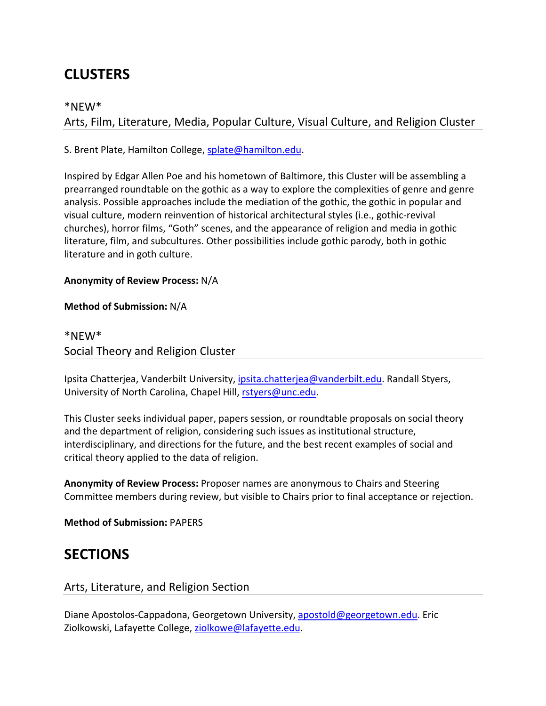# **CLUSTERS**

# \*NEW\*

Arts, Film, Literature, Media, Popular Culture, Visual Culture, and Religion Cluster

S. Brent Plate, Hamilton College, splate@hamilton.edu.

Inspired by Edgar Allen Poe and his hometown of Baltimore, this Cluster will be assembling a prearranged roundtable on the gothic as a way to explore the complexities of genre and genre analysis. Possible approaches include the mediation of the gothic, the gothic in popular and visual culture, modern reinvention of historical architectural styles (i.e., gothic‐revival churches), horror films, "Goth" scenes, and the appearance of religion and media in gothic literature, film, and subcultures. Other possibilities include gothic parody, both in gothic literature and in goth culture.

#### **Anonymity of Review Process:** N/A

**Method of Submission:** N/A

# \*NEW\* Social Theory and Religion Cluster

Ipsita Chatterjea, Vanderbilt University, ipsita.chatterjea@vanderbilt.edu. Randall Styers, University of North Carolina, Chapel Hill, rstyers@unc.edu.

This Cluster seeks individual paper, papers session, or roundtable proposals on social theory and the department of religion, considering such issues as institutional structure, interdisciplinary, and directions for the future, and the best recent examples of social and critical theory applied to the data of religion.

**Anonymity of Review Process:** Proposer names are anonymous to Chairs and Steering Committee members during review, but visible to Chairs prior to final acceptance or rejection.

**Method of Submission:** PAPERS

# **SECTIONS**

# Arts, Literature, and Religion Section

Diane Apostolos-Cappadona, Georgetown University, apostold@georgetown.edu. Eric Ziolkowski, Lafayette College, ziolkowe@lafayette.edu.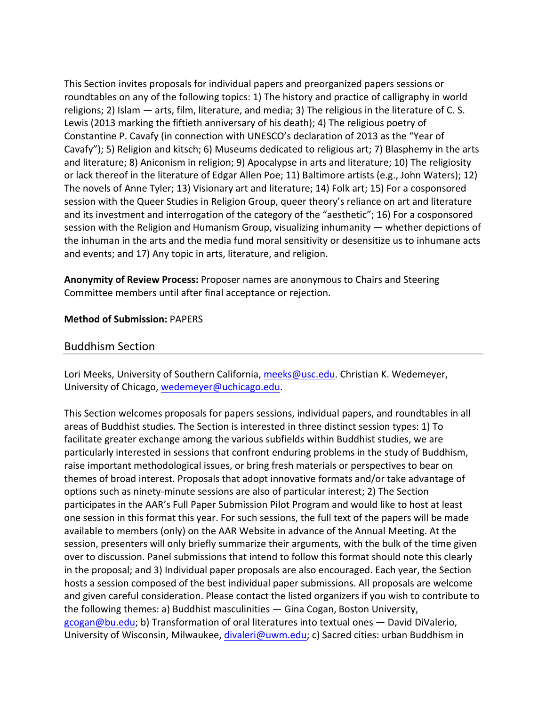This Section invites proposals for individual papers and preorganized papers sessions or roundtables on any of the following topics: 1) The history and practice of calligraphy in world religions; 2) Islam — arts, film, literature, and media; 3) The religious in the literature of C. S. Lewis (2013 marking the fiftieth anniversary of his death); 4) The religious poetry of Constantine P. Cavafy (in connection with UNESCO's declaration of 2013 as the "Year of Cavafy"); 5) Religion and kitsch; 6) Museums dedicated to religious art; 7) Blasphemy in the arts and literature; 8) Aniconism in religion; 9) Apocalypse in arts and literature; 10) The religiosity or lack thereof in the literature of Edgar Allen Poe; 11) Baltimore artists (e.g., John Waters); 12) The novels of Anne Tyler; 13) Visionary art and literature; 14) Folk art; 15) For a cosponsored session with the Queer Studies in Religion Group, queer theory's reliance on art and literature and its investment and interrogation of the category of the "aesthetic"; 16) For a cosponsored session with the Religion and Humanism Group, visualizing inhumanity — whether depictions of the inhuman in the arts and the media fund moral sensitivity or desensitize us to inhumane acts and events; and 17) Any topic in arts, literature, and religion.

**Anonymity of Review Process:** Proposer names are anonymous to Chairs and Steering Committee members until after final acceptance or rejection.

#### **Method of Submission:** PAPERS

#### Buddhism Section

Lori Meeks, University of Southern California, meeks@usc.edu. Christian K. Wedemeyer, University of Chicago, wedemeyer@uchicago.edu.

This Section welcomes proposals for papers sessions, individual papers, and roundtables in all areas of Buddhist studies. The Section is interested in three distinct session types: 1) To facilitate greater exchange among the various subfields within Buddhist studies, we are particularly interested in sessions that confront enduring problems in the study of Buddhism, raise important methodological issues, or bring fresh materials or perspectives to bear on themes of broad interest. Proposals that adopt innovative formats and/or take advantage of options such as ninety‐minute sessions are also of particular interest; 2) The Section participates in the AAR's Full Paper Submission Pilot Program and would like to host at least one session in this format this year. For such sessions, the full text of the papers will be made available to members (only) on the AAR Website in advance of the Annual Meeting. At the session, presenters will only briefly summarize their arguments, with the bulk of the time given over to discussion. Panel submissions that intend to follow this format should note this clearly in the proposal; and 3) Individual paper proposals are also encouraged. Each year, the Section hosts a session composed of the best individual paper submissions. All proposals are welcome and given careful consideration. Please contact the listed organizers if you wish to contribute to the following themes: a) Buddhist masculinities — Gina Cogan, Boston University, gcogan@bu.edu; b) Transformation of oral literatures into textual ones - David DiValerio, University of Wisconsin, Milwaukee, divaleri@uwm.edu; c) Sacred cities: urban Buddhism in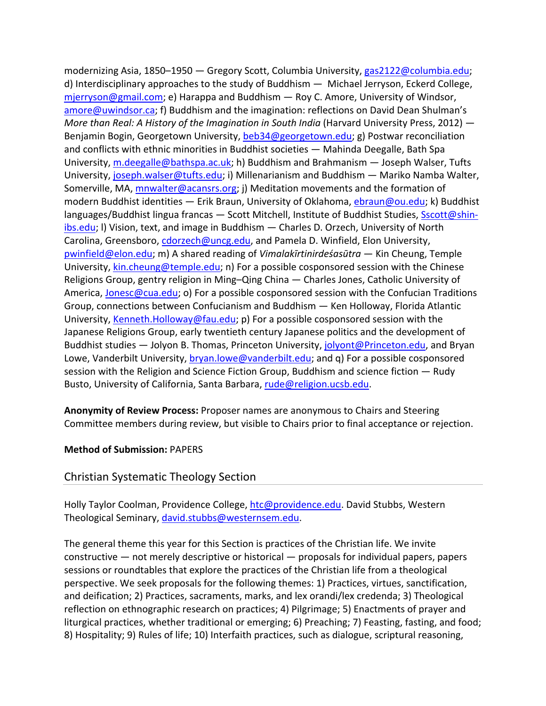modernizing Asia, 1850–1950 — Gregory Scott, Columbia University, gas2122@columbia.edu; d) Interdisciplinary approaches to the study of Buddhism — Michael Jerryson, Eckerd College, mjerryson@gmail.com; e) Harappa and Buddhism — Roy C. Amore, University of Windsor, amore@uwindsor.ca; f) Buddhism and the imagination: reflections on David Dean Shulman's *More than Real: A History of the Imagination in South India* (Harvard University Press, 2012) — Benjamin Bogin, Georgetown University, beb34@georgetown.edu; g) Postwar reconciliation and conflicts with ethnic minorities in Buddhist societies — Mahinda Deegalle, Bath Spa University, m.deegalle@bathspa.ac.uk; h) Buddhism and Brahmanism — Joseph Walser, Tufts University, joseph.walser@tufts.edu; i) Millenarianism and Buddhism — Mariko Namba Walter, Somerville, MA, mnwalter@acansrs.org; j) Meditation movements and the formation of modern Buddhist identities — Erik Braun, University of Oklahoma, ebraun@ou.edu; k) Buddhist languages/Buddhist lingua francas — Scott Mitchell, Institute of Buddhist Studies, Sscott@shinibs.edu; l) Vision, text, and image in Buddhism — Charles D. Orzech, University of North Carolina, Greensboro, cdorzech@uncg.edu, and Pamela D. Winfield, Elon University, pwinfield@elon.edu; m) A shared reading of *Vimalakīrtinirdeśasūtra* — Kin Cheung, Temple University, kin.cheung@temple.edu; n) For a possible cosponsored session with the Chinese Religions Group, gentry religion in Ming–Qing China — Charles Jones, Catholic University of America, Jonesc@cua.edu; o) For a possible cosponsored session with the Confucian Traditions Group, connections between Confucianism and Buddhism — Ken Holloway, Florida Atlantic University, Kenneth.Holloway@fau.edu; p) For a possible cosponsored session with the Japanese Religions Group, early twentieth century Japanese politics and the development of Buddhist studies — Jolyon B. Thomas, Princeton University, jolyont@Princeton.edu, and Bryan Lowe, Vanderbilt University, bryan.lowe@vanderbilt.edu; and q) For a possible cosponsored session with the Religion and Science Fiction Group, Buddhism and science fiction — Rudy Busto, University of California, Santa Barbara, rude@religion.ucsb.edu.

**Anonymity of Review Process:** Proposer names are anonymous to Chairs and Steering Committee members during review, but visible to Chairs prior to final acceptance or rejection.

#### **Method of Submission:** PAPERS

# Christian Systematic Theology Section

Holly Taylor Coolman, Providence College, htc@providence.edu. David Stubbs, Western Theological Seminary, david.stubbs@westernsem.edu.

The general theme this year for this Section is practices of the Christian life. We invite constructive — not merely descriptive or historical — proposals for individual papers, papers sessions or roundtables that explore the practices of the Christian life from a theological perspective. We seek proposals for the following themes: 1) Practices, virtues, sanctification, and deification; 2) Practices, sacraments, marks, and lex orandi/lex credenda; 3) Theological reflection on ethnographic research on practices; 4) Pilgrimage; 5) Enactments of prayer and liturgical practices, whether traditional or emerging; 6) Preaching; 7) Feasting, fasting, and food; 8) Hospitality; 9) Rules of life; 10) Interfaith practices, such as dialogue, scriptural reasoning,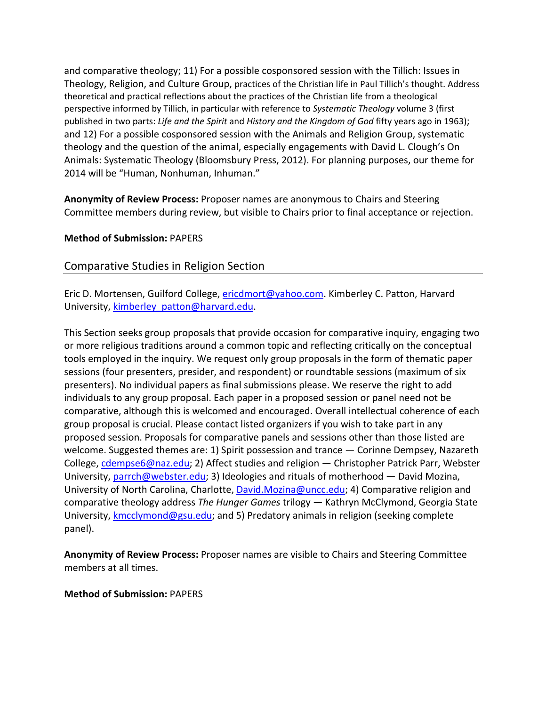and comparative theology; 11) For a possible cosponsored session with the Tillich: Issues in Theology, Religion, and Culture Group, practices of the Christian life in Paul Tillich's thought. Address theoretical and practical reflections about the practices of the Christian life from a theological perspective informed by Tillich, in particular with reference to *Systematic Theology* volume 3 (first published in two parts: *Life and the Spirit* and *History and the Kingdom of God* fifty years ago in 1963); and 12) For a possible cosponsored session with the Animals and Religion Group, systematic theology and the question of the animal, especially engagements with David L. Clough's On Animals: Systematic Theology (Bloomsbury Press, 2012). For planning purposes, our theme for 2014 will be "Human, Nonhuman, Inhuman."

**Anonymity of Review Process:** Proposer names are anonymous to Chairs and Steering Committee members during review, but visible to Chairs prior to final acceptance or rejection.

#### **Method of Submission:** PAPERS

# Comparative Studies in Religion Section

Eric D. Mortensen, Guilford College, ericdmort@yahoo.com. Kimberley C. Patton, Harvard University, kimberley\_patton@harvard.edu.

This Section seeks group proposals that provide occasion for comparative inquiry, engaging two or more religious traditions around a common topic and reflecting critically on the conceptual tools employed in the inquiry. We request only group proposals in the form of thematic paper sessions (four presenters, presider, and respondent) or roundtable sessions (maximum of six presenters). No individual papers as final submissions please. We reserve the right to add individuals to any group proposal. Each paper in a proposed session or panel need not be comparative, although this is welcomed and encouraged. Overall intellectual coherence of each group proposal is crucial. Please contact listed organizers if you wish to take part in any proposed session. Proposals for comparative panels and sessions other than those listed are welcome. Suggested themes are: 1) Spirit possession and trance — Corinne Dempsey, Nazareth College, cdempse6@naz.edu; 2) Affect studies and religion — Christopher Patrick Parr, Webster University, parrch@webster.edu; 3) Ideologies and rituals of motherhood — David Mozina, University of North Carolina, Charlotte, David.Mozina@uncc.edu; 4) Comparative religion and comparative theology address *The Hunger Games* trilogy — Kathryn McClymond, Georgia State University, kmcclymond@gsu.edu; and 5) Predatory animals in religion (seeking complete panel).

**Anonymity of Review Process:** Proposer names are visible to Chairs and Steering Committee members at all times.

#### **Method of Submission:** PAPERS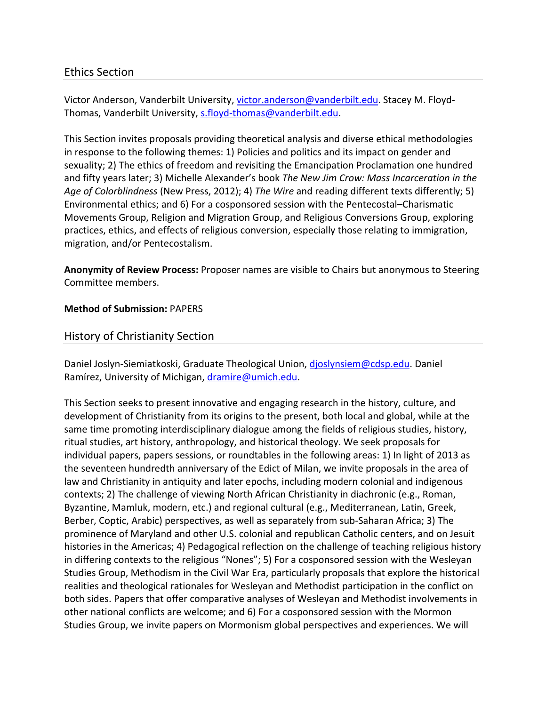# Ethics Section

Victor Anderson, Vanderbilt University, victor.anderson@vanderbilt.edu. Stacey M. Floyd‐ Thomas, Vanderbilt University, s.floyd-thomas@vanderbilt.edu.

This Section invites proposals providing theoretical analysis and diverse ethical methodologies in response to the following themes: 1) Policies and politics and its impact on gender and sexuality; 2) The ethics of freedom and revisiting the Emancipation Proclamation one hundred and fifty years later; 3) Michelle Alexander's book *The New Jim Crow: Mass Incarceration in the Age of Colorblindness* (New Press, 2012); 4) *The Wire* and reading different texts differently; 5) Environmental ethics; and 6) For a cosponsored session with the Pentecostal–Charismatic Movements Group, Religion and Migration Group, and Religious Conversions Group, exploring practices, ethics, and effects of religious conversion, especially those relating to immigration, migration, and/or Pentecostalism.

**Anonymity of Review Process:** Proposer names are visible to Chairs but anonymous to Steering Committee members.

#### **Method of Submission:** PAPERS

# History of Christianity Section

Daniel Joslyn-Siemiatkoski, Graduate Theological Union, djoslynsiem@cdsp.edu. Daniel Ramírez, University of Michigan, dramire@umich.edu.

This Section seeks to present innovative and engaging research in the history, culture, and development of Christianity from its origins to the present, both local and global, while at the same time promoting interdisciplinary dialogue among the fields of religious studies, history, ritual studies, art history, anthropology, and historical theology. We seek proposals for individual papers, papers sessions, or roundtables in the following areas: 1) In light of 2013 as the seventeen hundredth anniversary of the Edict of Milan, we invite proposals in the area of law and Christianity in antiquity and later epochs, including modern colonial and indigenous contexts; 2) The challenge of viewing North African Christianity in diachronic (e.g., Roman, Byzantine, Mamluk, modern, etc.) and regional cultural (e.g., Mediterranean, Latin, Greek, Berber, Coptic, Arabic) perspectives, as well as separately from sub‐Saharan Africa; 3) The prominence of Maryland and other U.S. colonial and republican Catholic centers, and on Jesuit histories in the Americas; 4) Pedagogical reflection on the challenge of teaching religious history in differing contexts to the religious "Nones"; 5) For a cosponsored session with the Wesleyan Studies Group, Methodism in the Civil War Era, particularly proposals that explore the historical realities and theological rationales for Wesleyan and Methodist participation in the conflict on both sides. Papers that offer comparative analyses of Wesleyan and Methodist involvements in other national conflicts are welcome; and 6) For a cosponsored session with the Mormon Studies Group, we invite papers on Mormonism global perspectives and experiences. We will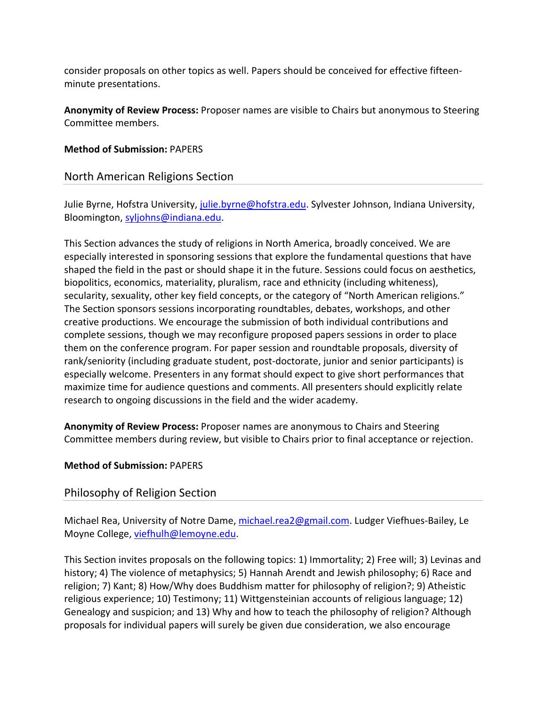consider proposals on other topics as well. Papers should be conceived for effective fifteen‐ minute presentations.

**Anonymity of Review Process:** Proposer names are visible to Chairs but anonymous to Steering Committee members.

### **Method of Submission:** PAPERS

# North American Religions Section

Julie Byrne, Hofstra University, julie.byrne@hofstra.edu. Sylvester Johnson, Indiana University, Bloomington, syljohns@indiana.edu.

This Section advances the study of religions in North America, broadly conceived. We are especially interested in sponsoring sessions that explore the fundamental questions that have shaped the field in the past or should shape it in the future. Sessions could focus on aesthetics, biopolitics, economics, materiality, pluralism, race and ethnicity (including whiteness), secularity, sexuality, other key field concepts, or the category of "North American religions." The Section sponsors sessions incorporating roundtables, debates, workshops, and other creative productions. We encourage the submission of both individual contributions and complete sessions, though we may reconfigure proposed papers sessions in order to place them on the conference program. For paper session and roundtable proposals, diversity of rank/seniority (including graduate student, post-doctorate, junior and senior participants) is especially welcome. Presenters in any format should expect to give short performances that maximize time for audience questions and comments. All presenters should explicitly relate research to ongoing discussions in the field and the wider academy.

**Anonymity of Review Process:** Proposer names are anonymous to Chairs and Steering Committee members during review, but visible to Chairs prior to final acceptance or rejection.

# **Method of Submission:** PAPERS

# Philosophy of Religion Section

Michael Rea, University of Notre Dame, michael.rea2@gmail.com. Ludger Viefhues-Bailey, Le Moyne College, viefhulh@lemoyne.edu.

This Section invites proposals on the following topics: 1) Immortality; 2) Free will; 3) Levinas and history; 4) The violence of metaphysics; 5) Hannah Arendt and Jewish philosophy; 6) Race and religion; 7) Kant; 8) How/Why does Buddhism matter for philosophy of religion?; 9) Atheistic religious experience; 10) Testimony; 11) Wittgensteinian accounts of religious language; 12) Genealogy and suspicion; and 13) Why and how to teach the philosophy of religion? Although proposals for individual papers will surely be given due consideration, we also encourage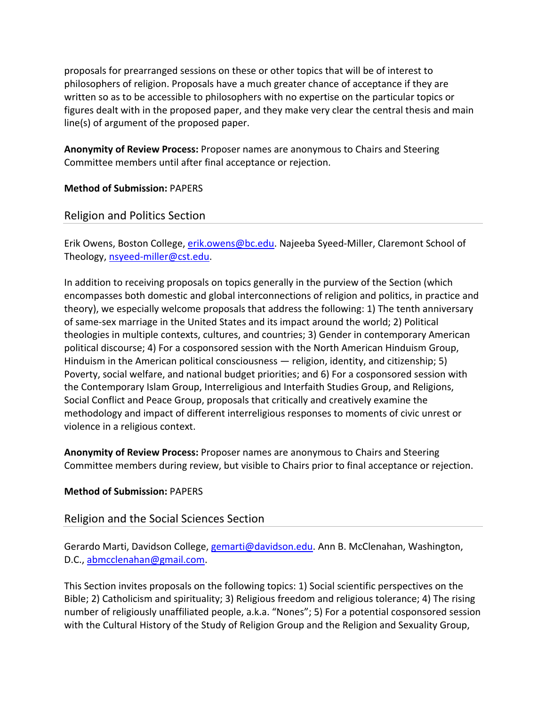proposals for prearranged sessions on these or other topics that will be of interest to philosophers of religion. Proposals have a much greater chance of acceptance if they are written so as to be accessible to philosophers with no expertise on the particular topics or figures dealt with in the proposed paper, and they make very clear the central thesis and main line(s) of argument of the proposed paper.

**Anonymity of Review Process:** Proposer names are anonymous to Chairs and Steering Committee members until after final acceptance or rejection.

**Method of Submission:** PAPERS

Religion and Politics Section

Erik Owens, Boston College, erik.owens@bc.edu. Najeeba Syeed-Miller, Claremont School of Theology, nsyeed‐miller@cst.edu.

In addition to receiving proposals on topics generally in the purview of the Section (which encompasses both domestic and global interconnections of religion and politics, in practice and theory), we especially welcome proposals that address the following: 1) The tenth anniversary of same‐sex marriage in the United States and its impact around the world; 2) Political theologies in multiple contexts, cultures, and countries; 3) Gender in contemporary American political discourse; 4) For a cosponsored session with the North American Hinduism Group, Hinduism in the American political consciousness — religion, identity, and citizenship; 5) Poverty, social welfare, and national budget priorities; and 6) For a cosponsored session with the Contemporary Islam Group, Interreligious and Interfaith Studies Group, and Religions, Social Conflict and Peace Group, proposals that critically and creatively examine the methodology and impact of different interreligious responses to moments of civic unrest or violence in a religious context.

**Anonymity of Review Process:** Proposer names are anonymous to Chairs and Steering Committee members during review, but visible to Chairs prior to final acceptance or rejection.

# **Method of Submission:** PAPERS

# Religion and the Social Sciences Section

Gerardo Marti, Davidson College, gemarti@davidson.edu. Ann B. McClenahan, Washington, D.C., abmcclenahan@gmail.com.

This Section invites proposals on the following topics: 1) Social scientific perspectives on the Bible; 2) Catholicism and spirituality; 3) Religious freedom and religious tolerance; 4) The rising number of religiously unaffiliated people, a.k.a. "Nones"; 5) For a potential cosponsored session with the Cultural History of the Study of Religion Group and the Religion and Sexuality Group,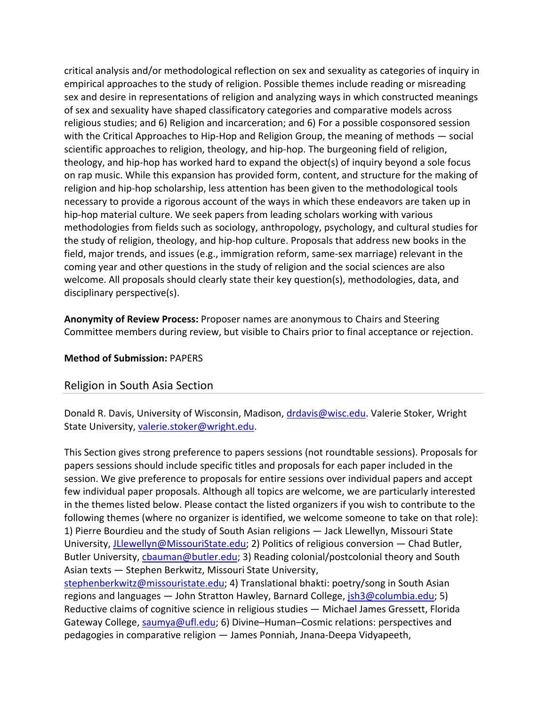critical analysis and/or methodological reflection on sex and sexuality as categories of inquiry in empirical approaches to the study of religion. Possible themes include reading or misreading sex and desire in representations of religion and analyzing ways in which constructed meanings of sex and sexuality have shaped classificatory categories and comparative models across religious studies; and 6) Religion and incarceration; and 6) For a possible cosponsored session with the Critical Approaches to Hip-Hop and Religion Group, the meaning of methods — social scientific approaches to religion, theology, and hip-hop. The burgeoning field of religion, theology, and hip‐hop has worked hard to expand the object(s) of inquiry beyond a sole focus on rap music. While this expansion has provided form, content, and structure for the making of religion and hip‐hop scholarship, less attention has been given to the methodological tools necessary to provide a rigorous account of the ways in which these endeavors are taken up in hip-hop material culture. We seek papers from leading scholars working with various methodologies from fields such as sociology, anthropology, psychology, and cultural studies for the study of religion, theology, and hip‐hop culture. Proposals that address new books in the field, major trends, and issues (e.g., immigration reform, same‐sex marriage) relevant in the coming year and other questions in the study of religion and the social sciences are also welcome. All proposals should clearly state their key question(s), methodologies, data, and disciplinary perspective(s).

**Anonymity of Review Process:** Proposer names are anonymous to Chairs and Steering Committee members during review, but visible to Chairs prior to final acceptance or rejection.

#### **Method of Submission:** PAPERS

# Religion in South Asia Section

Donald R. Davis, University of Wisconsin, Madison, drdavis@wisc.edu. Valerie Stoker, Wright State University, valerie.stoker@wright.edu.

This Section gives strong preference to papers sessions (not roundtable sessions). Proposals for papers sessions should include specific titles and proposals for each paper included in the session. We give preference to proposals for entire sessions over individual papers and accept few individual paper proposals. Although all topics are welcome, we are particularly interested in the themes listed below. Please contact the listed organizers if you wish to contribute to the following themes (where no organizer is identified, we welcome someone to take on that role): 1) Pierre Bourdieu and the study of South Asian religions — Jack Llewellyn, Missouri State University, *JLlewellyn@MissouriState.edu;* 2) Politics of religious conversion — Chad Butler, Butler University, chauman@butler.edu; 3) Reading colonial/postcolonial theory and South Asian texts — Stephen Berkwitz, Missouri State University,

stephenberkwitz@missouristate.edu; 4) Translational bhakti: poetry/song in South Asian regions and languages — John Stratton Hawley, Barnard College,  $\frac{1}{15}$  m3@columbia.edu; 5) Reductive claims of cognitive science in religious studies — Michael James Gressett, Florida Gateway College, saumya@ufl.edu; 6) Divine-Human-Cosmic relations: perspectives and pedagogies in comparative religion — James Ponniah, Jnana‐Deepa Vidyapeeth,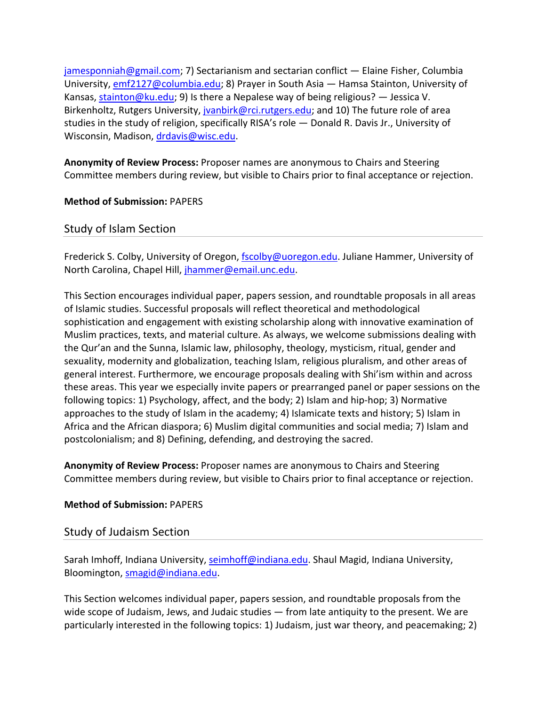jamesponniah@gmail.com; 7) Sectarianism and sectarian conflict — Elaine Fisher, Columbia University, emf2127@columbia.edu; 8) Prayer in South Asia — Hamsa Stainton, University of Kansas, stainton@ku.edu; 9) Is there a Nepalese way of being religious? — Jessica V. Birkenholtz, Rutgers University, jvanbirk@rci.rutgers.edu; and 10) The future role of area studies in the study of religion, specifically RISA's role — Donald R. Davis Jr., University of Wisconsin, Madison, drdavis@wisc.edu.

**Anonymity of Review Process:** Proposer names are anonymous to Chairs and Steering Committee members during review, but visible to Chairs prior to final acceptance or rejection.

**Method of Submission:** PAPERS

Study of Islam Section

Frederick S. Colby, University of Oregon, fscolby@uoregon.edu. Juliane Hammer, University of North Carolina, Chapel Hill, jhammer@email.unc.edu.

This Section encourages individual paper, papers session, and roundtable proposals in all areas of Islamic studies. Successful proposals will reflect theoretical and methodological sophistication and engagement with existing scholarship along with innovative examination of Muslim practices, texts, and material culture. As always, we welcome submissions dealing with the Qur'an and the Sunna, Islamic law, philosophy, theology, mysticism, ritual, gender and sexuality, modernity and globalization, teaching Islam, religious pluralism, and other areas of general interest. Furthermore, we encourage proposals dealing with Shi'ism within and across these areas. This year we especially invite papers or prearranged panel or paper sessions on the following topics: 1) Psychology, affect, and the body; 2) Islam and hip‐hop; 3) Normative approaches to the study of Islam in the academy; 4) Islamicate texts and history; 5) Islam in Africa and the African diaspora; 6) Muslim digital communities and social media; 7) Islam and postcolonialism; and 8) Defining, defending, and destroying the sacred.

**Anonymity of Review Process:** Proposer names are anonymous to Chairs and Steering Committee members during review, but visible to Chairs prior to final acceptance or rejection.

#### **Method of Submission:** PAPERS

# Study of Judaism Section

Sarah Imhoff, Indiana University, seimhoff@indiana.edu. Shaul Magid, Indiana University, Bloomington, smagid@indiana.edu.

This Section welcomes individual paper, papers session, and roundtable proposals from the wide scope of Judaism, Jews, and Judaic studies — from late antiquity to the present. We are particularly interested in the following topics: 1) Judaism, just war theory, and peacemaking; 2)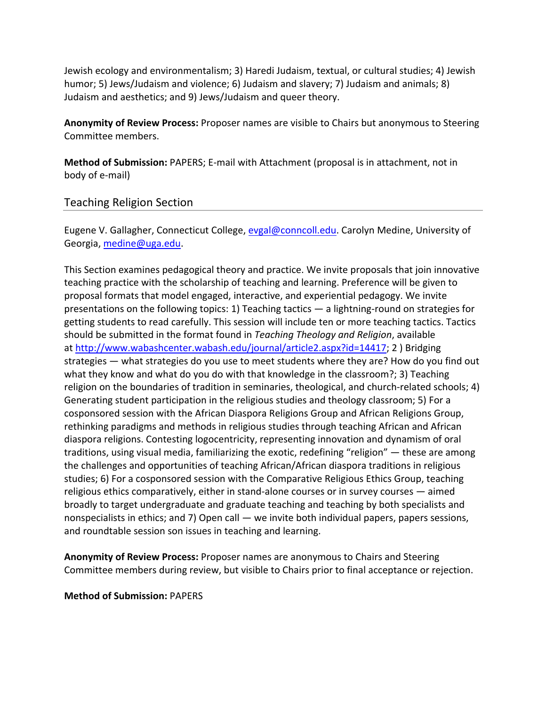Jewish ecology and environmentalism; 3) Haredi Judaism, textual, or cultural studies; 4) Jewish humor; 5) Jews/Judaism and violence; 6) Judaism and slavery; 7) Judaism and animals; 8) Judaism and aesthetics; and 9) Jews/Judaism and queer theory.

**Anonymity of Review Process:** Proposer names are visible to Chairs but anonymous to Steering Committee members.

**Method of Submission:** PAPERS; E‐mail with Attachment (proposal is in attachment, not in body of e‐mail)

# Teaching Religion Section

Eugene V. Gallagher, Connecticut College, evgal@conncoll.edu. Carolyn Medine, University of Georgia, medine@uga.edu.

This Section examines pedagogical theory and practice. We invite proposals that join innovative teaching practice with the scholarship of teaching and learning. Preference will be given to proposal formats that model engaged, interactive, and experiential pedagogy. We invite presentations on the following topics: 1) Teaching tactics — a lightning‐round on strategies for getting students to read carefully. This session will include ten or more teaching tactics. Tactics should be submitted in the format found in *Teaching Theology and Religion*, available at http://www.wabashcenter.wabash.edu/journal/article2.aspx?id=14417; 2 ) Bridging strategies — what strategies do you use to meet students where they are? How do you find out what they know and what do you do with that knowledge in the classroom?; 3) Teaching religion on the boundaries of tradition in seminaries, theological, and church-related schools; 4) Generating student participation in the religious studies and theology classroom; 5) For a cosponsored session with the African Diaspora Religions Group and African Religions Group, rethinking paradigms and methods in religious studies through teaching African and African diaspora religions. Contesting logocentricity, representing innovation and dynamism of oral traditions, using visual media, familiarizing the exotic, redefining "religion" — these are among the challenges and opportunities of teaching African/African diaspora traditions in religious studies; 6) For a cosponsored session with the Comparative Religious Ethics Group, teaching religious ethics comparatively, either in stand‐alone courses or in survey courses — aimed broadly to target undergraduate and graduate teaching and teaching by both specialists and nonspecialists in ethics; and 7) Open call — we invite both individual papers, papers sessions, and roundtable session son issues in teaching and learning.

**Anonymity of Review Process:** Proposer names are anonymous to Chairs and Steering Committee members during review, but visible to Chairs prior to final acceptance or rejection.

**Method of Submission:** PAPERS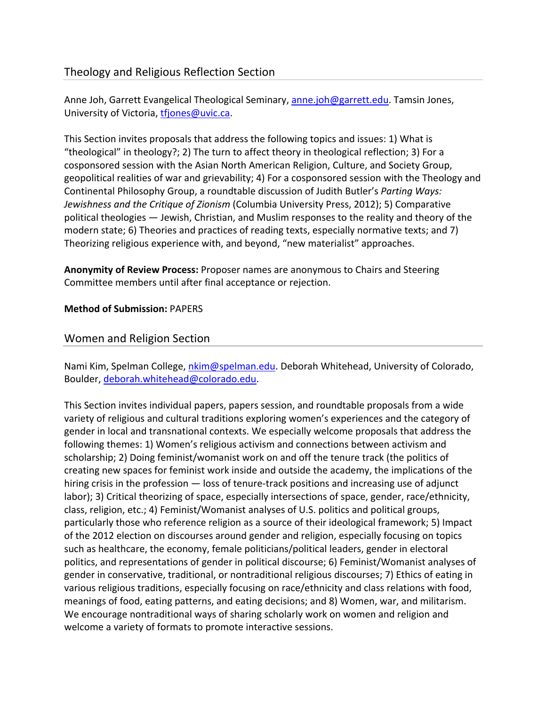# Theology and Religious Reflection Section

Anne Joh, Garrett Evangelical Theological Seminary, anne.joh@garrett.edu. Tamsin Jones, University of Victoria, tfjones@uvic.ca.

This Section invites proposals that address the following topics and issues: 1) What is "theological" in theology?; 2) The turn to affect theory in theological reflection; 3) For a cosponsored session with the Asian North American Religion, Culture, and Society Group, geopolitical realities of war and grievability; 4) For a cosponsored session with the Theology and Continental Philosophy Group, a roundtable discussion of Judith Butler's *Parting Ways: Jewishness and the Critique of Zionism* (Columbia University Press, 2012); 5) Comparative political theologies — Jewish, Christian, and Muslim responses to the reality and theory of the modern state; 6) Theories and practices of reading texts, especially normative texts; and 7) Theorizing religious experience with, and beyond, "new materialist" approaches.

**Anonymity of Review Process:** Proposer names are anonymous to Chairs and Steering Committee members until after final acceptance or rejection.

#### **Method of Submission:** PAPERS

# Women and Religion Section

Nami Kim, Spelman College, *nkim@spelman.edu*. Deborah Whitehead, University of Colorado, Boulder, deborah.whitehead@colorado.edu.

This Section invites individual papers, papers session, and roundtable proposals from a wide variety of religious and cultural traditions exploring women's experiences and the category of gender in local and transnational contexts. We especially welcome proposals that address the following themes: 1) Women's religious activism and connections between activism and scholarship; 2) Doing feminist/womanist work on and off the tenure track (the politics of creating new spaces for feminist work inside and outside the academy, the implications of the hiring crisis in the profession — loss of tenure-track positions and increasing use of adjunct labor); 3) Critical theorizing of space, especially intersections of space, gender, race/ethnicity, class, religion, etc.; 4) Feminist/Womanist analyses of U.S. politics and political groups, particularly those who reference religion as a source of their ideological framework; 5) Impact of the 2012 election on discourses around gender and religion, especially focusing on topics such as healthcare, the economy, female politicians/political leaders, gender in electoral politics, and representations of gender in political discourse; 6) Feminist/Womanist analyses of gender in conservative, traditional, or nontraditional religious discourses; 7) Ethics of eating in various religious traditions, especially focusing on race/ethnicity and class relations with food, meanings of food, eating patterns, and eating decisions; and 8) Women, war, and militarism. We encourage nontraditional ways of sharing scholarly work on women and religion and welcome a variety of formats to promote interactive sessions.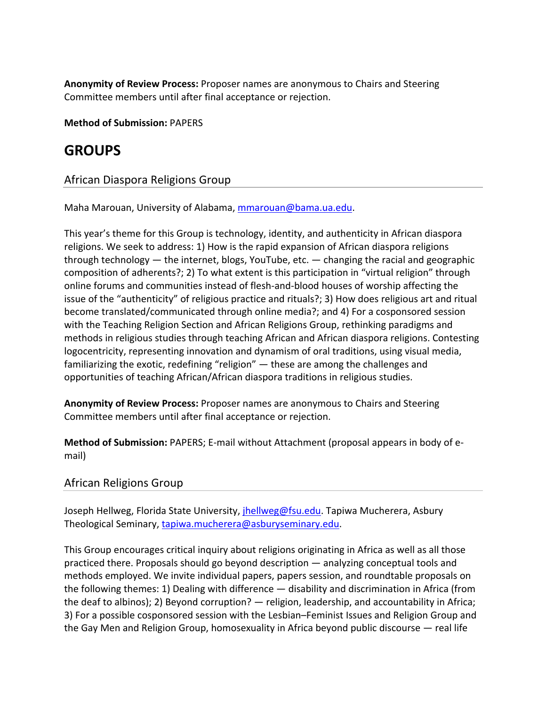**Anonymity of Review Process:** Proposer names are anonymous to Chairs and Steering Committee members until after final acceptance or rejection.

**Method of Submission:** PAPERS

# **GROUPS**

# African Diaspora Religions Group

Maha Marouan, University of Alabama, mmarouan@bama.ua.edu.

This year's theme for this Group is technology, identity, and authenticity in African diaspora religions. We seek to address: 1) How is the rapid expansion of African diaspora religions through technology — the internet, blogs, YouTube, etc. — changing the racial and geographic composition of adherents?; 2) To what extent is this participation in "virtual religion" through online forums and communities instead of flesh‐and‐blood houses of worship affecting the issue of the "authenticity" of religious practice and rituals?; 3) How does religious art and ritual become translated/communicated through online media?; and 4) For a cosponsored session with the Teaching Religion Section and African Religions Group, rethinking paradigms and methods in religious studies through teaching African and African diaspora religions. Contesting logocentricity, representing innovation and dynamism of oral traditions, using visual media, familiarizing the exotic, redefining "religion" — these are among the challenges and opportunities of teaching African/African diaspora traditions in religious studies.

**Anonymity of Review Process:** Proposer names are anonymous to Chairs and Steering Committee members until after final acceptance or rejection.

**Method of Submission:** PAPERS; E‐mail without Attachment (proposal appears in body of e‐ mail)

# African Religions Group

Joseph Hellweg, Florida State University, *jhellweg@fsu.edu*. Tapiwa Mucherera, Asbury Theological Seminary, tapiwa.mucherera@asburyseminary.edu.

This Group encourages critical inquiry about religions originating in Africa as well as all those practiced there. Proposals should go beyond description — analyzing conceptual tools and methods employed. We invite individual papers, papers session, and roundtable proposals on the following themes: 1) Dealing with difference — disability and discrimination in Africa (from the deaf to albinos); 2) Beyond corruption? — religion, leadership, and accountability in Africa; 3) For a possible cosponsored session with the Lesbian–Feminist Issues and Religion Group and the Gay Men and Religion Group, homosexuality in Africa beyond public discourse — real life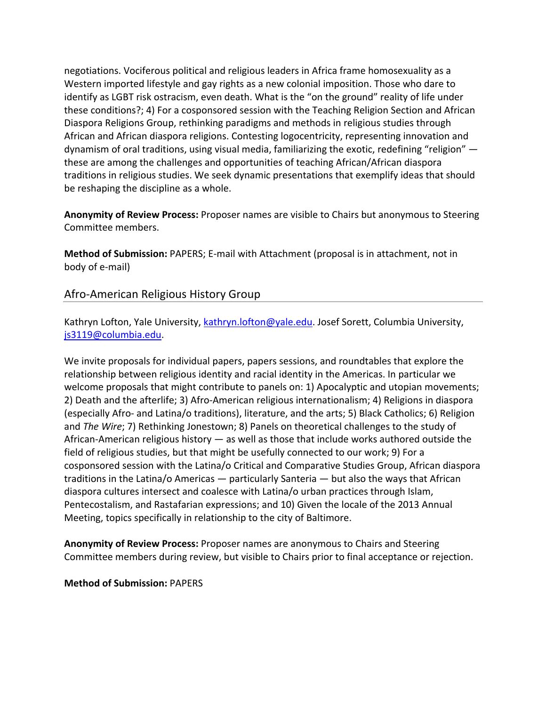negotiations. Vociferous political and religious leaders in Africa frame homosexuality as a Western imported lifestyle and gay rights as a new colonial imposition. Those who dare to identify as LGBT risk ostracism, even death. What is the "on the ground" reality of life under these conditions?; 4) For a cosponsored session with the Teaching Religion Section and African Diaspora Religions Group, rethinking paradigms and methods in religious studies through African and African diaspora religions. Contesting logocentricity, representing innovation and dynamism of oral traditions, using visual media, familiarizing the exotic, redefining "religion" these are among the challenges and opportunities of teaching African/African diaspora traditions in religious studies. We seek dynamic presentations that exemplify ideas that should be reshaping the discipline as a whole.

**Anonymity of Review Process:** Proposer names are visible to Chairs but anonymous to Steering Committee members.

**Method of Submission:** PAPERS; E‐mail with Attachment (proposal is in attachment, not in body of e‐mail)

# Afro‐American Religious History Group

Kathryn Lofton, Yale University, kathryn.lofton@yale.edu. Josef Sorett, Columbia University, js3119@columbia.edu.

We invite proposals for individual papers, papers sessions, and roundtables that explore the relationship between religious identity and racial identity in the Americas. In particular we welcome proposals that might contribute to panels on: 1) Apocalyptic and utopian movements; 2) Death and the afterlife; 3) Afro‐American religious internationalism; 4) Religions in diaspora (especially Afro‐ and Latina/o traditions), literature, and the arts; 5) Black Catholics; 6) Religion and *The Wire*; 7) Rethinking Jonestown; 8) Panels on theoretical challenges to the study of African-American religious history  $-$  as well as those that include works authored outside the field of religious studies, but that might be usefully connected to our work; 9) For a cosponsored session with the Latina/o Critical and Comparative Studies Group, African diaspora traditions in the Latina/o Americas — particularly Santeria — but also the ways that African diaspora cultures intersect and coalesce with Latina/o urban practices through Islam, Pentecostalism, and Rastafarian expressions; and 10) Given the locale of the 2013 Annual Meeting, topics specifically in relationship to the city of Baltimore.

**Anonymity of Review Process:** Proposer names are anonymous to Chairs and Steering Committee members during review, but visible to Chairs prior to final acceptance or rejection.

**Method of Submission:** PAPERS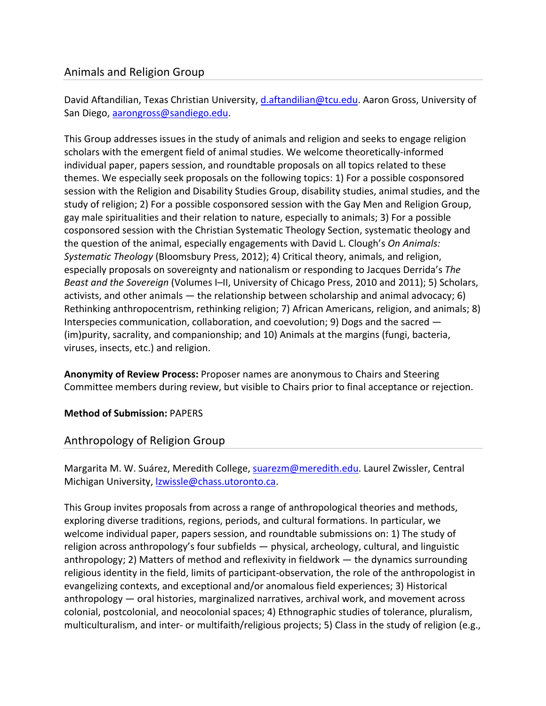# Animals and Religion Group

David Aftandilian, Texas Christian University, d.aftandilian@tcu.edu. Aaron Gross, University of San Diego, aarongross@sandiego.edu.

This Group addresses issues in the study of animals and religion and seeks to engage religion scholars with the emergent field of animal studies. We welcome theoretically-informed individual paper, papers session, and roundtable proposals on all topics related to these themes. We especially seek proposals on the following topics: 1) For a possible cosponsored session with the Religion and Disability Studies Group, disability studies, animal studies, and the study of religion; 2) For a possible cosponsored session with the Gay Men and Religion Group, gay male spiritualities and their relation to nature, especially to animals; 3) For a possible cosponsored session with the Christian Systematic Theology Section, systematic theology and the question of the animal, especially engagements with David L. Clough's *On Animals: Systematic Theology* (Bloomsbury Press, 2012); 4) Critical theory, animals, and religion, especially proposals on sovereignty and nationalism or responding to Jacques Derrida's *The Beast and the Sovereign* (Volumes I–II, University of Chicago Press, 2010 and 2011); 5) Scholars, activists, and other animals — the relationship between scholarship and animal advocacy; 6) Rethinking anthropocentrism, rethinking religion; 7) African Americans, religion, and animals; 8) Interspecies communication, collaboration, and coevolution; 9) Dogs and the sacred — (im)purity, sacrality, and companionship; and 10) Animals at the margins (fungi, bacteria, viruses, insects, etc.) and religion.

**Anonymity of Review Process:** Proposer names are anonymous to Chairs and Steering Committee members during review, but visible to Chairs prior to final acceptance or rejection.

# **Method of Submission:** PAPERS

# Anthropology of Religion Group

Margarita M. W. Suárez, Meredith College, suarezm@meredith.edu. Laurel Zwissler, Central Michigan University, lzwissle@chass.utoronto.ca.

This Group invites proposals from across a range of anthropological theories and methods, exploring diverse traditions, regions, periods, and cultural formations. In particular, we welcome individual paper, papers session, and roundtable submissions on: 1) The study of religion across anthropology's four subfields — physical, archeology, cultural, and linguistic anthropology; 2) Matters of method and reflexivity in fieldwork — the dynamics surrounding religious identity in the field, limits of participant‐observation, the role of the anthropologist in evangelizing contexts, and exceptional and/or anomalous field experiences; 3) Historical anthropology — oral histories, marginalized narratives, archival work, and movement across colonial, postcolonial, and neocolonial spaces; 4) Ethnographic studies of tolerance, pluralism, multiculturalism, and inter‐ or multifaith/religious projects; 5) Class in the study of religion (e.g.,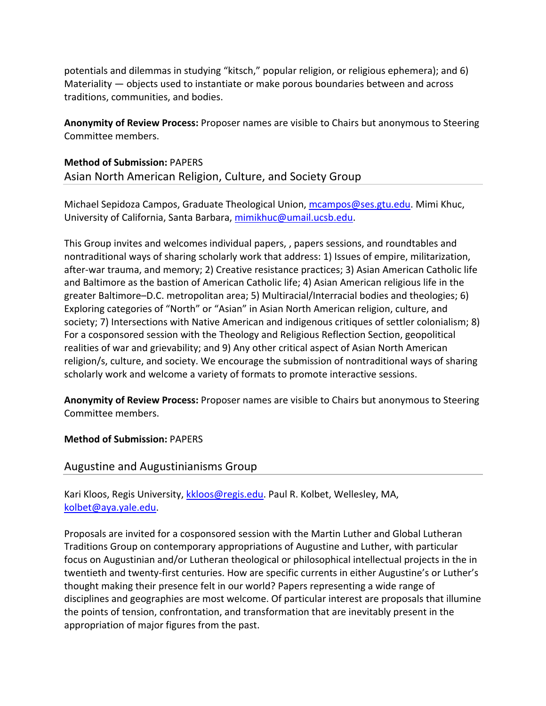potentials and dilemmas in studying "kitsch," popular religion, or religious ephemera); and 6) Materiality — objects used to instantiate or make porous boundaries between and across traditions, communities, and bodies.

**Anonymity of Review Process:** Proposer names are visible to Chairs but anonymous to Steering Committee members.

**Method of Submission:** PAPERS Asian North American Religion, Culture, and Society Group

Michael Sepidoza Campos, Graduate Theological Union, mcampos@ses.gtu.edu. Mimi Khuc, University of California, Santa Barbara, mimikhuc@umail.ucsb.edu.

This Group invites and welcomes individual papers, , papers sessions, and roundtables and nontraditional ways of sharing scholarly work that address: 1) Issues of empire, militarization, after‐war trauma, and memory; 2) Creative resistance practices; 3) Asian American Catholic life and Baltimore as the bastion of American Catholic life; 4) Asian American religious life in the greater Baltimore–D.C. metropolitan area; 5) Multiracial/Interracial bodies and theologies; 6) Exploring categories of "North" or "Asian" in Asian North American religion, culture, and society; 7) Intersections with Native American and indigenous critiques of settler colonialism; 8) For a cosponsored session with the Theology and Religious Reflection Section, geopolitical realities of war and grievability; and 9) Any other critical aspect of Asian North American religion/s, culture, and society. We encourage the submission of nontraditional ways of sharing scholarly work and welcome a variety of formats to promote interactive sessions.

**Anonymity of Review Process:** Proposer names are visible to Chairs but anonymous to Steering Committee members.

**Method of Submission:** PAPERS

Augustine and Augustinianisms Group

Kari Kloos, Regis University, kkloos@regis.edu. Paul R. Kolbet, Wellesley, MA, kolbet@aya.yale.edu.

Proposals are invited for a cosponsored session with the Martin Luther and Global Lutheran Traditions Group on contemporary appropriations of Augustine and Luther, with particular focus on Augustinian and/or Lutheran theological or philosophical intellectual projects in the in twentieth and twenty‐first centuries. How are specific currents in either Augustine's or Luther's thought making their presence felt in our world? Papers representing a wide range of disciplines and geographies are most welcome. Of particular interest are proposals that illumine the points of tension, confrontation, and transformation that are inevitably present in the appropriation of major figures from the past.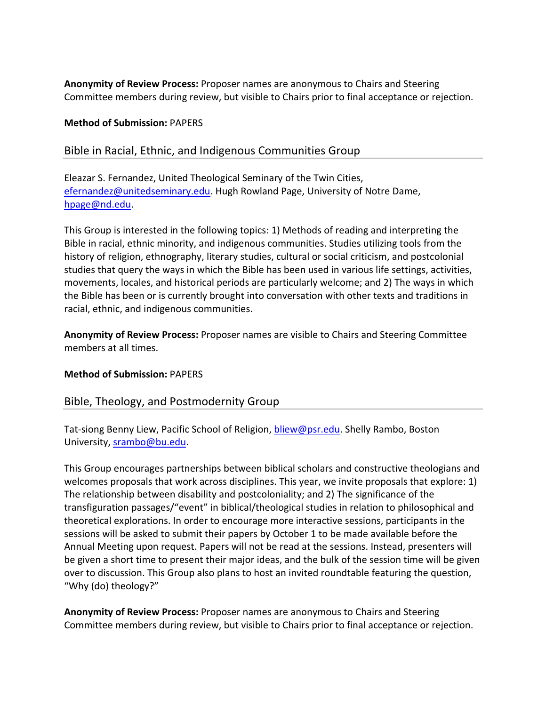**Anonymity of Review Process:** Proposer names are anonymous to Chairs and Steering Committee members during review, but visible to Chairs prior to final acceptance or rejection.

#### **Method of Submission:** PAPERS

# Bible in Racial, Ethnic, and Indigenous Communities Group

Eleazar S. Fernandez, United Theological Seminary of the Twin Cities, efernandez@unitedseminary.edu. Hugh Rowland Page, University of Notre Dame, hpage@nd.edu.

This Group is interested in the following topics: 1) Methods of reading and interpreting the Bible in racial, ethnic minority, and indigenous communities. Studies utilizing tools from the history of religion, ethnography, literary studies, cultural or social criticism, and postcolonial studies that query the ways in which the Bible has been used in various life settings, activities, movements, locales, and historical periods are particularly welcome; and 2) The ways in which the Bible has been or is currently brought into conversation with other texts and traditions in racial, ethnic, and indigenous communities.

**Anonymity of Review Process:** Proposer names are visible to Chairs and Steering Committee members at all times.

#### **Method of Submission:** PAPERS

# Bible, Theology, and Postmodernity Group

Tat-siong Benny Liew, Pacific School of Religion, bliew@psr.edu. Shelly Rambo, Boston University, srambo@bu.edu.

This Group encourages partnerships between biblical scholars and constructive theologians and welcomes proposals that work across disciplines. This year, we invite proposals that explore: 1) The relationship between disability and postcoloniality; and 2) The significance of the transfiguration passages/"event" in biblical/theological studies in relation to philosophical and theoretical explorations. In order to encourage more interactive sessions, participants in the sessions will be asked to submit their papers by October 1 to be made available before the Annual Meeting upon request. Papers will not be read at the sessions. Instead, presenters will be given a short time to present their major ideas, and the bulk of the session time will be given over to discussion. This Group also plans to host an invited roundtable featuring the question, "Why (do) theology?"

**Anonymity of Review Process:** Proposer names are anonymous to Chairs and Steering Committee members during review, but visible to Chairs prior to final acceptance or rejection.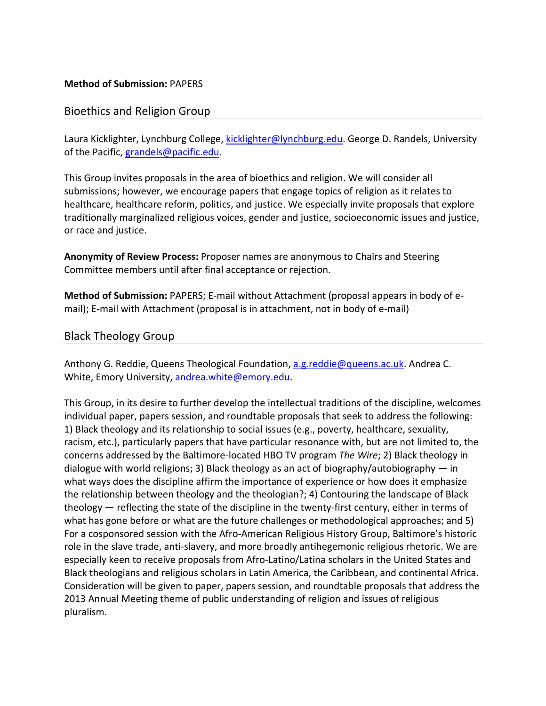#### **Method of Submission:** PAPERS

# Bioethics and Religion Group

Laura Kicklighter, Lynchburg College, kicklighter@lynchburg.edu. George D. Randels, University of the Pacific, grandels@pacific.edu.

This Group invites proposals in the area of bioethics and religion. We will consider all submissions; however, we encourage papers that engage topics of religion as it relates to healthcare, healthcare reform, politics, and justice. We especially invite proposals that explore traditionally marginalized religious voices, gender and justice, socioeconomic issues and justice, or race and justice.

**Anonymity of Review Process:** Proposer names are anonymous to Chairs and Steering Committee members until after final acceptance or rejection.

**Method of Submission:** PAPERS; E‐mail without Attachment (proposal appears in body of e‐ mail); E-mail with Attachment (proposal is in attachment, not in body of e-mail)

Black Theology Group

Anthony G. Reddie, Queens Theological Foundation, a.g.reddie@queens.ac.uk. Andrea C. White, Emory University, andrea.white@emory.edu.

This Group, in its desire to further develop the intellectual traditions of the discipline, welcomes individual paper, papers session, and roundtable proposals that seek to address the following: 1) Black theology and its relationship to social issues (e.g., poverty, healthcare, sexuality, racism, etc.), particularly papers that have particular resonance with, but are not limited to, the concerns addressed by the Baltimore‐located HBO TV program *The Wire*; 2) Black theology in dialogue with world religions; 3) Black theology as an act of biography/autobiography  $-$  in what ways does the discipline affirm the importance of experience or how does it emphasize the relationship between theology and the theologian?; 4) Contouring the landscape of Black theology — reflecting the state of the discipline in the twenty-first century, either in terms of what has gone before or what are the future challenges or methodological approaches; and 5) For a cosponsored session with the Afro‐American Religious History Group, Baltimore's historic role in the slave trade, anti‐slavery, and more broadly antihegemonic religious rhetoric. We are especially keen to receive proposals from Afro‐Latino/Latina scholars in the United States and Black theologians and religious scholars in Latin America, the Caribbean, and continental Africa. Consideration will be given to paper, papers session, and roundtable proposals that address the 2013 Annual Meeting theme of public understanding of religion and issues of religious pluralism.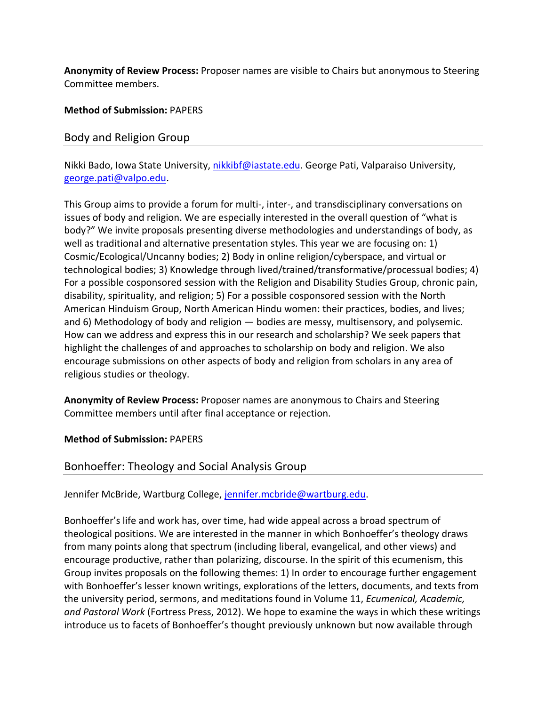**Anonymity of Review Process:** Proposer names are visible to Chairs but anonymous to Steering Committee members.

# **Method of Submission:** PAPERS

### Body and Religion Group

Nikki Bado, Iowa State University, nikkibf@iastate.edu. George Pati, Valparaiso University, george.pati@valpo.edu.

This Group aims to provide a forum for multi‐, inter‐, and transdisciplinary conversations on issues of body and religion. We are especially interested in the overall question of "what is body?" We invite proposals presenting diverse methodologies and understandings of body, as well as traditional and alternative presentation styles. This year we are focusing on: 1) Cosmic/Ecological/Uncanny bodies; 2) Body in online religion/cyberspace, and virtual or technological bodies; 3) Knowledge through lived/trained/transformative/processual bodies; 4) For a possible cosponsored session with the Religion and Disability Studies Group, chronic pain, disability, spirituality, and religion; 5) For a possible cosponsored session with the North American Hinduism Group, North American Hindu women: their practices, bodies, and lives; and 6) Methodology of body and religion — bodies are messy, multisensory, and polysemic. How can we address and express this in our research and scholarship? We seek papers that highlight the challenges of and approaches to scholarship on body and religion. We also encourage submissions on other aspects of body and religion from scholars in any area of religious studies or theology.

**Anonymity of Review Process:** Proposer names are anonymous to Chairs and Steering Committee members until after final acceptance or rejection.

#### **Method of Submission:** PAPERS

# Bonhoeffer: Theology and Social Analysis Group

Jennifer McBride, Wartburg College, jennifer.mcbride@wartburg.edu.

Bonhoeffer's life and work has, over time, had wide appeal across a broad spectrum of theological positions. We are interested in the manner in which Bonhoeffer's theology draws from many points along that spectrum (including liberal, evangelical, and other views) and encourage productive, rather than polarizing, discourse. In the spirit of this ecumenism, this Group invites proposals on the following themes: 1) In order to encourage further engagement with Bonhoeffer's lesser known writings, explorations of the letters, documents, and texts from the university period, sermons, and meditations found in Volume 11, *Ecumenical, Academic, and Pastoral Work* (Fortress Press, 2012). We hope to examine the ways in which these writings introduce us to facets of Bonhoeffer's thought previously unknown but now available through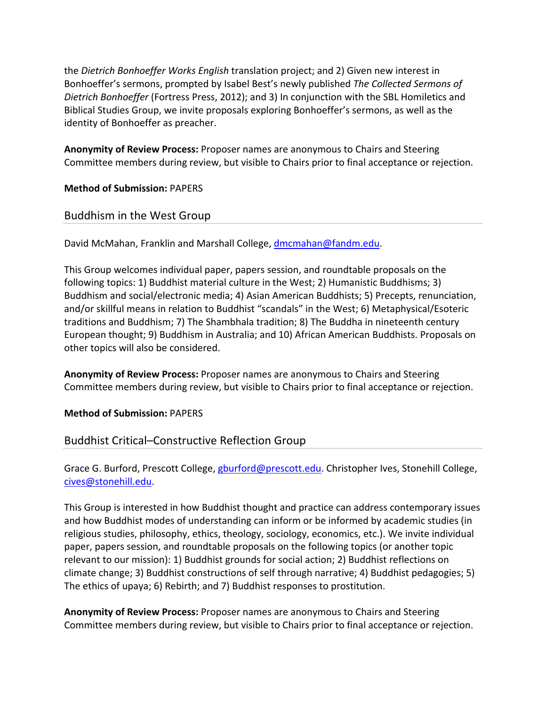the *Dietrich Bonhoeffer Works English* translation project; and 2) Given new interest in Bonhoeffer's sermons, prompted by Isabel Best's newly published *The Collected Sermons of Dietrich Bonhoeffer* (Fortress Press, 2012); and 3) In conjunction with the SBL Homiletics and Biblical Studies Group, we invite proposals exploring Bonhoeffer's sermons, as well as the identity of Bonhoeffer as preacher.

**Anonymity of Review Process:** Proposer names are anonymous to Chairs and Steering Committee members during review, but visible to Chairs prior to final acceptance or rejection.

**Method of Submission:** PAPERS

Buddhism in the West Group

David McMahan, Franklin and Marshall College, dmcmahan@fandm.edu.

This Group welcomes individual paper, papers session, and roundtable proposals on the following topics: 1) Buddhist material culture in the West; 2) Humanistic Buddhisms; 3) Buddhism and social/electronic media; 4) Asian American Buddhists; 5) Precepts, renunciation, and/or skillful means in relation to Buddhist "scandals" in the West; 6) Metaphysical/Esoteric traditions and Buddhism; 7) The Shambhala tradition; 8) The Buddha in nineteenth century European thought; 9) Buddhism in Australia; and 10) African American Buddhists. Proposals on other topics will also be considered.

**Anonymity of Review Process:** Proposer names are anonymous to Chairs and Steering Committee members during review, but visible to Chairs prior to final acceptance or rejection.

**Method of Submission:** PAPERS

# Buddhist Critical–Constructive Reflection Group

Grace G. Burford, Prescott College, gburford@prescott.edu. Christopher Ives, Stonehill College, cives@stonehill.edu.

This Group is interested in how Buddhist thought and practice can address contemporary issues and how Buddhist modes of understanding can inform or be informed by academic studies (in religious studies, philosophy, ethics, theology, sociology, economics, etc.). We invite individual paper, papers session, and roundtable proposals on the following topics (or another topic relevant to our mission): 1) Buddhist grounds for social action; 2) Buddhist reflections on climate change; 3) Buddhist constructions of self through narrative; 4) Buddhist pedagogies; 5) The ethics of upaya; 6) Rebirth; and 7) Buddhist responses to prostitution.

**Anonymity of Review Process:** Proposer names are anonymous to Chairs and Steering Committee members during review, but visible to Chairs prior to final acceptance or rejection.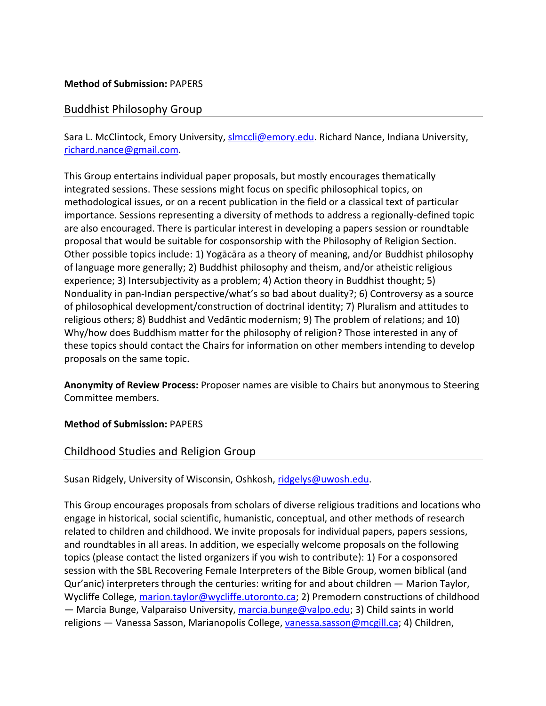#### **Method of Submission:** PAPERS

# Buddhist Philosophy Group

Sara L. McClintock, Emory University, slmccli@emory.edu. Richard Nance, Indiana University, richard.nance@gmail.com.

This Group entertains individual paper proposals, but mostly encourages thematically integrated sessions. These sessions might focus on specific philosophical topics, on methodological issues, or on a recent publication in the field or a classical text of particular importance. Sessions representing a diversity of methods to address a regionally-defined topic are also encouraged. There is particular interest in developing a papers session or roundtable proposal that would be suitable for cosponsorship with the Philosophy of Religion Section. Other possible topics include: 1) Yogācāra as a theory of meaning, and/or Buddhist philosophy of language more generally; 2) Buddhist philosophy and theism, and/or atheistic religious experience; 3) Intersubjectivity as a problem; 4) Action theory in Buddhist thought; 5) Nonduality in pan-Indian perspective/what's so bad about duality?; 6) Controversy as a source of philosophical development/construction of doctrinal identity; 7) Pluralism and attitudes to religious others; 8) Buddhist and Vedāntic modernism; 9) The problem of relations; and 10) Why/how does Buddhism matter for the philosophy of religion? Those interested in any of these topics should contact the Chairs for information on other members intending to develop proposals on the same topic.

**Anonymity of Review Process:** Proposer names are visible to Chairs but anonymous to Steering Committee members.

#### **Method of Submission:** PAPERS

# Childhood Studies and Religion Group

Susan Ridgely, University of Wisconsin, Oshkosh, ridgelys@uwosh.edu.

This Group encourages proposals from scholars of diverse religious traditions and locations who engage in historical, social scientific, humanistic, conceptual, and other methods of research related to children and childhood. We invite proposals for individual papers, papers sessions, and roundtables in all areas. In addition, we especially welcome proposals on the following topics (please contact the listed organizers if you wish to contribute): 1) For a cosponsored session with the SBL Recovering Female Interpreters of the Bible Group, women biblical (and Qur'anic) interpreters through the centuries: writing for and about children — Marion Taylor, Wycliffe College, marion.taylor@wycliffe.utoronto.ca; 2) Premodern constructions of childhood — Marcia Bunge, Valparaiso University, marcia.bunge@valpo.edu; 3) Child saints in world religions — Vanessa Sasson, Marianopolis College, vanessa.sasson@mcgill.ca; 4) Children,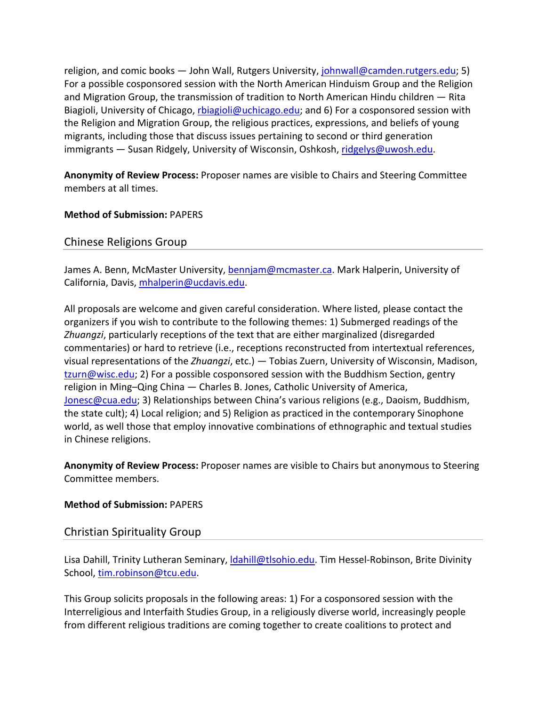religion, and comic books — John Wall, Rutgers University, johnwall@camden.rutgers.edu; 5) For a possible cosponsored session with the North American Hinduism Group and the Religion and Migration Group, the transmission of tradition to North American Hindu children — Rita Biagioli, University of Chicago, rbiagioli@uchicago.edu; and 6) For a cosponsored session with the Religion and Migration Group, the religious practices, expressions, and beliefs of young migrants, including those that discuss issues pertaining to second or third generation immigrants — Susan Ridgely, University of Wisconsin, Oshkosh, ridgelys@uwosh.edu.

**Anonymity of Review Process:** Proposer names are visible to Chairs and Steering Committee members at all times.

**Method of Submission:** PAPERS

Chinese Religions Group

James A. Benn, McMaster University, bennjam@mcmaster.ca. Mark Halperin, University of California, Davis, mhalperin@ucdavis.edu.

All proposals are welcome and given careful consideration. Where listed, please contact the organizers if you wish to contribute to the following themes: 1) Submerged readings of the *Zhuangzi*, particularly receptions of the text that are either marginalized (disregarded commentaries) or hard to retrieve (i.e., receptions reconstructed from intertextual references, visual representations of the *Zhuangzi*, etc.) — Tobias Zuern, University of Wisconsin, Madison, tzurn@wisc.edu; 2) For a possible cosponsored session with the Buddhism Section, gentry religion in Ming–Qing China — Charles B. Jones, Catholic University of America, Jonesc@cua.edu; 3) Relationships between China's various religions (e.g., Daoism, Buddhism, the state cult); 4) Local religion; and 5) Religion as practiced in the contemporary Sinophone world, as well those that employ innovative combinations of ethnographic and textual studies in Chinese religions.

**Anonymity of Review Process:** Proposer names are visible to Chairs but anonymous to Steering Committee members.

#### **Method of Submission:** PAPERS

# Christian Spirituality Group

Lisa Dahill, Trinity Lutheran Seminary, *dahill@tlsohio.edu*. Tim Hessel-Robinson, Brite Divinity School, tim.robinson@tcu.edu.

This Group solicits proposals in the following areas: 1) For a cosponsored session with the Interreligious and Interfaith Studies Group, in a religiously diverse world, increasingly people from different religious traditions are coming together to create coalitions to protect and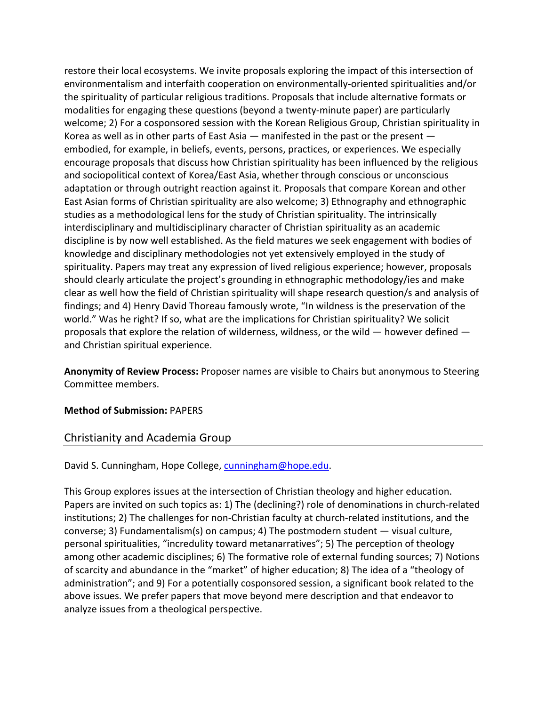restore their local ecosystems. We invite proposals exploring the impact of this intersection of environmentalism and interfaith cooperation on environmentally‐oriented spiritualities and/or the spirituality of particular religious traditions. Proposals that include alternative formats or modalities for engaging these questions (beyond a twenty‐minute paper) are particularly welcome; 2) For a cosponsored session with the Korean Religious Group, Christian spirituality in Korea as well as in other parts of East Asia  $-$  manifested in the past or the present  $$ embodied, for example, in beliefs, events, persons, practices, or experiences. We especially encourage proposals that discuss how Christian spirituality has been influenced by the religious and sociopolitical context of Korea/East Asia, whether through conscious or unconscious adaptation or through outright reaction against it. Proposals that compare Korean and other East Asian forms of Christian spirituality are also welcome; 3) Ethnography and ethnographic studies as a methodological lens for the study of Christian spirituality. The intrinsically interdisciplinary and multidisciplinary character of Christian spirituality as an academic discipline is by now well established. As the field matures we seek engagement with bodies of knowledge and disciplinary methodologies not yet extensively employed in the study of spirituality. Papers may treat any expression of lived religious experience; however, proposals should clearly articulate the project's grounding in ethnographic methodology/ies and make clear as well how the field of Christian spirituality will shape research question/s and analysis of findings; and 4) Henry David Thoreau famously wrote, "In wildness is the preservation of the world." Was he right? If so, what are the implications for Christian spirituality? We solicit proposals that explore the relation of wilderness, wildness, or the wild — however defined and Christian spiritual experience.

**Anonymity of Review Process:** Proposer names are visible to Chairs but anonymous to Steering Committee members.

#### **Method of Submission:** PAPERS

# Christianity and Academia Group

David S. Cunningham, Hope College, cunningham@hope.edu.

This Group explores issues at the intersection of Christian theology and higher education. Papers are invited on such topics as: 1) The (declining?) role of denominations in church‐related institutions; 2) The challenges for non‐Christian faculty at church‐related institutions, and the converse; 3) Fundamentalism(s) on campus; 4) The postmodern student — visual culture, personal spiritualities, "incredulity toward metanarratives"; 5) The perception of theology among other academic disciplines; 6) The formative role of external funding sources; 7) Notions of scarcity and abundance in the "market" of higher education; 8) The idea of a "theology of administration"; and 9) For a potentially cosponsored session, a significant book related to the above issues. We prefer papers that move beyond mere description and that endeavor to analyze issues from a theological perspective.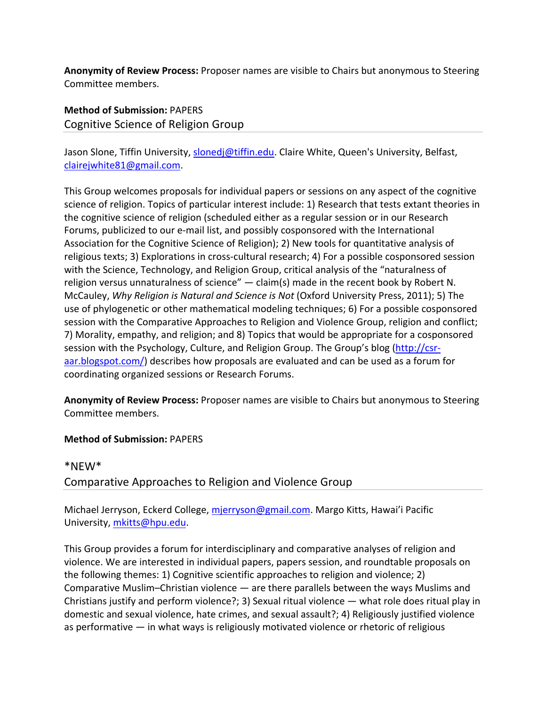**Anonymity of Review Process:** Proposer names are visible to Chairs but anonymous to Steering Committee members.

**Method of Submission:** PAPERS Cognitive Science of Religion Group

Jason Slone, Tiffin University, slonedj@tiffin.edu. Claire White, Queen's University, Belfast, clairejwhite81@gmail.com.

This Group welcomes proposals for individual papers or sessions on any aspect of the cognitive science of religion. Topics of particular interest include: 1) Research that tests extant theories in the cognitive science of religion (scheduled either as a regular session or in our Research Forums, publicized to our e‐mail list, and possibly cosponsored with the International Association for the Cognitive Science of Religion); 2) New tools for quantitative analysis of religious texts; 3) Explorations in cross‐cultural research; 4) For a possible cosponsored session with the Science, Technology, and Religion Group, critical analysis of the "naturalness of religion versus unnaturalness of science" — claim(s) made in the recent book by Robert N. McCauley, *Why Religion is Natural and Science is Not* (Oxford University Press, 2011); 5) The use of phylogenetic or other mathematical modeling techniques; 6) For a possible cosponsored session with the Comparative Approaches to Religion and Violence Group, religion and conflict; 7) Morality, empathy, and religion; and 8) Topics that would be appropriate for a cosponsored session with the Psychology, Culture, and Religion Group. The Group's blog (http://csr‐ aar.blogspot.com/) describes how proposals are evaluated and can be used as a forum for coordinating organized sessions or Research Forums.

**Anonymity of Review Process:** Proposer names are visible to Chairs but anonymous to Steering Committee members.

#### **Method of Submission:** PAPERS

# \*NEW\* Comparative Approaches to Religion and Violence Group

Michael Jerryson, Eckerd College, mjerryson@gmail.com. Margo Kitts, Hawai'i Pacific University, mkitts@hpu.edu.

This Group provides a forum for interdisciplinary and comparative analyses of religion and violence. We are interested in individual papers, papers session, and roundtable proposals on the following themes: 1) Cognitive scientific approaches to religion and violence; 2) Comparative Muslim–Christian violence — are there parallels between the ways Muslims and Christians justify and perform violence?; 3) Sexual ritual violence — what role does ritual play in domestic and sexual violence, hate crimes, and sexual assault?; 4) Religiously justified violence as performative — in what ways is religiously motivated violence or rhetoric of religious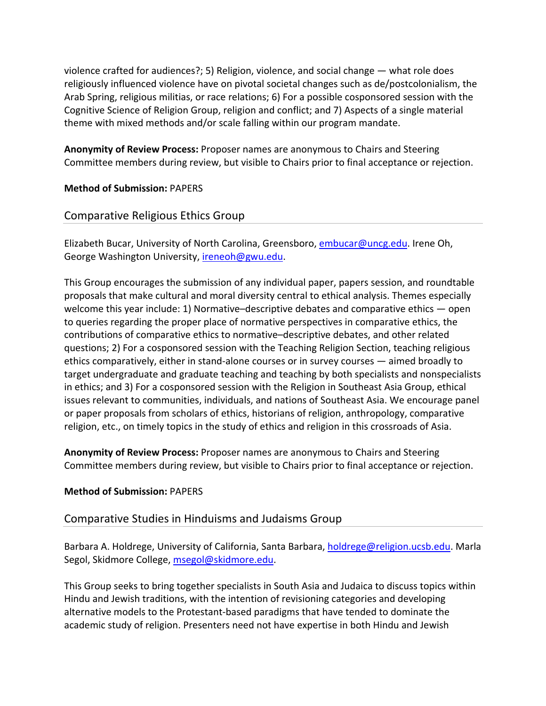violence crafted for audiences?; 5) Religion, violence, and social change — what role does religiously influenced violence have on pivotal societal changes such as de/postcolonialism, the Arab Spring, religious militias, or race relations; 6) For a possible cosponsored session with the Cognitive Science of Religion Group, religion and conflict; and 7) Aspects of a single material theme with mixed methods and/or scale falling within our program mandate.

**Anonymity of Review Process:** Proposer names are anonymous to Chairs and Steering Committee members during review, but visible to Chairs prior to final acceptance or rejection.

# **Method of Submission:** PAPERS

# Comparative Religious Ethics Group

Elizabeth Bucar, University of North Carolina, Greensboro, embucar@uncg.edu. Irene Oh, George Washington University, ireneoh@gwu.edu.

This Group encourages the submission of any individual paper, papers session, and roundtable proposals that make cultural and moral diversity central to ethical analysis. Themes especially welcome this year include: 1) Normative–descriptive debates and comparative ethics — open to queries regarding the proper place of normative perspectives in comparative ethics, the contributions of comparative ethics to normative–descriptive debates, and other related questions; 2) For a cosponsored session with the Teaching Religion Section, teaching religious ethics comparatively, either in stand‐alone courses or in survey courses — aimed broadly to target undergraduate and graduate teaching and teaching by both specialists and nonspecialists in ethics; and 3) For a cosponsored session with the Religion in Southeast Asia Group, ethical issues relevant to communities, individuals, and nations of Southeast Asia. We encourage panel or paper proposals from scholars of ethics, historians of religion, anthropology, comparative religion, etc., on timely topics in the study of ethics and religion in this crossroads of Asia.

**Anonymity of Review Process:** Proposer names are anonymous to Chairs and Steering Committee members during review, but visible to Chairs prior to final acceptance or rejection.

#### **Method of Submission:** PAPERS

# Comparative Studies in Hinduisms and Judaisms Group

Barbara A. Holdrege, University of California, Santa Barbara, holdrege@religion.ucsb.edu. Marla Segol, Skidmore College, msegol@skidmore.edu.

This Group seeks to bring together specialists in South Asia and Judaica to discuss topics within Hindu and Jewish traditions, with the intention of revisioning categories and developing alternative models to the Protestant‐based paradigms that have tended to dominate the academic study of religion. Presenters need not have expertise in both Hindu and Jewish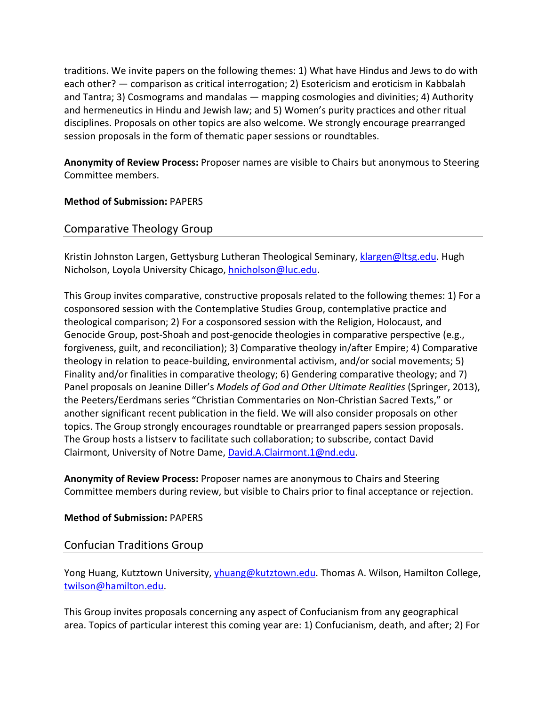traditions. We invite papers on the following themes: 1) What have Hindus and Jews to do with each other? — comparison as critical interrogation; 2) Esotericism and eroticism in Kabbalah and Tantra; 3) Cosmograms and mandalas — mapping cosmologies and divinities; 4) Authority and hermeneutics in Hindu and Jewish law; and 5) Women's purity practices and other ritual disciplines. Proposals on other topics are also welcome. We strongly encourage prearranged session proposals in the form of thematic paper sessions or roundtables.

**Anonymity of Review Process:** Proposer names are visible to Chairs but anonymous to Steering Committee members.

#### **Method of Submission:** PAPERS

# Comparative Theology Group

Kristin Johnston Largen, Gettysburg Lutheran Theological Seminary, klargen@ltsg.edu. Hugh Nicholson, Loyola University Chicago, hnicholson@luc.edu.

This Group invites comparative, constructive proposals related to the following themes: 1) For a cosponsored session with the Contemplative Studies Group, contemplative practice and theological comparison; 2) For a cosponsored session with the Religion, Holocaust, and Genocide Group, post-Shoah and post-genocide theologies in comparative perspective (e.g., forgiveness, guilt, and reconciliation); 3) Comparative theology in/after Empire; 4) Comparative theology in relation to peace‐building, environmental activism, and/or social movements; 5) Finality and/or finalities in comparative theology; 6) Gendering comparative theology; and 7) Panel proposals on Jeanine Diller's *Models of God and Other Ultimate Realities* (Springer, 2013), the Peeters/Eerdmans series "Christian Commentaries on Non‐Christian Sacred Texts," or another significant recent publication in the field. We will also consider proposals on other topics. The Group strongly encourages roundtable or prearranged papers session proposals. The Group hosts a listserv to facilitate such collaboration; to subscribe, contact David Clairmont, University of Notre Dame, David.A.Clairmont.1@nd.edu.

**Anonymity of Review Process:** Proposer names are anonymous to Chairs and Steering Committee members during review, but visible to Chairs prior to final acceptance or rejection.

#### **Method of Submission:** PAPERS

#### Confucian Traditions Group

Yong Huang, Kutztown University, yhuang@kutztown.edu. Thomas A. Wilson, Hamilton College, twilson@hamilton.edu.

This Group invites proposals concerning any aspect of Confucianism from any geographical area. Topics of particular interest this coming year are: 1) Confucianism, death, and after; 2) For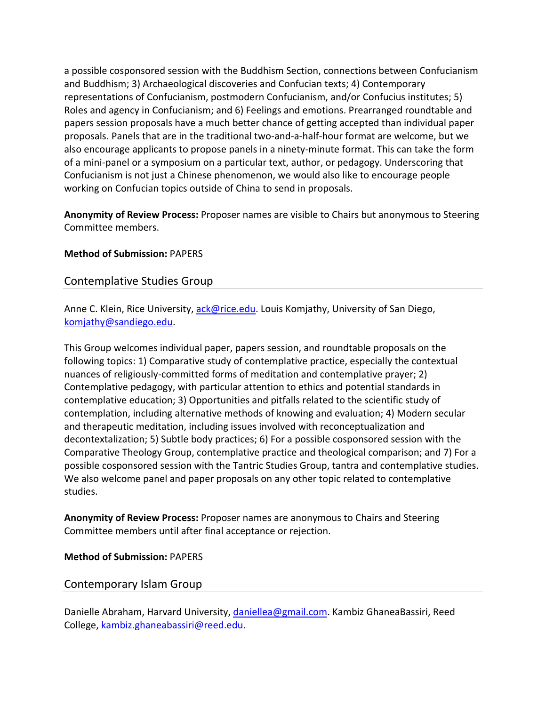a possible cosponsored session with the Buddhism Section, connections between Confucianism and Buddhism; 3) Archaeological discoveries and Confucian texts; 4) Contemporary representations of Confucianism, postmodern Confucianism, and/or Confucius institutes; 5) Roles and agency in Confucianism; and 6) Feelings and emotions. Prearranged roundtable and papers session proposals have a much better chance of getting accepted than individual paper proposals. Panels that are in the traditional two‐and‐a‐half‐hour format are welcome, but we also encourage applicants to propose panels in a ninety‐minute format. This can take the form of a mini‐panel or a symposium on a particular text, author, or pedagogy. Underscoring that Confucianism is not just a Chinese phenomenon, we would also like to encourage people working on Confucian topics outside of China to send in proposals.

**Anonymity of Review Process:** Proposer names are visible to Chairs but anonymous to Steering Committee members.

#### **Method of Submission:** PAPERS

# Contemplative Studies Group

Anne C. Klein, Rice University, ack@rice.edu. Louis Komjathy, University of San Diego, komjathy@sandiego.edu.

This Group welcomes individual paper, papers session, and roundtable proposals on the following topics: 1) Comparative study of contemplative practice, especially the contextual nuances of religiously‐committed forms of meditation and contemplative prayer; 2) Contemplative pedagogy, with particular attention to ethics and potential standards in contemplative education; 3) Opportunities and pitfalls related to the scientific study of contemplation, including alternative methods of knowing and evaluation; 4) Modern secular and therapeutic meditation, including issues involved with reconceptualization and decontextalization; 5) Subtle body practices; 6) For a possible cosponsored session with the Comparative Theology Group, contemplative practice and theological comparison; and 7) For a possible cosponsored session with the Tantric Studies Group, tantra and contemplative studies. We also welcome panel and paper proposals on any other topic related to contemplative studies.

**Anonymity of Review Process:** Proposer names are anonymous to Chairs and Steering Committee members until after final acceptance or rejection.

#### **Method of Submission:** PAPERS

# Contemporary Islam Group

Danielle Abraham, Harvard University, daniellea@gmail.com. Kambiz GhaneaBassiri, Reed College, kambiz.ghaneabassiri@reed.edu.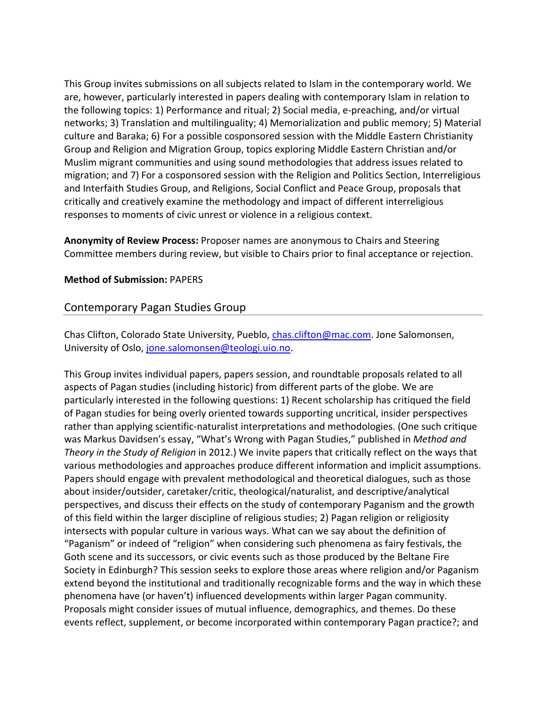This Group invites submissions on all subjects related to Islam in the contemporary world. We are, however, particularly interested in papers dealing with contemporary Islam in relation to the following topics: 1) Performance and ritual; 2) Social media, e‐preaching, and/or virtual networks; 3) Translation and multilinguality; 4) Memorialization and public memory; 5) Material culture and Baraka; 6) For a possible cosponsored session with the Middle Eastern Christianity Group and Religion and Migration Group, topics exploring Middle Eastern Christian and/or Muslim migrant communities and using sound methodologies that address issues related to migration; and 7) For a cosponsored session with the Religion and Politics Section, Interreligious and Interfaith Studies Group, and Religions, Social Conflict and Peace Group, proposals that critically and creatively examine the methodology and impact of different interreligious responses to moments of civic unrest or violence in a religious context.

**Anonymity of Review Process:** Proposer names are anonymous to Chairs and Steering Committee members during review, but visible to Chairs prior to final acceptance or rejection.

#### **Method of Submission:** PAPERS

# Contemporary Pagan Studies Group

Chas Clifton, Colorado State University, Pueblo, *chas.clifton@mac.com*. Jone Salomonsen, University of Oslo, jone.salomonsen@teologi.uio.no.

This Group invites individual papers, papers session, and roundtable proposals related to all aspects of Pagan studies (including historic) from different parts of the globe. We are particularly interested in the following questions: 1) Recent scholarship has critiqued the field of Pagan studies for being overly oriented towards supporting uncritical, insider perspectives rather than applying scientific-naturalist interpretations and methodologies. (One such critique was Markus Davidsen's essay, "What's Wrong with Pagan Studies," published in *Method and Theory in the Study of Religion* in 2012.) We invite papers that critically reflect on the ways that various methodologies and approaches produce different information and implicit assumptions. Papers should engage with prevalent methodological and theoretical dialogues, such as those about insider/outsider, caretaker/critic, theological/naturalist, and descriptive/analytical perspectives, and discuss their effects on the study of contemporary Paganism and the growth of this field within the larger discipline of religious studies; 2) Pagan religion or religiosity intersects with popular culture in various ways. What can we say about the definition of "Paganism" or indeed of "religion" when considering such phenomena as fairy festivals, the Goth scene and its successors, or civic events such as those produced by the Beltane Fire Society in Edinburgh? This session seeks to explore those areas where religion and/or Paganism extend beyond the institutional and traditionally recognizable forms and the way in which these phenomena have (or haven't) influenced developments within larger Pagan community. Proposals might consider issues of mutual influence, demographics, and themes. Do these events reflect, supplement, or become incorporated within contemporary Pagan practice?; and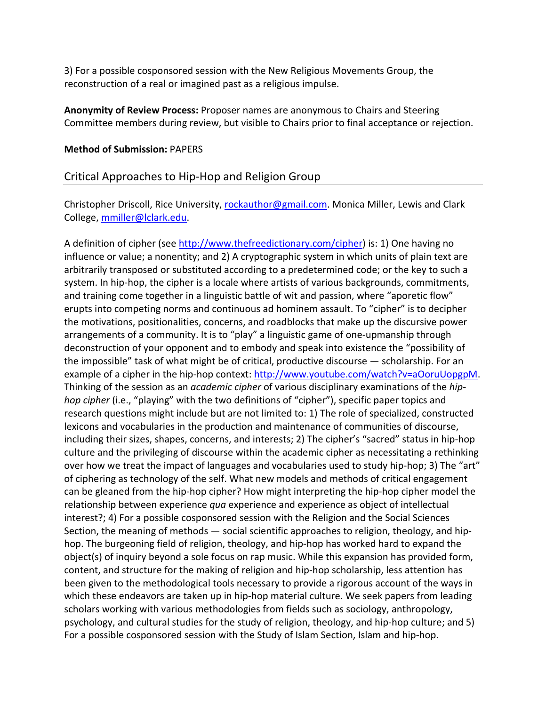3) For a possible cosponsored session with the New Religious Movements Group, the reconstruction of a real or imagined past as a religious impulse.

**Anonymity of Review Process:** Proposer names are anonymous to Chairs and Steering Committee members during review, but visible to Chairs prior to final acceptance or rejection.

#### **Method of Submission:** PAPERS

#### Critical Approaches to Hip‐Hop and Religion Group

Christopher Driscoll, Rice University, rockauthor@gmail.com. Monica Miller, Lewis and Clark College, mmiller@lclark.edu.

A definition of cipher (see http://www.thefreedictionary.com/cipher) is: 1) One having no influence or value; a nonentity; and 2) A cryptographic system in which units of plain text are arbitrarily transposed or substituted according to a predetermined code; or the key to such a system. In hip‐hop, the cipher is a locale where artists of various backgrounds, commitments, and training come together in a linguistic battle of wit and passion, where "aporetic flow" erupts into competing norms and continuous ad hominem assault. To "cipher" is to decipher the motivations, positionalities, concerns, and roadblocks that make up the discursive power arrangements of a community. It is to "play" a linguistic game of one-upmanship through deconstruction of your opponent and to embody and speak into existence the "possibility of the impossible" task of what might be of critical, productive discourse — scholarship. For an example of a cipher in the hip-hop context: http://www.youtube.com/watch?v=aOoruUopgpM. Thinking of the session as an *academic cipher* of various disciplinary examinations of the *hip‐ hop cipher* (i.e., "playing" with the two definitions of "cipher"), specific paper topics and research questions might include but are not limited to: 1) The role of specialized, constructed lexicons and vocabularies in the production and maintenance of communities of discourse, including their sizes, shapes, concerns, and interests; 2) The cipher's "sacred" status in hip‐hop culture and the privileging of discourse within the academic cipher as necessitating a rethinking over how we treat the impact of languages and vocabularies used to study hip-hop; 3) The "art" of ciphering as technology of the self. What new models and methods of critical engagement can be gleaned from the hip‐hop cipher? How might interpreting the hip‐hop cipher model the relationship between experience *qua* experience and experience as object of intellectual interest?; 4) For a possible cosponsored session with the Religion and the Social Sciences Section, the meaning of methods — social scientific approaches to religion, theology, and hip‐ hop. The burgeoning field of religion, theology, and hip‐hop has worked hard to expand the object(s) of inquiry beyond a sole focus on rap music. While this expansion has provided form, content, and structure for the making of religion and hip‐hop scholarship, less attention has been given to the methodological tools necessary to provide a rigorous account of the ways in which these endeavors are taken up in hip-hop material culture. We seek papers from leading scholars working with various methodologies from fields such as sociology, anthropology, psychology, and cultural studies for the study of religion, theology, and hip‐hop culture; and 5) For a possible cosponsored session with the Study of Islam Section, Islam and hip‐hop.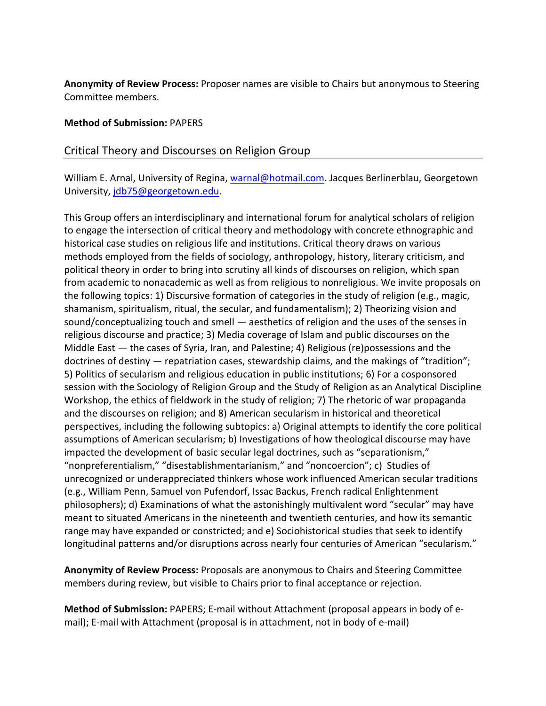**Anonymity of Review Process:** Proposer names are visible to Chairs but anonymous to Steering Committee members.

#### **Method of Submission:** PAPERS

#### Critical Theory and Discourses on Religion Group

William E. Arnal, University of Regina, warnal@hotmail.com. Jacques Berlinerblau, Georgetown University, jdb75@georgetown.edu.

This Group offers an interdisciplinary and international forum for analytical scholars of religion to engage the intersection of critical theory and methodology with concrete ethnographic and historical case studies on religious life and institutions. Critical theory draws on various methods employed from the fields of sociology, anthropology, history, literary criticism, and political theory in order to bring into scrutiny all kinds of discourses on religion, which span from academic to nonacademic as well as from religious to nonreligious. We invite proposals on the following topics: 1) Discursive formation of categories in the study of religion (e.g., magic, shamanism, spiritualism, ritual, the secular, and fundamentalism); 2) Theorizing vision and sound/conceptualizing touch and smell — aesthetics of religion and the uses of the senses in religious discourse and practice; 3) Media coverage of Islam and public discourses on the Middle East — the cases of Syria, Iran, and Palestine; 4) Religious (re)possessions and the doctrines of destiny — repatriation cases, stewardship claims, and the makings of "tradition"; 5) Politics of secularism and religious education in public institutions; 6) For a cosponsored session with the Sociology of Religion Group and the Study of Religion as an Analytical Discipline Workshop, the ethics of fieldwork in the study of religion; 7) The rhetoric of war propaganda and the discourses on religion; and 8) American secularism in historical and theoretical perspectives, including the following subtopics: a) Original attempts to identify the core political assumptions of American secularism; b) Investigations of how theological discourse may have impacted the development of basic secular legal doctrines, such as "separationism," "nonpreferentialism," "disestablishmentarianism," and "noncoercion"; c) Studies of unrecognized or underappreciated thinkers whose work influenced American secular traditions (e.g., William Penn, Samuel von Pufendorf, Issac Backus, French radical Enlightenment philosophers); d) Examinations of what the astonishingly multivalent word "secular" may have meant to situated Americans in the nineteenth and twentieth centuries, and how its semantic range may have expanded or constricted; and e) Sociohistorical studies that seek to identify longitudinal patterns and/or disruptions across nearly four centuries of American "secularism."

**Anonymity of Review Process:** Proposals are anonymous to Chairs and Steering Committee members during review, but visible to Chairs prior to final acceptance or rejection.

**Method of Submission:** PAPERS; E‐mail without Attachment (proposal appears in body of e‐ mail); E-mail with Attachment (proposal is in attachment, not in body of e-mail)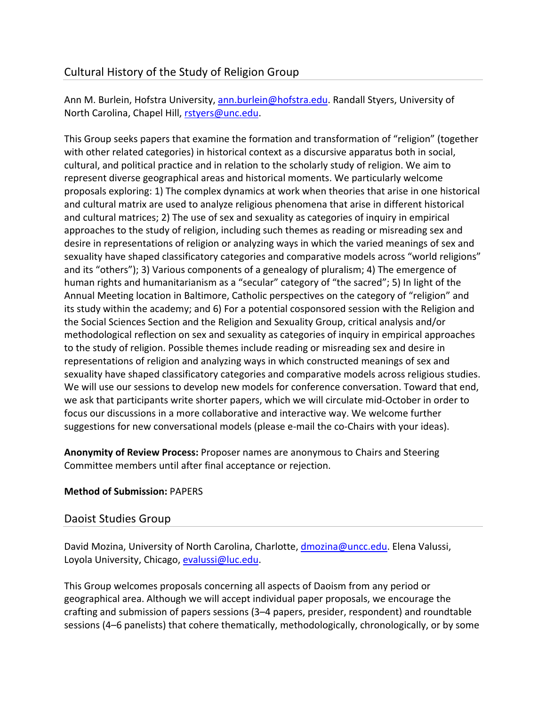# Cultural History of the Study of Religion Group

Ann M. Burlein, Hofstra University, ann.burlein@hofstra.edu. Randall Styers, University of North Carolina, Chapel Hill, rstyers@unc.edu.

This Group seeks papers that examine the formation and transformation of "religion" (together with other related categories) in historical context as a discursive apparatus both in social, cultural, and political practice and in relation to the scholarly study of religion. We aim to represent diverse geographical areas and historical moments. We particularly welcome proposals exploring: 1) The complex dynamics at work when theories that arise in one historical and cultural matrix are used to analyze religious phenomena that arise in different historical and cultural matrices; 2) The use of sex and sexuality as categories of inquiry in empirical approaches to the study of religion, including such themes as reading or misreading sex and desire in representations of religion or analyzing ways in which the varied meanings of sex and sexuality have shaped classificatory categories and comparative models across "world religions" and its "others"); 3) Various components of a genealogy of pluralism; 4) The emergence of human rights and humanitarianism as a "secular" category of "the sacred"; 5) In light of the Annual Meeting location in Baltimore, Catholic perspectives on the category of "religion" and its study within the academy; and 6) For a potential cosponsored session with the Religion and the Social Sciences Section and the Religion and Sexuality Group, critical analysis and/or methodological reflection on sex and sexuality as categories of inquiry in empirical approaches to the study of religion. Possible themes include reading or misreading sex and desire in representations of religion and analyzing ways in which constructed meanings of sex and sexuality have shaped classificatory categories and comparative models across religious studies. We will use our sessions to develop new models for conference conversation. Toward that end, we ask that participants write shorter papers, which we will circulate mid‐October in order to focus our discussions in a more collaborative and interactive way. We welcome further suggestions for new conversational models (please e-mail the co-Chairs with your ideas).

**Anonymity of Review Process:** Proposer names are anonymous to Chairs and Steering Committee members until after final acceptance or rejection.

# **Method of Submission:** PAPERS

# Daoist Studies Group

David Mozina, University of North Carolina, Charlotte, dmozina@uncc.edu. Elena Valussi, Loyola University, Chicago, evalussi@luc.edu.

This Group welcomes proposals concerning all aspects of Daoism from any period or geographical area. Although we will accept individual paper proposals, we encourage the crafting and submission of papers sessions (3–4 papers, presider, respondent) and roundtable sessions (4–6 panelists) that cohere thematically, methodologically, chronologically, or by some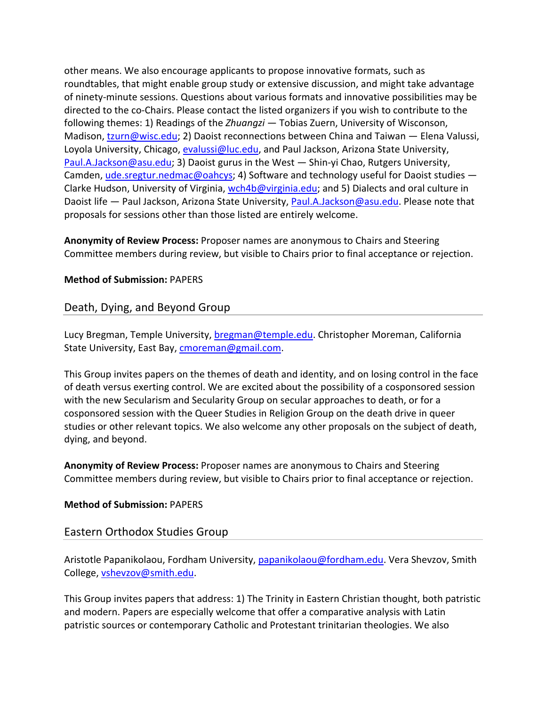other means. We also encourage applicants to propose innovative formats, such as roundtables, that might enable group study or extensive discussion, and might take advantage of ninety‐minute sessions. Questions about various formats and innovative possibilities may be directed to the co‐Chairs. Please contact the listed organizers if you wish to contribute to the following themes: 1) Readings of the *Zhuangzi* — Tobias Zuern, University of Wisconson, Madison, tzurn@wisc.edu; 2) Daoist reconnections between China and Taiwan — Elena Valussi, Loyola University, Chicago, evalussi@luc.edu, and Paul Jackson, Arizona State University, Paul.A.Jackson@asu.edu; 3) Daoist gurus in the West — Shin‐yi Chao, Rutgers University, Camden, ude.sregtur.nedmac@oahcys; 4) Software and technology useful for Daoist studies — Clarke Hudson, University of Virginia, wch4b@virginia.edu; and 5) Dialects and oral culture in Daoist life — Paul Jackson, Arizona State University, Paul.A.Jackson@asu.edu. Please note that proposals for sessions other than those listed are entirely welcome.

**Anonymity of Review Process:** Proposer names are anonymous to Chairs and Steering Committee members during review, but visible to Chairs prior to final acceptance or rejection.

#### **Method of Submission:** PAPERS

# Death, Dying, and Beyond Group

Lucy Bregman, Temple University, bregman@temple.edu. Christopher Moreman, California State University, East Bay, cmoreman@gmail.com.

This Group invites papers on the themes of death and identity, and on losing control in the face of death versus exerting control. We are excited about the possibility of a cosponsored session with the new Secularism and Secularity Group on secular approaches to death, or for a cosponsored session with the Queer Studies in Religion Group on the death drive in queer studies or other relevant topics. We also welcome any other proposals on the subject of death, dying, and beyond.

**Anonymity of Review Process:** Proposer names are anonymous to Chairs and Steering Committee members during review, but visible to Chairs prior to final acceptance or rejection.

#### **Method of Submission:** PAPERS

# Eastern Orthodox Studies Group

Aristotle Papanikolaou, Fordham University, papanikolaou@fordham.edu. Vera Shevzov, Smith College, vshevzov@smith.edu.

This Group invites papers that address: 1) The Trinity in Eastern Christian thought, both patristic and modern. Papers are especially welcome that offer a comparative analysis with Latin patristic sources or contemporary Catholic and Protestant trinitarian theologies. We also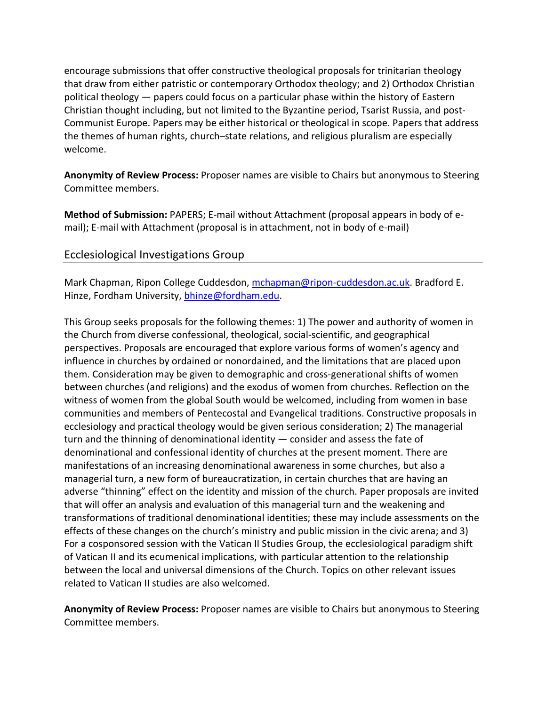encourage submissions that offer constructive theological proposals for trinitarian theology that draw from either patristic or contemporary Orthodox theology; and 2) Orthodox Christian political theology — papers could focus on a particular phase within the history of Eastern Christian thought including, but not limited to the Byzantine period, Tsarist Russia, and post‐ Communist Europe. Papers may be either historical or theological in scope. Papers that address the themes of human rights, church–state relations, and religious pluralism are especially welcome.

**Anonymity of Review Process:** Proposer names are visible to Chairs but anonymous to Steering Committee members.

**Method of Submission:** PAPERS; E‐mail without Attachment (proposal appears in body of e‐ mail); E‐mail with Attachment (proposal is in attachment, not in body of e‐mail)

# Ecclesiological Investigations Group

Mark Chapman, Ripon College Cuddesdon, mchapman@ripon-cuddesdon.ac.uk. Bradford E. Hinze, Fordham University, bhinze@fordham.edu.

This Group seeks proposals for the following themes: 1) The power and authority of women in the Church from diverse confessional, theological, social‐scientific, and geographical perspectives. Proposals are encouraged that explore various forms of women's agency and influence in churches by ordained or nonordained, and the limitations that are placed upon them. Consideration may be given to demographic and cross‐generational shifts of women between churches (and religions) and the exodus of women from churches. Reflection on the witness of women from the global South would be welcomed, including from women in base communities and members of Pentecostal and Evangelical traditions. Constructive proposals in ecclesiology and practical theology would be given serious consideration; 2) The managerial turn and the thinning of denominational identity — consider and assess the fate of denominational and confessional identity of churches at the present moment. There are manifestations of an increasing denominational awareness in some churches, but also a managerial turn, a new form of bureaucratization, in certain churches that are having an adverse "thinning" effect on the identity and mission of the church. Paper proposals are invited that will offer an analysis and evaluation of this managerial turn and the weakening and transformations of traditional denominational identities; these may include assessments on the effects of these changes on the church's ministry and public mission in the civic arena; and 3) For a cosponsored session with the Vatican II Studies Group, the ecclesiological paradigm shift of Vatican II and its ecumenical implications, with particular attention to the relationship between the local and universal dimensions of the Church. Topics on other relevant issues related to Vatican II studies are also welcomed.

**Anonymity of Review Process:** Proposer names are visible to Chairs but anonymous to Steering Committee members.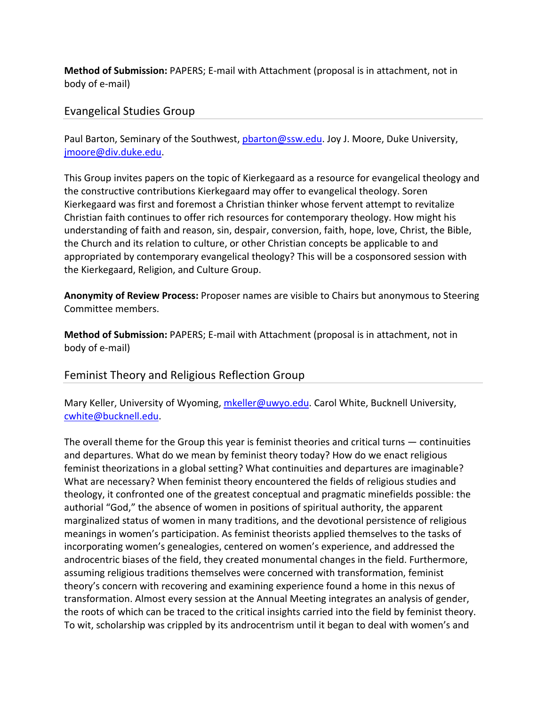**Method of Submission:** PAPERS; E‐mail with Attachment (proposal is in attachment, not in body of e‐mail)

# Evangelical Studies Group

Paul Barton, Seminary of the Southwest, pbarton@ssw.edu. Joy J. Moore, Duke University, jmoore@div.duke.edu.

This Group invites papers on the topic of Kierkegaard as a resource for evangelical theology and the constructive contributions Kierkegaard may offer to evangelical theology. Soren Kierkegaard was first and foremost a Christian thinker whose fervent attempt to revitalize Christian faith continues to offer rich resources for contemporary theology. How might his understanding of faith and reason, sin, despair, conversion, faith, hope, love, Christ, the Bible, the Church and its relation to culture, or other Christian concepts be applicable to and appropriated by contemporary evangelical theology? This will be a cosponsored session with the Kierkegaard, Religion, and Culture Group.

**Anonymity of Review Process:** Proposer names are visible to Chairs but anonymous to Steering Committee members.

**Method of Submission:** PAPERS; E‐mail with Attachment (proposal is in attachment, not in body of e‐mail)

# Feminist Theory and Religious Reflection Group

Mary Keller, University of Wyoming, mkeller@uwyo.edu. Carol White, Bucknell University, cwhite@bucknell.edu.

The overall theme for the Group this year is feminist theories and critical turns — continuities and departures. What do we mean by feminist theory today? How do we enact religious feminist theorizations in a global setting? What continuities and departures are imaginable? What are necessary? When feminist theory encountered the fields of religious studies and theology, it confronted one of the greatest conceptual and pragmatic minefields possible: the authorial "God," the absence of women in positions of spiritual authority, the apparent marginalized status of women in many traditions, and the devotional persistence of religious meanings in women's participation. As feminist theorists applied themselves to the tasks of incorporating women's genealogies, centered on women's experience, and addressed the androcentric biases of the field, they created monumental changes in the field. Furthermore, assuming religious traditions themselves were concerned with transformation, feminist theory's concern with recovering and examining experience found a home in this nexus of transformation. Almost every session at the Annual Meeting integrates an analysis of gender, the roots of which can be traced to the critical insights carried into the field by feminist theory. To wit, scholarship was crippled by its androcentrism until it began to deal with women's and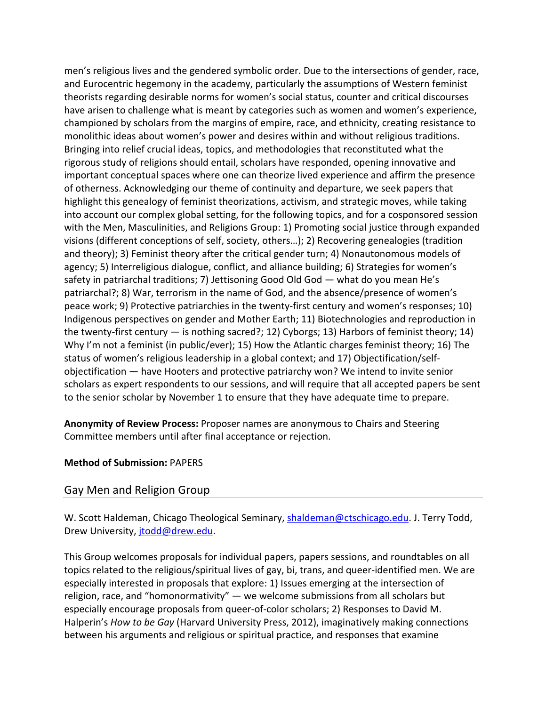men's religious lives and the gendered symbolic order. Due to the intersections of gender, race, and Eurocentric hegemony in the academy, particularly the assumptions of Western feminist theorists regarding desirable norms for women's social status, counter and critical discourses have arisen to challenge what is meant by categories such as women and women's experience, championed by scholars from the margins of empire, race, and ethnicity, creating resistance to monolithic ideas about women's power and desires within and without religious traditions. Bringing into relief crucial ideas, topics, and methodologies that reconstituted what the rigorous study of religions should entail, scholars have responded, opening innovative and important conceptual spaces where one can theorize lived experience and affirm the presence of otherness. Acknowledging our theme of continuity and departure, we seek papers that highlight this genealogy of feminist theorizations, activism, and strategic moves, while taking into account our complex global setting, for the following topics, and for a cosponsored session with the Men, Masculinities, and Religions Group: 1) Promoting social justice through expanded visions (different conceptions of self, society, others…); 2) Recovering genealogies (tradition and theory); 3) Feminist theory after the critical gender turn; 4) Nonautonomous models of agency; 5) Interreligious dialogue, conflict, and alliance building; 6) Strategies for women's safety in patriarchal traditions; 7) Jettisoning Good Old God — what do you mean He's patriarchal?; 8) War, terrorism in the name of God, and the absence/presence of women's peace work; 9) Protective patriarchies in the twenty‐first century and women's responses; 10) Indigenous perspectives on gender and Mother Earth; 11) Biotechnologies and reproduction in the twenty‐first century — is nothing sacred?; 12) Cyborgs; 13) Harbors of feminist theory; 14) Why I'm not a feminist (in public/ever); 15) How the Atlantic charges feminist theory; 16) The status of women's religious leadership in a global context; and 17) Objectification/self‐ objectification — have Hooters and protective patriarchy won? We intend to invite senior scholars as expert respondents to our sessions, and will require that all accepted papers be sent to the senior scholar by November 1 to ensure that they have adequate time to prepare.

**Anonymity of Review Process:** Proposer names are anonymous to Chairs and Steering Committee members until after final acceptance or rejection.

# **Method of Submission:** PAPERS

# Gay Men and Religion Group

W. Scott Haldeman, Chicago Theological Seminary, shaldeman@ctschicago.edu. J. Terry Todd, Drew University, jtodd@drew.edu.

This Group welcomes proposals for individual papers, papers sessions, and roundtables on all topics related to the religious/spiritual lives of gay, bi, trans, and queer‐identified men. We are especially interested in proposals that explore: 1) Issues emerging at the intersection of religion, race, and "homonormativity" — we welcome submissions from all scholars but especially encourage proposals from queer‐of‐color scholars; 2) Responses to David M. Halperin's *How to be Gay* (Harvard University Press, 2012), imaginatively making connections between his arguments and religious or spiritual practice, and responses that examine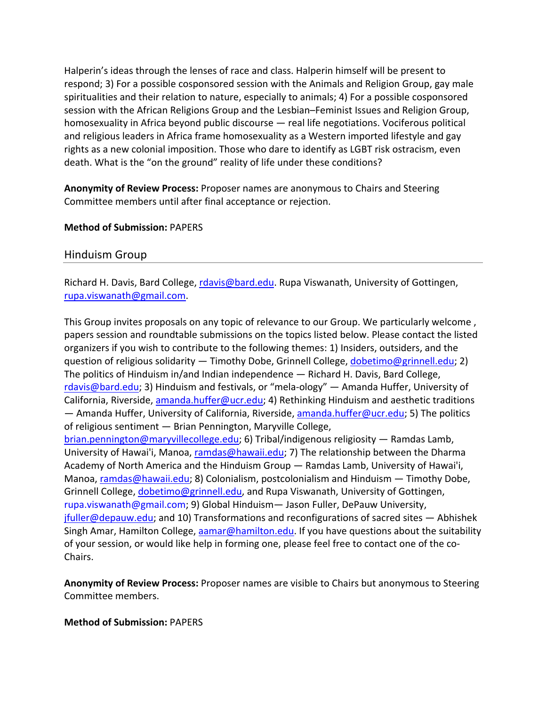Halperin's ideas through the lenses of race and class. Halperin himself will be present to respond; 3) For a possible cosponsored session with the Animals and Religion Group, gay male spiritualities and their relation to nature, especially to animals; 4) For a possible cosponsored session with the African Religions Group and the Lesbian–Feminist Issues and Religion Group, homosexuality in Africa beyond public discourse — real life negotiations. Vociferous political and religious leaders in Africa frame homosexuality as a Western imported lifestyle and gay rights as a new colonial imposition. Those who dare to identify as LGBT risk ostracism, even death. What is the "on the ground" reality of life under these conditions?

**Anonymity of Review Process:** Proposer names are anonymous to Chairs and Steering Committee members until after final acceptance or rejection.

#### **Method of Submission:** PAPERS

#### Hinduism Group

Richard H. Davis, Bard College, rdavis@bard.edu. Rupa Viswanath, University of Gottingen, rupa.viswanath@gmail.com.

This Group invites proposals on any topic of relevance to our Group. We particularly welcome , papers session and roundtable submissions on the topics listed below. Please contact the listed organizers if you wish to contribute to the following themes: 1) Insiders, outsiders, and the question of religious solidarity — Timothy Dobe, Grinnell College, dobetimo@grinnell.edu; 2) The politics of Hinduism in/and Indian independence — Richard H. Davis, Bard College, rdavis@bard.edu; 3) Hinduism and festivals, or "mela‐ology" — Amanda Huffer, University of California, Riverside, amanda.huffer@ucr.edu; 4) Rethinking Hinduism and aesthetic traditions  $-$  Amanda Huffer, University of California, Riverside, amanda.huffer@ucr.edu; 5) The politics of religious sentiment — Brian Pennington, Maryville College, brian.pennington@maryvillecollege.edu; 6) Tribal/indigenous religiosity — Ramdas Lamb, University of Hawai'i, Manoa, ramdas@hawaii.edu; 7) The relationship between the Dharma Academy of North America and the Hinduism Group — Ramdas Lamb, University of Hawai'i, Manoa, ramdas@hawaii.edu; 8) Colonialism, postcolonialism and Hinduism — Timothy Dobe, Grinnell College, dobetimo@grinnell.edu, and Rupa Viswanath, University of Gottingen, rupa.viswanath@gmail.com; 9) Global Hinduism— Jason Fuller, DePauw University,  $j$ fuller@depauw.edu; and 10) Transformations and reconfigurations of sacred sites  $-$  Abhishek Singh Amar, Hamilton College, aamar@hamilton.edu. If you have questions about the suitability of your session, or would like help in forming one, please feel free to contact one of the co‐ Chairs.

**Anonymity of Review Process:** Proposer names are visible to Chairs but anonymous to Steering Committee members.

#### **Method of Submission:** PAPERS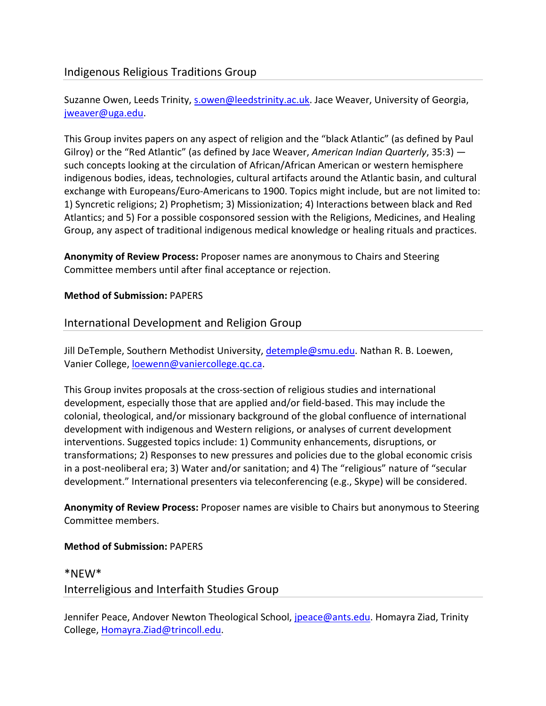# Indigenous Religious Traditions Group

Suzanne Owen, Leeds Trinity, s.owen@leedstrinity.ac.uk. Jace Weaver, University of Georgia, jweaver@uga.edu.

This Group invites papers on any aspect of religion and the "black Atlantic" (as defined by Paul Gilroy) or the "Red Atlantic" (as defined by Jace Weaver, *American Indian Quarterly*, 35:3) such concepts looking at the circulation of African/African American or western hemisphere indigenous bodies, ideas, technologies, cultural artifacts around the Atlantic basin, and cultural exchange with Europeans/Euro-Americans to 1900. Topics might include, but are not limited to: 1) Syncretic religions; 2) Prophetism; 3) Missionization; 4) Interactions between black and Red Atlantics; and 5) For a possible cosponsored session with the Religions, Medicines, and Healing Group, any aspect of traditional indigenous medical knowledge or healing rituals and practices.

**Anonymity of Review Process:** Proposer names are anonymous to Chairs and Steering Committee members until after final acceptance or rejection.

# **Method of Submission:** PAPERS

# International Development and Religion Group

Jill DeTemple, Southern Methodist University, detemple@smu.edu. Nathan R. B. Loewen, Vanier College, loewenn@vaniercollege.qc.ca.

This Group invites proposals at the cross‐section of religious studies and international development, especially those that are applied and/or field‐based. This may include the colonial, theological, and/or missionary background of the global confluence of international development with indigenous and Western religions, or analyses of current development interventions. Suggested topics include: 1) Community enhancements, disruptions, or transformations; 2) Responses to new pressures and policies due to the global economic crisis in a post-neoliberal era; 3) Water and/or sanitation; and 4) The "religious" nature of "secular development." International presenters via teleconferencing (e.g., Skype) will be considered.

**Anonymity of Review Process:** Proposer names are visible to Chairs but anonymous to Steering Committee members.

# **Method of Submission:** PAPERS

# \*NEW\*

Interreligious and Interfaith Studies Group

Jennifer Peace, Andover Newton Theological School, jpeace@ants.edu. Homayra Ziad, Trinity College, Homayra.Ziad@trincoll.edu.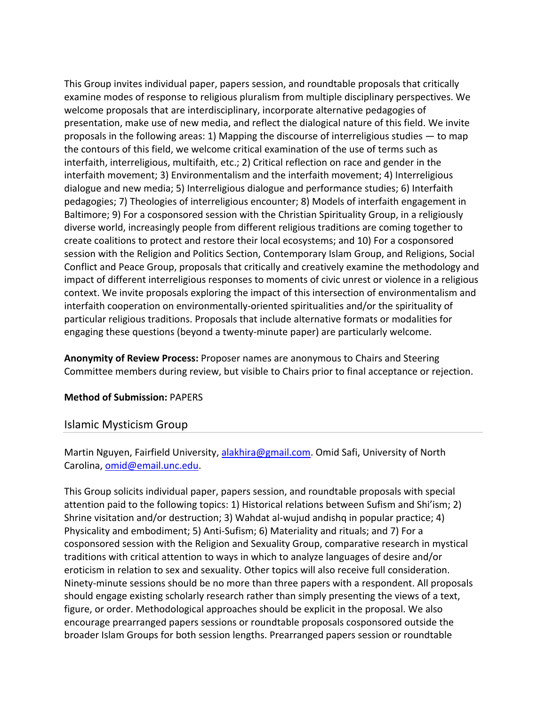This Group invites individual paper, papers session, and roundtable proposals that critically examine modes of response to religious pluralism from multiple disciplinary perspectives. We welcome proposals that are interdisciplinary, incorporate alternative pedagogies of presentation, make use of new media, and reflect the dialogical nature of this field. We invite proposals in the following areas: 1) Mapping the discourse of interreligious studies — to map the contours of this field, we welcome critical examination of the use of terms such as interfaith, interreligious, multifaith, etc.; 2) Critical reflection on race and gender in the interfaith movement; 3) Environmentalism and the interfaith movement; 4) Interreligious dialogue and new media; 5) Interreligious dialogue and performance studies; 6) Interfaith pedagogies; 7) Theologies of interreligious encounter; 8) Models of interfaith engagement in Baltimore; 9) For a cosponsored session with the Christian Spirituality Group, in a religiously diverse world, increasingly people from different religious traditions are coming together to create coalitions to protect and restore their local ecosystems; and 10) For a cosponsored session with the Religion and Politics Section, Contemporary Islam Group, and Religions, Social Conflict and Peace Group, proposals that critically and creatively examine the methodology and impact of different interreligious responses to moments of civic unrest or violence in a religious context. We invite proposals exploring the impact of this intersection of environmentalism and interfaith cooperation on environmentally‐oriented spiritualities and/or the spirituality of particular religious traditions. Proposals that include alternative formats or modalities for engaging these questions (beyond a twenty‐minute paper) are particularly welcome.

**Anonymity of Review Process:** Proposer names are anonymous to Chairs and Steering Committee members during review, but visible to Chairs prior to final acceptance or rejection.

#### **Method of Submission:** PAPERS

#### Islamic Mysticism Group

Martin Nguyen, Fairfield University, alakhira@gmail.com. Omid Safi, University of North Carolina, omid@email.unc.edu.

This Group solicits individual paper, papers session, and roundtable proposals with special attention paid to the following topics: 1) Historical relations between Sufism and Shi'ism; 2) Shrine visitation and/or destruction; 3) Wahdat al‐wujud andishq in popular practice; 4) Physicality and embodiment; 5) Anti‐Sufism; 6) Materiality and rituals; and 7) For a cosponsored session with the Religion and Sexuality Group, comparative research in mystical traditions with critical attention to ways in which to analyze languages of desire and/or eroticism in relation to sex and sexuality. Other topics will also receive full consideration. Ninety‐minute sessions should be no more than three papers with a respondent. All proposals should engage existing scholarly research rather than simply presenting the views of a text, figure, or order. Methodological approaches should be explicit in the proposal. We also encourage prearranged papers sessions or roundtable proposals cosponsored outside the broader Islam Groups for both session lengths. Prearranged papers session or roundtable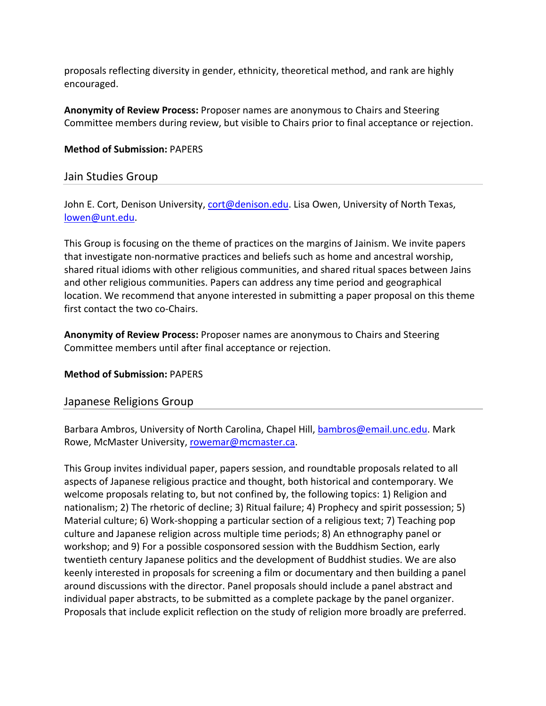proposals reflecting diversity in gender, ethnicity, theoretical method, and rank are highly encouraged.

**Anonymity of Review Process:** Proposer names are anonymous to Chairs and Steering Committee members during review, but visible to Chairs prior to final acceptance or rejection.

#### **Method of Submission:** PAPERS

#### Jain Studies Group

John E. Cort, Denison University, cort@denison.edu. Lisa Owen, University of North Texas, lowen@unt.edu.

This Group is focusing on the theme of practices on the margins of Jainism. We invite papers that investigate non‐normative practices and beliefs such as home and ancestral worship, shared ritual idioms with other religious communities, and shared ritual spaces between Jains and other religious communities. Papers can address any time period and geographical location. We recommend that anyone interested in submitting a paper proposal on this theme first contact the two co-Chairs.

**Anonymity of Review Process:** Proposer names are anonymous to Chairs and Steering Committee members until after final acceptance or rejection.

#### **Method of Submission:** PAPERS

## Japanese Religions Group

Barbara Ambros, University of North Carolina, Chapel Hill, bambros@email.unc.edu. Mark Rowe, McMaster University, rowemar@mcmaster.ca.

This Group invites individual paper, papers session, and roundtable proposals related to all aspects of Japanese religious practice and thought, both historical and contemporary. We welcome proposals relating to, but not confined by, the following topics: 1) Religion and nationalism; 2) The rhetoric of decline; 3) Ritual failure; 4) Prophecy and spirit possession; 5) Material culture; 6) Work-shopping a particular section of a religious text; 7) Teaching pop culture and Japanese religion across multiple time periods; 8) An ethnography panel or workshop; and 9) For a possible cosponsored session with the Buddhism Section, early twentieth century Japanese politics and the development of Buddhist studies. We are also keenly interested in proposals for screening a film or documentary and then building a panel around discussions with the director. Panel proposals should include a panel abstract and individual paper abstracts, to be submitted as a complete package by the panel organizer. Proposals that include explicit reflection on the study of religion more broadly are preferred.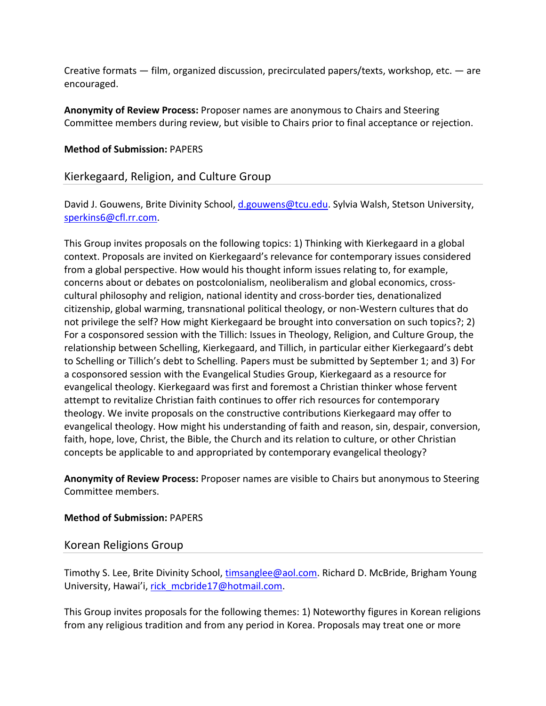Creative formats — film, organized discussion, precirculated papers/texts, workshop, etc. — are encouraged.

**Anonymity of Review Process:** Proposer names are anonymous to Chairs and Steering Committee members during review, but visible to Chairs prior to final acceptance or rejection.

#### **Method of Submission:** PAPERS

## Kierkegaard, Religion, and Culture Group

David J. Gouwens, Brite Divinity School, d.gouwens@tcu.edu. Sylvia Walsh, Stetson University, sperkins6@cfl.rr.com.

This Group invites proposals on the following topics: 1) Thinking with Kierkegaard in a global context. Proposals are invited on Kierkegaard's relevance for contemporary issues considered from a global perspective. How would his thought inform issues relating to, for example, concerns about or debates on postcolonialism, neoliberalism and global economics, cross‐ cultural philosophy and religion, national identity and cross‐border ties, denationalized citizenship, global warming, transnational political theology, or non‐Western cultures that do not privilege the self? How might Kierkegaard be brought into conversation on such topics?; 2) For a cosponsored session with the Tillich: Issues in Theology, Religion, and Culture Group, the relationship between Schelling, Kierkegaard, and Tillich, in particular either Kierkegaard's debt to Schelling or Tillich's debt to Schelling. Papers must be submitted by September 1; and 3) For a cosponsored session with the Evangelical Studies Group, Kierkegaard as a resource for evangelical theology. Kierkegaard was first and foremost a Christian thinker whose fervent attempt to revitalize Christian faith continues to offer rich resources for contemporary theology. We invite proposals on the constructive contributions Kierkegaard may offer to evangelical theology. How might his understanding of faith and reason, sin, despair, conversion, faith, hope, love, Christ, the Bible, the Church and its relation to culture, or other Christian concepts be applicable to and appropriated by contemporary evangelical theology?

**Anonymity of Review Process:** Proposer names are visible to Chairs but anonymous to Steering Committee members.

#### **Method of Submission:** PAPERS

## Korean Religions Group

Timothy S. Lee, Brite Divinity School, timsanglee@aol.com. Richard D. McBride, Brigham Young University, Hawai'i, rick mcbride17@hotmail.com.

This Group invites proposals for the following themes: 1) Noteworthy figures in Korean religions from any religious tradition and from any period in Korea. Proposals may treat one or more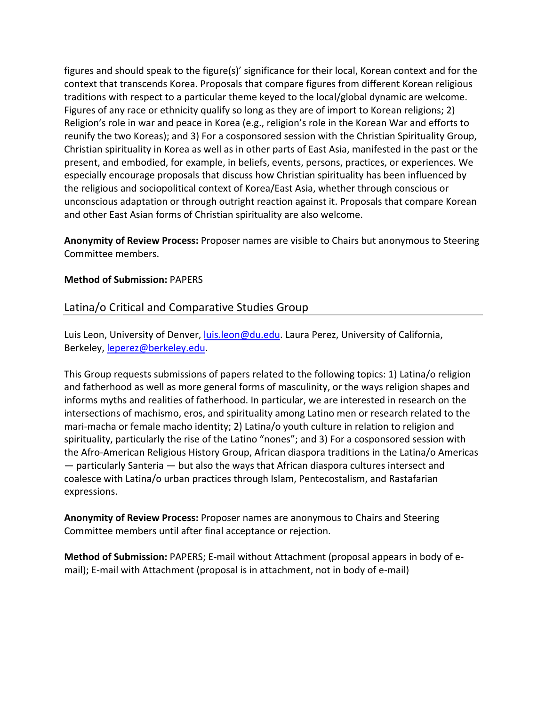figures and should speak to the figure(s)' significance for their local, Korean context and for the context that transcends Korea. Proposals that compare figures from different Korean religious traditions with respect to a particular theme keyed to the local/global dynamic are welcome. Figures of any race or ethnicity qualify so long as they are of import to Korean religions; 2) Religion's role in war and peace in Korea (e.g., religion's role in the Korean War and efforts to reunify the two Koreas); and 3) For a cosponsored session with the Christian Spirituality Group, Christian spirituality in Korea as well as in other parts of East Asia, manifested in the past or the present, and embodied, for example, in beliefs, events, persons, practices, or experiences. We especially encourage proposals that discuss how Christian spirituality has been influenced by the religious and sociopolitical context of Korea/East Asia, whether through conscious or unconscious adaptation or through outright reaction against it. Proposals that compare Korean and other East Asian forms of Christian spirituality are also welcome.

**Anonymity of Review Process:** Proposer names are visible to Chairs but anonymous to Steering Committee members.

#### **Method of Submission:** PAPERS

## Latina/o Critical and Comparative Studies Group

Luis Leon, University of Denver, luis.leon@du.edu. Laura Perez, University of California, Berkeley, leperez@berkeley.edu.

This Group requests submissions of papers related to the following topics: 1) Latina/o religion and fatherhood as well as more general forms of masculinity, or the ways religion shapes and informs myths and realities of fatherhood. In particular, we are interested in research on the intersections of machismo, eros, and spirituality among Latino men or research related to the mari-macha or female macho identity; 2) Latina/o youth culture in relation to religion and spirituality, particularly the rise of the Latino "nones"; and 3) For a cosponsored session with the Afro‐American Religious History Group, African diaspora traditions in the Latina/o Americas — particularly Santeria — but also the ways that African diaspora cultures intersect and coalesce with Latina/o urban practices through Islam, Pentecostalism, and Rastafarian expressions.

**Anonymity of Review Process:** Proposer names are anonymous to Chairs and Steering Committee members until after final acceptance or rejection.

**Method of Submission:** PAPERS; E‐mail without Attachment (proposal appears in body of e‐ mail); E-mail with Attachment (proposal is in attachment, not in body of e-mail)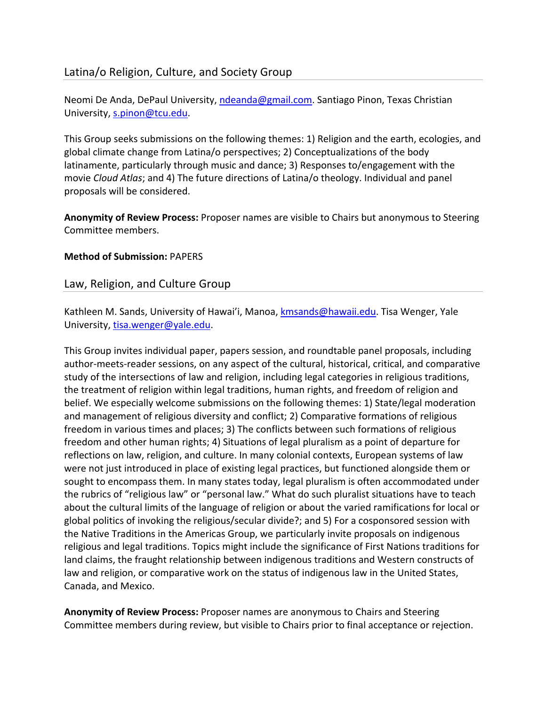## Latina/o Religion, Culture, and Society Group

Neomi De Anda, DePaul University, ndeanda@gmail.com. Santiago Pinon, Texas Christian University, s.pinon@tcu.edu.

This Group seeks submissions on the following themes: 1) Religion and the earth, ecologies, and global climate change from Latina/o perspectives; 2) Conceptualizations of the body latinamente, particularly through music and dance; 3) Responses to/engagement with the movie *Cloud Atlas*; and 4) The future directions of Latina/o theology. Individual and panel proposals will be considered.

**Anonymity of Review Process:** Proposer names are visible to Chairs but anonymous to Steering Committee members.

## **Method of Submission:** PAPERS

## Law, Religion, and Culture Group

Kathleen M. Sands, University of Hawai'i, Manoa, kmsands@hawaii.edu. Tisa Wenger, Yale University, tisa.wenger@yale.edu.

This Group invites individual paper, papers session, and roundtable panel proposals, including author‐meets‐reader sessions, on any aspect of the cultural, historical, critical, and comparative study of the intersections of law and religion, including legal categories in religious traditions, the treatment of religion within legal traditions, human rights, and freedom of religion and belief. We especially welcome submissions on the following themes: 1) State/legal moderation and management of religious diversity and conflict; 2) Comparative formations of religious freedom in various times and places; 3) The conflicts between such formations of religious freedom and other human rights; 4) Situations of legal pluralism as a point of departure for reflections on law, religion, and culture. In many colonial contexts, European systems of law were not just introduced in place of existing legal practices, but functioned alongside them or sought to encompass them. In many states today, legal pluralism is often accommodated under the rubrics of "religious law" or "personal law." What do such pluralist situations have to teach about the cultural limits of the language of religion or about the varied ramifications for local or global politics of invoking the religious/secular divide?; and 5) For a cosponsored session with the Native Traditions in the Americas Group, we particularly invite proposals on indigenous religious and legal traditions. Topics might include the significance of First Nations traditions for land claims, the fraught relationship between indigenous traditions and Western constructs of law and religion, or comparative work on the status of indigenous law in the United States, Canada, and Mexico.

**Anonymity of Review Process:** Proposer names are anonymous to Chairs and Steering Committee members during review, but visible to Chairs prior to final acceptance or rejection.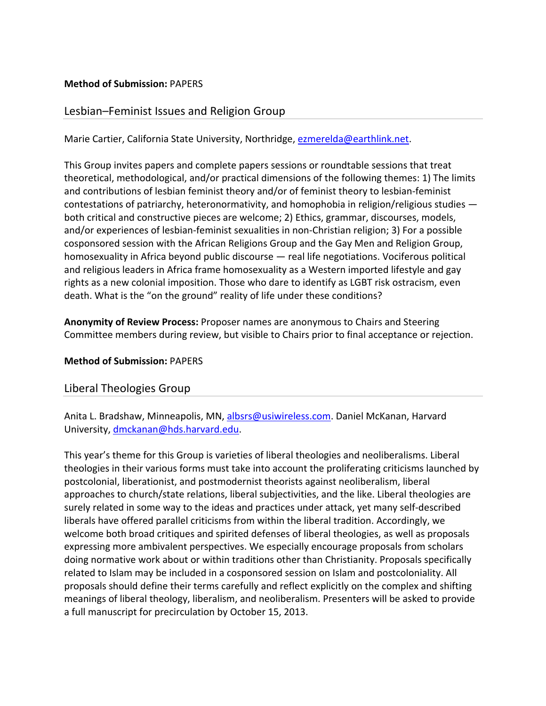#### **Method of Submission:** PAPERS

## Lesbian–Feminist Issues and Religion Group

Marie Cartier, California State University, Northridge, ezmerelda@earthlink.net.

This Group invites papers and complete papers sessions or roundtable sessions that treat theoretical, methodological, and/or practical dimensions of the following themes: 1) The limits and contributions of lesbian feminist theory and/or of feminist theory to lesbian‐feminist contestations of patriarchy, heteronormativity, and homophobia in religion/religious studies both critical and constructive pieces are welcome; 2) Ethics, grammar, discourses, models, and/or experiences of lesbian‐feminist sexualities in non‐Christian religion; 3) For a possible cosponsored session with the African Religions Group and the Gay Men and Religion Group, homosexuality in Africa beyond public discourse — real life negotiations. Vociferous political and religious leaders in Africa frame homosexuality as a Western imported lifestyle and gay rights as a new colonial imposition. Those who dare to identify as LGBT risk ostracism, even death. What is the "on the ground" reality of life under these conditions?

**Anonymity of Review Process:** Proposer names are anonymous to Chairs and Steering Committee members during review, but visible to Chairs prior to final acceptance or rejection.

#### **Method of Submission:** PAPERS

## Liberal Theologies Group

Anita L. Bradshaw, Minneapolis, MN, albsrs@usiwireless.com. Daniel McKanan, Harvard University, dmckanan@hds.harvard.edu.

This year's theme for this Group is varieties of liberal theologies and neoliberalisms. Liberal theologies in their various forms must take into account the proliferating criticisms launched by postcolonial, liberationist, and postmodernist theorists against neoliberalism, liberal approaches to church/state relations, liberal subjectivities, and the like. Liberal theologies are surely related in some way to the ideas and practices under attack, yet many self‐described liberals have offered parallel criticisms from within the liberal tradition. Accordingly, we welcome both broad critiques and spirited defenses of liberal theologies, as well as proposals expressing more ambivalent perspectives. We especially encourage proposals from scholars doing normative work about or within traditions other than Christianity. Proposals specifically related to Islam may be included in a cosponsored session on Islam and postcoloniality. All proposals should define their terms carefully and reflect explicitly on the complex and shifting meanings of liberal theology, liberalism, and neoliberalism. Presenters will be asked to provide a full manuscript for precirculation by October 15, 2013.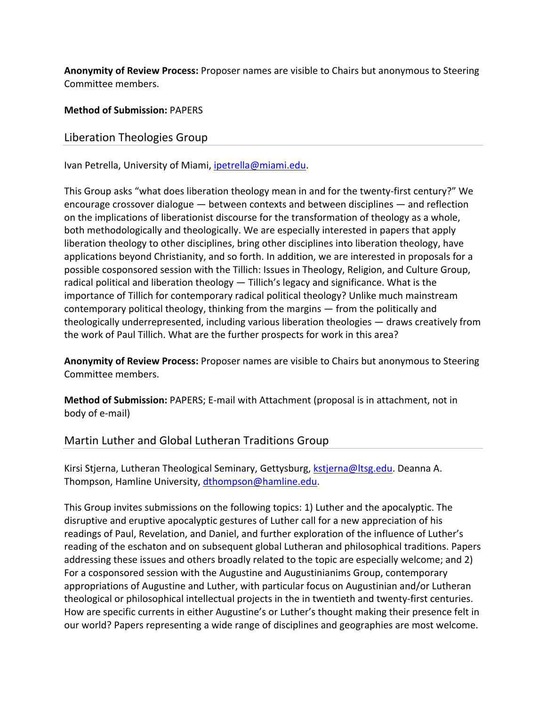**Anonymity of Review Process:** Proposer names are visible to Chairs but anonymous to Steering Committee members.

**Method of Submission:** PAPERS

Liberation Theologies Group

Ivan Petrella, University of Miami, ipetrella@miami.edu.

This Group asks "what does liberation theology mean in and for the twenty‐first century?" We encourage crossover dialogue — between contexts and between disciplines — and reflection on the implications of liberationist discourse for the transformation of theology as a whole, both methodologically and theologically. We are especially interested in papers that apply liberation theology to other disciplines, bring other disciplines into liberation theology, have applications beyond Christianity, and so forth. In addition, we are interested in proposals for a possible cosponsored session with the Tillich: Issues in Theology, Religion, and Culture Group, radical political and liberation theology — Tillich's legacy and significance. What is the importance of Tillich for contemporary radical political theology? Unlike much mainstream contemporary political theology, thinking from the margins — from the politically and theologically underrepresented, including various liberation theologies — draws creatively from the work of Paul Tillich. What are the further prospects for work in this area?

**Anonymity of Review Process:** Proposer names are visible to Chairs but anonymous to Steering Committee members.

**Method of Submission:** PAPERS; E‐mail with Attachment (proposal is in attachment, not in body of e‐mail)

Martin Luther and Global Lutheran Traditions Group

Kirsi Stjerna, Lutheran Theological Seminary, Gettysburg, kstjerna@ltsg.edu. Deanna A. Thompson, Hamline University, dthompson@hamline.edu.

This Group invites submissions on the following topics: 1) Luther and the apocalyptic. The disruptive and eruptive apocalyptic gestures of Luther call for a new appreciation of his readings of Paul, Revelation, and Daniel, and further exploration of the influence of Luther's reading of the eschaton and on subsequent global Lutheran and philosophical traditions. Papers addressing these issues and others broadly related to the topic are especially welcome; and 2) For a cosponsored session with the Augustine and Augustinianims Group, contemporary appropriations of Augustine and Luther, with particular focus on Augustinian and/or Lutheran theological or philosophical intellectual projects in the in twentieth and twenty‐first centuries. How are specific currents in either Augustine's or Luther's thought making their presence felt in our world? Papers representing a wide range of disciplines and geographies are most welcome.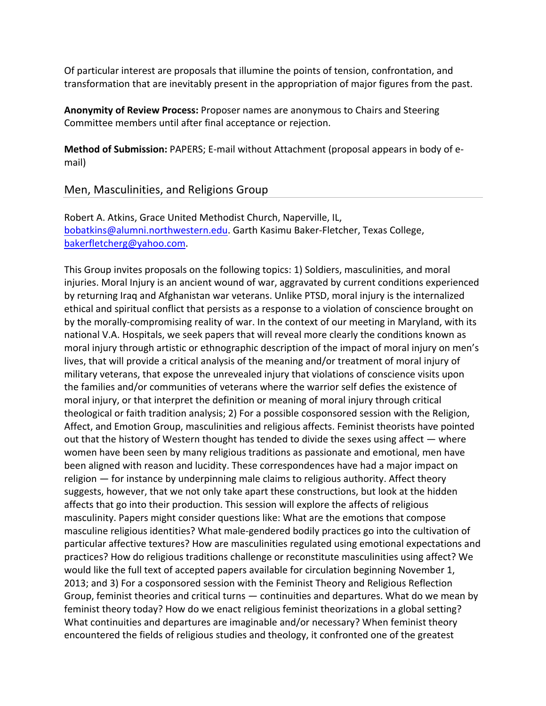Of particular interest are proposals that illumine the points of tension, confrontation, and transformation that are inevitably present in the appropriation of major figures from the past.

**Anonymity of Review Process:** Proposer names are anonymous to Chairs and Steering Committee members until after final acceptance or rejection.

**Method of Submission:** PAPERS; E‐mail without Attachment (proposal appears in body of e‐ mail)

Men, Masculinities, and Religions Group

Robert A. Atkins, Grace United Methodist Church, Naperville, IL, bobatkins@alumni.northwestern.edu. Garth Kasimu Baker‐Fletcher, Texas College, bakerfletcherg@yahoo.com.

This Group invites proposals on the following topics: 1) Soldiers, masculinities, and moral injuries. Moral Injury is an ancient wound of war, aggravated by current conditions experienced by returning Iraq and Afghanistan war veterans. Unlike PTSD, moral injury is the internalized ethical and spiritual conflict that persists as a response to a violation of conscience brought on by the morally‐compromising reality of war. In the context of our meeting in Maryland, with its national V.A. Hospitals, we seek papers that will reveal more clearly the conditions known as moral injury through artistic or ethnographic description of the impact of moral injury on men's lives, that will provide a critical analysis of the meaning and/or treatment of moral injury of military veterans, that expose the unrevealed injury that violations of conscience visits upon the families and/or communities of veterans where the warrior self defies the existence of moral injury, or that interpret the definition or meaning of moral injury through critical theological or faith tradition analysis; 2) For a possible cosponsored session with the Religion, Affect, and Emotion Group, masculinities and religious affects. Feminist theorists have pointed out that the history of Western thought has tended to divide the sexes using affect — where women have been seen by many religious traditions as passionate and emotional, men have been aligned with reason and lucidity. These correspondences have had a major impact on religion — for instance by underpinning male claims to religious authority. Affect theory suggests, however, that we not only take apart these constructions, but look at the hidden affects that go into their production. This session will explore the affects of religious masculinity. Papers might consider questions like: What are the emotions that compose masculine religious identities? What male‐gendered bodily practices go into the cultivation of particular affective textures? How are masculinities regulated using emotional expectations and practices? How do religious traditions challenge or reconstitute masculinities using affect? We would like the full text of accepted papers available for circulation beginning November 1, 2013; and 3) For a cosponsored session with the Feminist Theory and Religious Reflection Group, feminist theories and critical turns — continuities and departures. What do we mean by feminist theory today? How do we enact religious feminist theorizations in a global setting? What continuities and departures are imaginable and/or necessary? When feminist theory encountered the fields of religious studies and theology, it confronted one of the greatest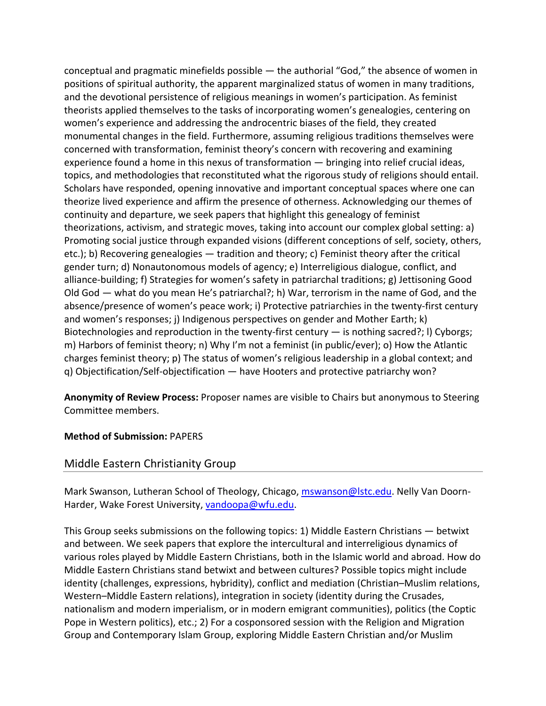conceptual and pragmatic minefields possible — the authorial "God," the absence of women in positions of spiritual authority, the apparent marginalized status of women in many traditions, and the devotional persistence of religious meanings in women's participation. As feminist theorists applied themselves to the tasks of incorporating women's genealogies, centering on women's experience and addressing the androcentric biases of the field, they created monumental changes in the field. Furthermore, assuming religious traditions themselves were concerned with transformation, feminist theory's concern with recovering and examining experience found a home in this nexus of transformation — bringing into relief crucial ideas, topics, and methodologies that reconstituted what the rigorous study of religions should entail. Scholars have responded, opening innovative and important conceptual spaces where one can theorize lived experience and affirm the presence of otherness. Acknowledging our themes of continuity and departure, we seek papers that highlight this genealogy of feminist theorizations, activism, and strategic moves, taking into account our complex global setting: a) Promoting social justice through expanded visions (different conceptions of self, society, others, etc.); b) Recovering genealogies — tradition and theory; c) Feminist theory after the critical gender turn; d) Nonautonomous models of agency; e) Interreligious dialogue, conflict, and alliance‐building; f) Strategies for women's safety in patriarchal traditions; g) Jettisoning Good Old God — what do you mean He's patriarchal?; h) War, terrorism in the name of God, and the absence/presence of women's peace work; i) Protective patriarchies in the twenty‐first century and women's responses; j) Indigenous perspectives on gender and Mother Earth; k) Biotechnologies and reproduction in the twenty-first century  $-$  is nothing sacred?; I) Cyborgs; m) Harbors of feminist theory; n) Why I'm not a feminist (in public/ever); o) How the Atlantic charges feminist theory; p) The status of women's religious leadership in a global context; and q) Objectification/Self‐objectification — have Hooters and protective patriarchy won?

**Anonymity of Review Process:** Proposer names are visible to Chairs but anonymous to Steering Committee members.

#### **Method of Submission:** PAPERS

## Middle Eastern Christianity Group

Mark Swanson, Lutheran School of Theology, Chicago, mswanson@lstc.edu. Nelly Van Doorn‐ Harder, Wake Forest University, vandoopa@wfu.edu.

This Group seeks submissions on the following topics: 1) Middle Eastern Christians — betwixt and between. We seek papers that explore the intercultural and interreligious dynamics of various roles played by Middle Eastern Christians, both in the Islamic world and abroad. How do Middle Eastern Christians stand betwixt and between cultures? Possible topics might include identity (challenges, expressions, hybridity), conflict and mediation (Christian–Muslim relations, Western–Middle Eastern relations), integration in society (identity during the Crusades, nationalism and modern imperialism, or in modern emigrant communities), politics (the Coptic Pope in Western politics), etc.; 2) For a cosponsored session with the Religion and Migration Group and Contemporary Islam Group, exploring Middle Eastern Christian and/or Muslim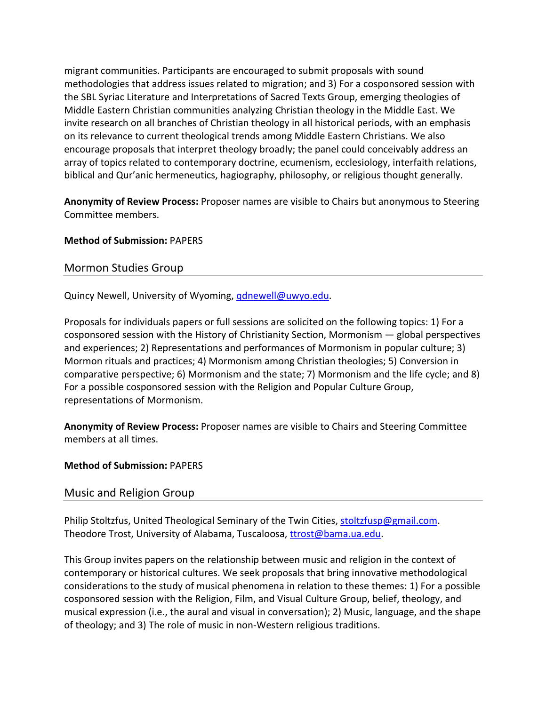migrant communities. Participants are encouraged to submit proposals with sound methodologies that address issues related to migration; and 3) For a cosponsored session with the SBL Syriac Literature and Interpretations of Sacred Texts Group, emerging theologies of Middle Eastern Christian communities analyzing Christian theology in the Middle East. We invite research on all branches of Christian theology in all historical periods, with an emphasis on its relevance to current theological trends among Middle Eastern Christians. We also encourage proposals that interpret theology broadly; the panel could conceivably address an array of topics related to contemporary doctrine, ecumenism, ecclesiology, interfaith relations, biblical and Qur'anic hermeneutics, hagiography, philosophy, or religious thought generally.

**Anonymity of Review Process:** Proposer names are visible to Chairs but anonymous to Steering Committee members.

#### **Method of Submission:** PAPERS

## Mormon Studies Group

Quincy Newell, University of Wyoming, *qdnewell@uwyo.edu.* 

Proposals for individuals papers or full sessions are solicited on the following topics: 1) For a cosponsored session with the History of Christianity Section, Mormonism — global perspectives and experiences; 2) Representations and performances of Mormonism in popular culture; 3) Mormon rituals and practices; 4) Mormonism among Christian theologies; 5) Conversion in comparative perspective; 6) Mormonism and the state; 7) Mormonism and the life cycle; and 8) For a possible cosponsored session with the Religion and Popular Culture Group, representations of Mormonism.

**Anonymity of Review Process:** Proposer names are visible to Chairs and Steering Committee members at all times.

#### **Method of Submission:** PAPERS

## Music and Religion Group

Philip Stoltzfus, United Theological Seminary of the Twin Cities, stoltzfusp@gmail.com. Theodore Trost, University of Alabama, Tuscaloosa, ttrost@bama.ua.edu.

This Group invites papers on the relationship between music and religion in the context of contemporary or historical cultures. We seek proposals that bring innovative methodological considerations to the study of musical phenomena in relation to these themes: 1) For a possible cosponsored session with the Religion, Film, and Visual Culture Group, belief, theology, and musical expression (i.e., the aural and visual in conversation); 2) Music, language, and the shape of theology; and 3) The role of music in non‐Western religious traditions.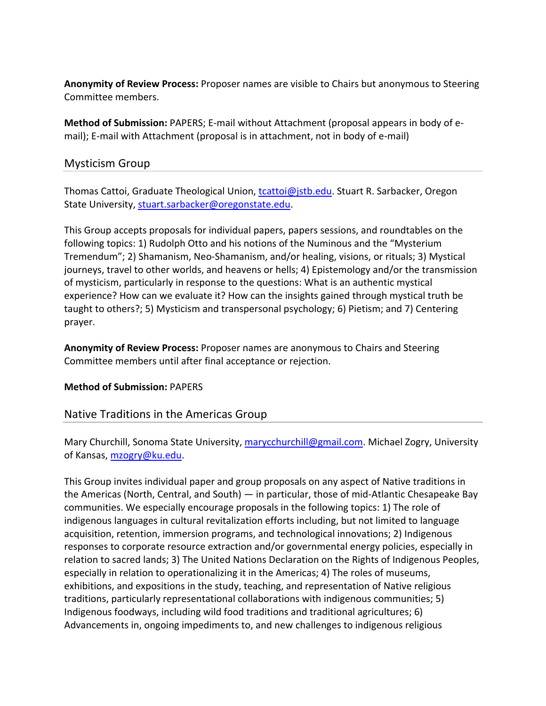**Anonymity of Review Process:** Proposer names are visible to Chairs but anonymous to Steering Committee members.

**Method of Submission:** PAPERS; E‐mail without Attachment (proposal appears in body of e‐ mail); E-mail with Attachment (proposal is in attachment, not in body of e-mail)

## Mysticism Group

Thomas Cattoi, Graduate Theological Union, tcattoi@jstb.edu. Stuart R. Sarbacker, Oregon State University, stuart.sarbacker@oregonstate.edu.

This Group accepts proposals for individual papers, papers sessions, and roundtables on the following topics: 1) Rudolph Otto and his notions of the Numinous and the "Mysterium Tremendum"; 2) Shamanism, Neo‐Shamanism, and/or healing, visions, or rituals; 3) Mystical journeys, travel to other worlds, and heavens or hells; 4) Epistemology and/or the transmission of mysticism, particularly in response to the questions: What is an authentic mystical experience? How can we evaluate it? How can the insights gained through mystical truth be taught to others?; 5) Mysticism and transpersonal psychology; 6) Pietism; and 7) Centering prayer.

**Anonymity of Review Process:** Proposer names are anonymous to Chairs and Steering Committee members until after final acceptance or rejection.

## **Method of Submission:** PAPERS

## Native Traditions in the Americas Group

Mary Churchill, Sonoma State University, marycchurchill@gmail.com. Michael Zogry, University of Kansas, mzogry@ku.edu.

This Group invites individual paper and group proposals on any aspect of Native traditions in the Americas (North, Central, and South) — in particular, those of mid‐Atlantic Chesapeake Bay communities. We especially encourage proposals in the following topics: 1) The role of indigenous languages in cultural revitalization efforts including, but not limited to language acquisition, retention, immersion programs, and technological innovations; 2) Indigenous responses to corporate resource extraction and/or governmental energy policies, especially in relation to sacred lands; 3) The United Nations Declaration on the Rights of Indigenous Peoples, especially in relation to operationalizing it in the Americas; 4) The roles of museums, exhibitions, and expositions in the study, teaching, and representation of Native religious traditions, particularly representational collaborations with indigenous communities; 5) Indigenous foodways, including wild food traditions and traditional agricultures; 6) Advancements in, ongoing impediments to, and new challenges to indigenous religious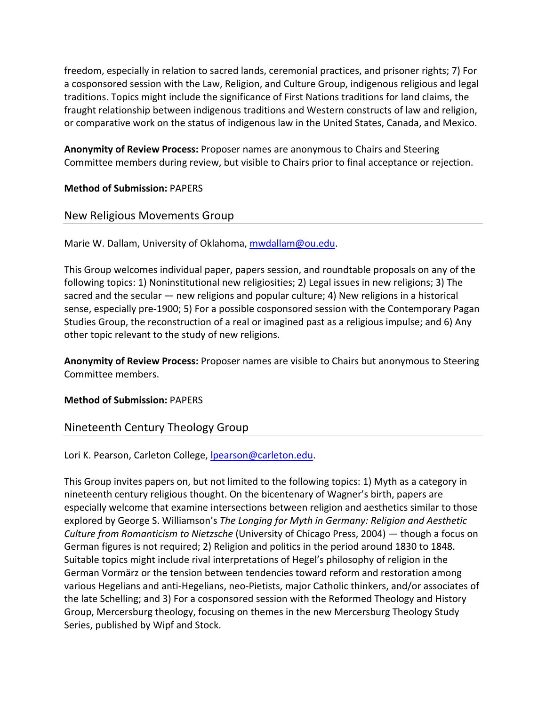freedom, especially in relation to sacred lands, ceremonial practices, and prisoner rights; 7) For a cosponsored session with the Law, Religion, and Culture Group, indigenous religious and legal traditions. Topics might include the significance of First Nations traditions for land claims, the fraught relationship between indigenous traditions and Western constructs of law and religion, or comparative work on the status of indigenous law in the United States, Canada, and Mexico.

**Anonymity of Review Process:** Proposer names are anonymous to Chairs and Steering Committee members during review, but visible to Chairs prior to final acceptance or rejection.

## **Method of Submission:** PAPERS

## New Religious Movements Group

Marie W. Dallam, University of Oklahoma, mwdallam@ou.edu.

This Group welcomes individual paper, papers session, and roundtable proposals on any of the following topics: 1) Noninstitutional new religiosities; 2) Legal issues in new religions; 3) The sacred and the secular — new religions and popular culture; 4) New religions in a historical sense, especially pre‐1900; 5) For a possible cosponsored session with the Contemporary Pagan Studies Group, the reconstruction of a real or imagined past as a religious impulse; and 6) Any other topic relevant to the study of new religions.

**Anonymity of Review Process:** Proposer names are visible to Chairs but anonymous to Steering Committee members.

#### **Method of Submission:** PAPERS

## Nineteenth Century Theology Group

Lori K. Pearson, Carleton College, Ipearson@carleton.edu.

This Group invites papers on, but not limited to the following topics: 1) Myth as a category in nineteenth century religious thought. On the bicentenary of Wagner's birth, papers are especially welcome that examine intersections between religion and aesthetics similar to those explored by George S. Williamson's *The Longing for Myth in Germany: Religion and Aesthetic Culture from Romanticism to Nietzsche* (University of Chicago Press, 2004) — though a focus on German figures is not required; 2) Religion and politics in the period around 1830 to 1848. Suitable topics might include rival interpretations of Hegel's philosophy of religion in the German Vormärz or the tension between tendencies toward reform and restoration among various Hegelians and anti‐Hegelians, neo‐Pietists, major Catholic thinkers, and/or associates of the late Schelling; and 3) For a cosponsored session with the Reformed Theology and History Group, Mercersburg theology, focusing on themes in the new Mercersburg Theology Study Series, published by Wipf and Stock.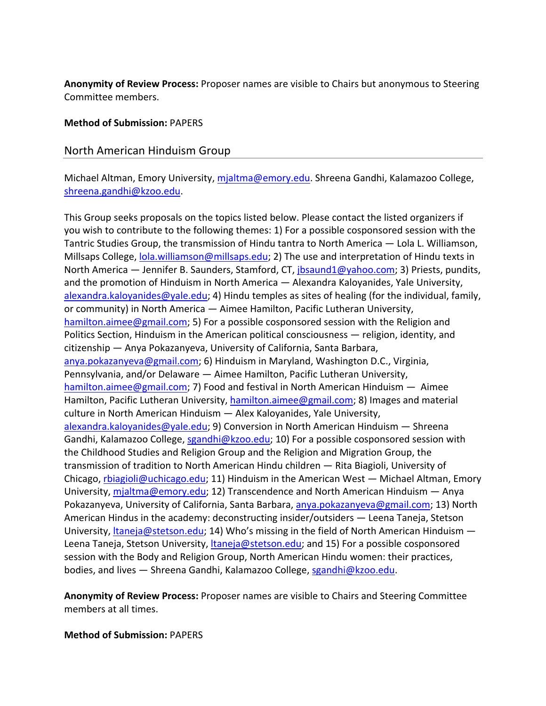**Anonymity of Review Process:** Proposer names are visible to Chairs but anonymous to Steering Committee members.

#### **Method of Submission:** PAPERS

#### North American Hinduism Group

Michael Altman, Emory University, mjaltma@emory.edu. Shreena Gandhi, Kalamazoo College, shreena.gandhi@kzoo.edu.

This Group seeks proposals on the topics listed below. Please contact the listed organizers if you wish to contribute to the following themes: 1) For a possible cosponsored session with the Tantric Studies Group, the transmission of Hindu tantra to North America — Lola L. Williamson, Millsaps College, lola.williamson@millsaps.edu; 2) The use and interpretation of Hindu texts in North America — Jennifer B. Saunders, Stamford, CT, jbsaund1@yahoo.com; 3) Priests, pundits, and the promotion of Hinduism in North America — Alexandra Kaloyanides, Yale University, alexandra.kaloyanides@yale.edu; 4) Hindu temples as sites of healing (for the individual, family, or community) in North America — Aimee Hamilton, Pacific Lutheran University, hamilton.aimee@gmail.com; 5) For a possible cosponsored session with the Religion and Politics Section, Hinduism in the American political consciousness — religion, identity, and citizenship — Anya Pokazanyeva, University of California, Santa Barbara, anya.pokazanyeva@gmail.com; 6) Hinduism in Maryland, Washington D.C., Virginia, Pennsylvania, and/or Delaware — Aimee Hamilton, Pacific Lutheran University, hamilton.aimee@gmail.com; 7) Food and festival in North American Hinduism — Aimee Hamilton, Pacific Lutheran University, hamilton.aimee@gmail.com; 8) Images and material culture in North American Hinduism — Alex Kaloyanides, Yale University, alexandra.kaloyanides@yale.edu; 9) Conversion in North American Hinduism — Shreena Gandhi, Kalamazoo College, sgandhi@kzoo.edu; 10) For a possible cosponsored session with the Childhood Studies and Religion Group and the Religion and Migration Group, the transmission of tradition to North American Hindu children — Rita Biagioli, University of Chicago, rbiagioli@uchicago.edu; 11) Hinduism in the American West — Michael Altman, Emory University, mjaltma@emory.edu; 12) Transcendence and North American Hinduism — Anya Pokazanyeva, University of California, Santa Barbara, anya.pokazanyeva@gmail.com; 13) North American Hindus in the academy: deconstructing insider/outsiders — Leena Taneja, Stetson University, *ltaneja@stetson.edu;* 14) Who's missing in the field of North American Hinduism  $-$ Leena Taneja, Stetson University, *Itaneja@stetson.edu;* and 15) For a possible cosponsored session with the Body and Religion Group, North American Hindu women: their practices, bodies, and lives - Shreena Gandhi, Kalamazoo College, sgandhi@kzoo.edu.

**Anonymity of Review Process:** Proposer names are visible to Chairs and Steering Committee members at all times.

**Method of Submission:** PAPERS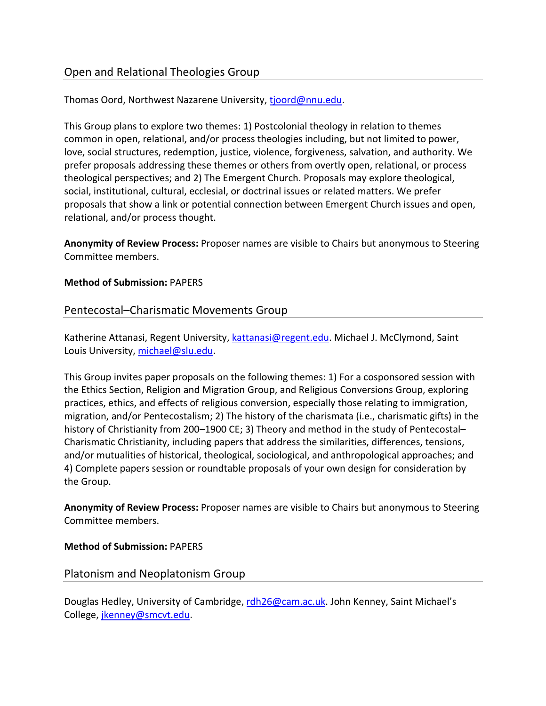## Open and Relational Theologies Group

## Thomas Oord, Northwest Nazarene University, tjoord@nnu.edu.

This Group plans to explore two themes: 1) Postcolonial theology in relation to themes common in open, relational, and/or process theologies including, but not limited to power, love, social structures, redemption, justice, violence, forgiveness, salvation, and authority. We prefer proposals addressing these themes or others from overtly open, relational, or process theological perspectives; and 2) The Emergent Church. Proposals may explore theological, social, institutional, cultural, ecclesial, or doctrinal issues or related matters. We prefer proposals that show a link or potential connection between Emergent Church issues and open, relational, and/or process thought.

**Anonymity of Review Process:** Proposer names are visible to Chairs but anonymous to Steering Committee members.

#### **Method of Submission:** PAPERS

## Pentecostal–Charismatic Movements Group

Katherine Attanasi, Regent University, kattanasi@regent.edu. Michael J. McClymond, Saint Louis University, michael@slu.edu.

This Group invites paper proposals on the following themes: 1) For a cosponsored session with the Ethics Section, Religion and Migration Group, and Religious Conversions Group, exploring practices, ethics, and effects of religious conversion, especially those relating to immigration, migration, and/or Pentecostalism; 2) The history of the charismata (i.e., charismatic gifts) in the history of Christianity from 200–1900 CE; 3) Theory and method in the study of Pentecostal– Charismatic Christianity, including papers that address the similarities, differences, tensions, and/or mutualities of historical, theological, sociological, and anthropological approaches; and 4) Complete papers session or roundtable proposals of your own design for consideration by the Group.

**Anonymity of Review Process:** Proposer names are visible to Chairs but anonymous to Steering Committee members.

#### **Method of Submission:** PAPERS

## Platonism and Neoplatonism Group

Douglas Hedley, University of Cambridge, rdh26@cam.ac.uk. John Kenney, Saint Michael's College, jkenney@smcvt.edu.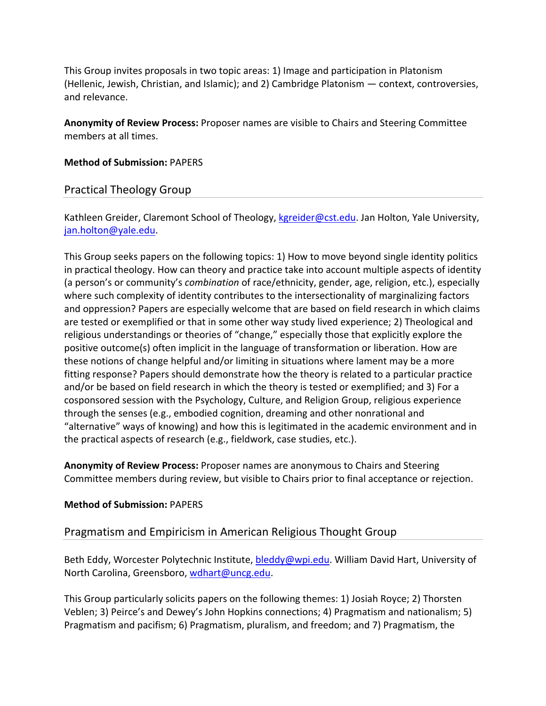This Group invites proposals in two topic areas: 1) Image and participation in Platonism (Hellenic, Jewish, Christian, and Islamic); and 2) Cambridge Platonism — context, controversies, and relevance.

**Anonymity of Review Process:** Proposer names are visible to Chairs and Steering Committee members at all times.

#### **Method of Submission:** PAPERS

## Practical Theology Group

Kathleen Greider, Claremont School of Theology, kgreider@cst.edu. Jan Holton, Yale University, jan.holton@yale.edu.

This Group seeks papers on the following topics: 1) How to move beyond single identity politics in practical theology. How can theory and practice take into account multiple aspects of identity (a person's or community's *combination* of race/ethnicity, gender, age, religion, etc.), especially where such complexity of identity contributes to the intersectionality of marginalizing factors and oppression? Papers are especially welcome that are based on field research in which claims are tested or exemplified or that in some other way study lived experience; 2) Theological and religious understandings or theories of "change," especially those that explicitly explore the positive outcome(s) often implicit in the language of transformation or liberation. How are these notions of change helpful and/or limiting in situations where lament may be a more fitting response? Papers should demonstrate how the theory is related to a particular practice and/or be based on field research in which the theory is tested or exemplified; and 3) For a cosponsored session with the Psychology, Culture, and Religion Group, religious experience through the senses (e.g., embodied cognition, dreaming and other nonrational and "alternative" ways of knowing) and how this is legitimated in the academic environment and in the practical aspects of research (e.g., fieldwork, case studies, etc.).

**Anonymity of Review Process:** Proposer names are anonymous to Chairs and Steering Committee members during review, but visible to Chairs prior to final acceptance or rejection.

#### **Method of Submission:** PAPERS

## Pragmatism and Empiricism in American Religious Thought Group

Beth Eddy, Worcester Polytechnic Institute, bleddy@wpi.edu. William David Hart, University of North Carolina, Greensboro, wdhart@uncg.edu.

This Group particularly solicits papers on the following themes: 1) Josiah Royce; 2) Thorsten Veblen; 3) Peirce's and Dewey's John Hopkins connections; 4) Pragmatism and nationalism; 5) Pragmatism and pacifism; 6) Pragmatism, pluralism, and freedom; and 7) Pragmatism, the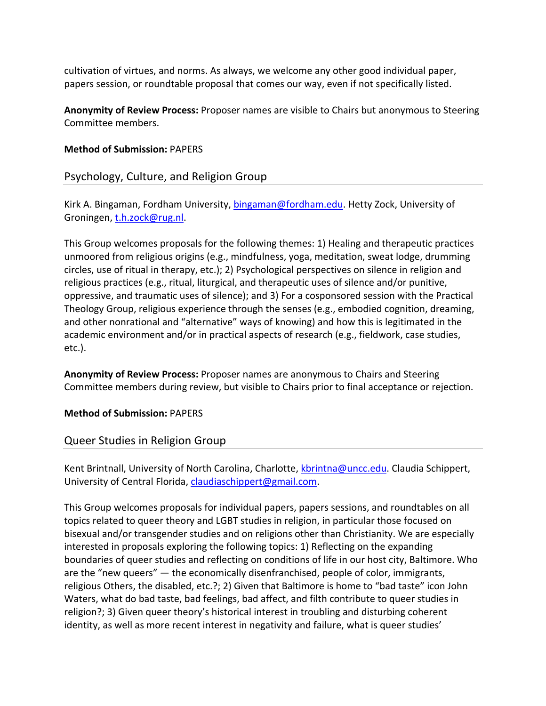cultivation of virtues, and norms. As always, we welcome any other good individual paper, papers session, or roundtable proposal that comes our way, even if not specifically listed.

**Anonymity of Review Process:** Proposer names are visible to Chairs but anonymous to Steering Committee members.

#### **Method of Submission:** PAPERS

## Psychology, Culture, and Religion Group

Kirk A. Bingaman, Fordham University, bingaman@fordham.edu. Hetty Zock, University of Groningen, t.h.zock@rug.nl.

This Group welcomes proposals for the following themes: 1) Healing and therapeutic practices unmoored from religious origins (e.g., mindfulness, yoga, meditation, sweat lodge, drumming circles, use of ritual in therapy, etc.); 2) Psychological perspectives on silence in religion and religious practices (e.g., ritual, liturgical, and therapeutic uses of silence and/or punitive, oppressive, and traumatic uses of silence); and 3) For a cosponsored session with the Practical Theology Group, religious experience through the senses (e.g., embodied cognition, dreaming, and other nonrational and "alternative" ways of knowing) and how this is legitimated in the academic environment and/or in practical aspects of research (e.g., fieldwork, case studies, etc.).

**Anonymity of Review Process:** Proposer names are anonymous to Chairs and Steering Committee members during review, but visible to Chairs prior to final acceptance or rejection.

**Method of Submission:** PAPERS

## Queer Studies in Religion Group

Kent Brintnall, University of North Carolina, Charlotte, kbrintna@uncc.edu. Claudia Schippert, University of Central Florida, claudiaschippert@gmail.com.

This Group welcomes proposals for individual papers, papers sessions, and roundtables on all topics related to queer theory and LGBT studies in religion, in particular those focused on bisexual and/or transgender studies and on religions other than Christianity. We are especially interested in proposals exploring the following topics: 1) Reflecting on the expanding boundaries of queer studies and reflecting on conditions of life in our host city, Baltimore. Who are the "new queers" — the economically disenfranchised, people of color, immigrants, religious Others, the disabled, etc.?; 2) Given that Baltimore is home to "bad taste" icon John Waters, what do bad taste, bad feelings, bad affect, and filth contribute to queer studies in religion?; 3) Given queer theory's historical interest in troubling and disturbing coherent identity, as well as more recent interest in negativity and failure, what is queer studies'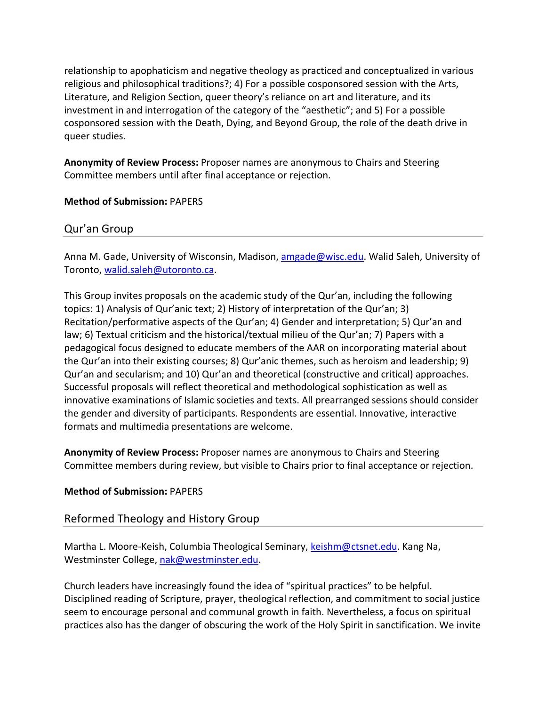relationship to apophaticism and negative theology as practiced and conceptualized in various religious and philosophical traditions?; 4) For a possible cosponsored session with the Arts, Literature, and Religion Section, queer theory's reliance on art and literature, and its investment in and interrogation of the category of the "aesthetic"; and 5) For a possible cosponsored session with the Death, Dying, and Beyond Group, the role of the death drive in queer studies.

**Anonymity of Review Process:** Proposer names are anonymous to Chairs and Steering Committee members until after final acceptance or rejection.

#### **Method of Submission:** PAPERS

## Qur'an Group

Anna M. Gade, University of Wisconsin, Madison, amgade@wisc.edu. Walid Saleh, University of Toronto, walid.saleh@utoronto.ca.

This Group invites proposals on the academic study of the Qur'an, including the following topics: 1) Analysis of Qur'anic text; 2) History of interpretation of the Qur'an; 3) Recitation/performative aspects of the Qur'an; 4) Gender and interpretation; 5) Qur'an and law; 6) Textual criticism and the historical/textual milieu of the Qur'an; 7) Papers with a pedagogical focus designed to educate members of the AAR on incorporating material about the Qur'an into their existing courses; 8) Qur'anic themes, such as heroism and leadership; 9) Qur'an and secularism; and 10) Qur'an and theoretical (constructive and critical) approaches. Successful proposals will reflect theoretical and methodological sophistication as well as innovative examinations of Islamic societies and texts. All prearranged sessions should consider the gender and diversity of participants. Respondents are essential. Innovative, interactive formats and multimedia presentations are welcome.

**Anonymity of Review Process:** Proposer names are anonymous to Chairs and Steering Committee members during review, but visible to Chairs prior to final acceptance or rejection.

#### **Method of Submission:** PAPERS

## Reformed Theology and History Group

Martha L. Moore-Keish, Columbia Theological Seminary, keishm@ctsnet.edu. Kang Na, Westminster College, nak@westminster.edu.

Church leaders have increasingly found the idea of "spiritual practices" to be helpful. Disciplined reading of Scripture, prayer, theological reflection, and commitment to social justice seem to encourage personal and communal growth in faith. Nevertheless, a focus on spiritual practices also has the danger of obscuring the work of the Holy Spirit in sanctification. We invite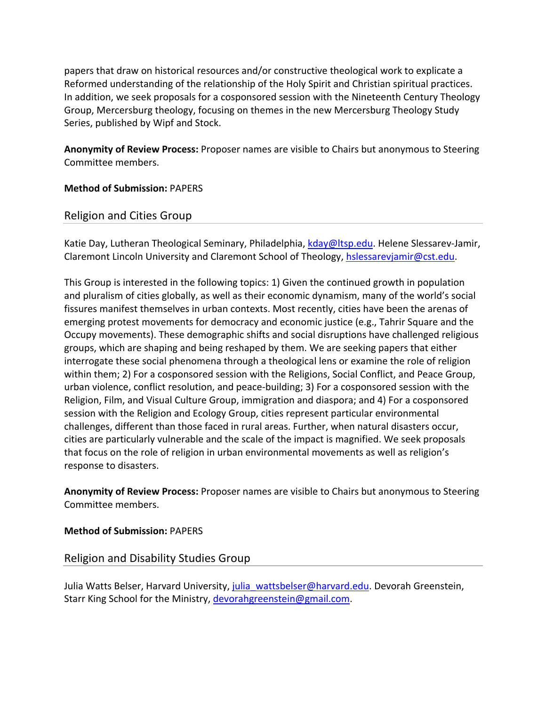papers that draw on historical resources and/or constructive theological work to explicate a Reformed understanding of the relationship of the Holy Spirit and Christian spiritual practices. In addition, we seek proposals for a cosponsored session with the Nineteenth Century Theology Group, Mercersburg theology, focusing on themes in the new Mercersburg Theology Study Series, published by Wipf and Stock.

**Anonymity of Review Process:** Proposer names are visible to Chairs but anonymous to Steering Committee members.

## **Method of Submission:** PAPERS

## Religion and Cities Group

Katie Day, Lutheran Theological Seminary, Philadelphia, kday@ltsp.edu. Helene Slessarev-Jamir, Claremont Lincoln University and Claremont School of Theology, hslessarevjamir@cst.edu.

This Group is interested in the following topics: 1) Given the continued growth in population and pluralism of cities globally, as well as their economic dynamism, many of the world's social fissures manifest themselves in urban contexts. Most recently, cities have been the arenas of emerging protest movements for democracy and economic justice (e.g., Tahrir Square and the Occupy movements). These demographic shifts and social disruptions have challenged religious groups, which are shaping and being reshaped by them. We are seeking papers that either interrogate these social phenomena through a theological lens or examine the role of religion within them; 2) For a cosponsored session with the Religions, Social Conflict, and Peace Group, urban violence, conflict resolution, and peace‐building; 3) For a cosponsored session with the Religion, Film, and Visual Culture Group, immigration and diaspora; and 4) For a cosponsored session with the Religion and Ecology Group, cities represent particular environmental challenges, different than those faced in rural areas. Further, when natural disasters occur, cities are particularly vulnerable and the scale of the impact is magnified. We seek proposals that focus on the role of religion in urban environmental movements as well as religion's response to disasters.

**Anonymity of Review Process:** Proposer names are visible to Chairs but anonymous to Steering Committee members.

**Method of Submission:** PAPERS

Religion and Disability Studies Group

Julia Watts Belser, Harvard University, julia\_wattsbelser@harvard.edu. Devorah Greenstein, Starr King School for the Ministry, devorahgreenstein@gmail.com.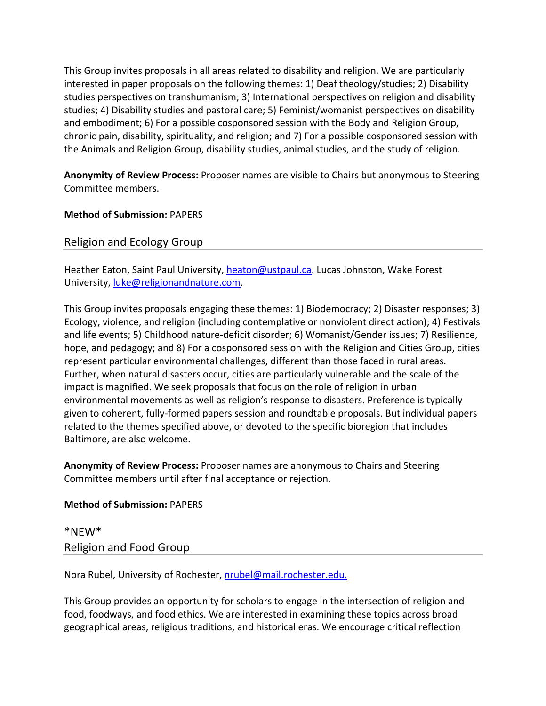This Group invites proposals in all areas related to disability and religion. We are particularly interested in paper proposals on the following themes: 1) Deaf theology/studies; 2) Disability studies perspectives on transhumanism; 3) International perspectives on religion and disability studies; 4) Disability studies and pastoral care; 5) Feminist/womanist perspectives on disability and embodiment; 6) For a possible cosponsored session with the Body and Religion Group, chronic pain, disability, spirituality, and religion; and 7) For a possible cosponsored session with the Animals and Religion Group, disability studies, animal studies, and the study of religion.

**Anonymity of Review Process:** Proposer names are visible to Chairs but anonymous to Steering Committee members.

**Method of Submission:** PAPERS

Religion and Ecology Group

Heather Eaton, Saint Paul University, heaton@ustpaul.ca. Lucas Johnston, Wake Forest University, luke@religionandnature.com.

This Group invites proposals engaging these themes: 1) Biodemocracy; 2) Disaster responses; 3) Ecology, violence, and religion (including contemplative or nonviolent direct action); 4) Festivals and life events; 5) Childhood nature‐deficit disorder; 6) Womanist/Gender issues; 7) Resilience, hope, and pedagogy; and 8) For a cosponsored session with the Religion and Cities Group, cities represent particular environmental challenges, different than those faced in rural areas. Further, when natural disasters occur, cities are particularly vulnerable and the scale of the impact is magnified. We seek proposals that focus on the role of religion in urban environmental movements as well as religion's response to disasters. Preference is typically given to coherent, fully‐formed papers session and roundtable proposals. But individual papers related to the themes specified above, or devoted to the specific bioregion that includes Baltimore, are also welcome.

**Anonymity of Review Process:** Proposer names are anonymous to Chairs and Steering Committee members until after final acceptance or rejection.

#### **Method of Submission:** PAPERS

\*NEW\* Religion and Food Group

Nora Rubel, University of Rochester, nrubel@mail.rochester.edu.

This Group provides an opportunity for scholars to engage in the intersection of religion and food, foodways, and food ethics. We are interested in examining these topics across broad geographical areas, religious traditions, and historical eras. We encourage critical reflection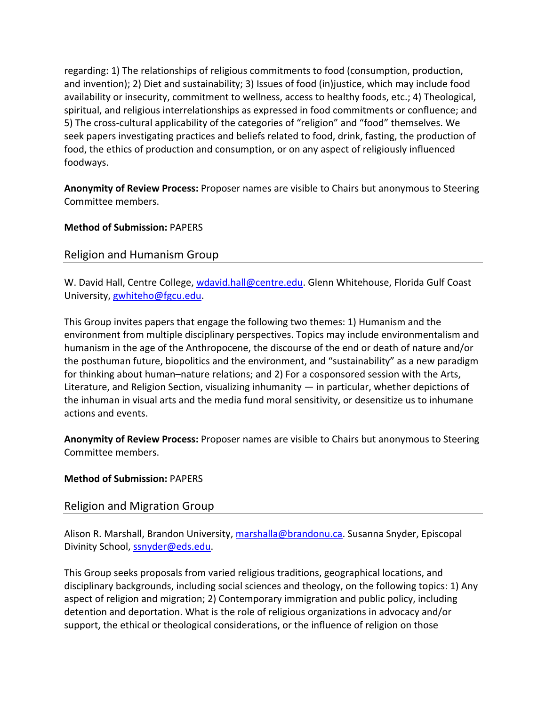regarding: 1) The relationships of religious commitments to food (consumption, production, and invention); 2) Diet and sustainability; 3) Issues of food (in)justice, which may include food availability or insecurity, commitment to wellness, access to healthy foods, etc.; 4) Theological, spiritual, and religious interrelationships as expressed in food commitments or confluence; and 5) The cross-cultural applicability of the categories of "religion" and "food" themselves. We seek papers investigating practices and beliefs related to food, drink, fasting, the production of food, the ethics of production and consumption, or on any aspect of religiously influenced foodways.

**Anonymity of Review Process:** Proposer names are visible to Chairs but anonymous to Steering Committee members.

## **Method of Submission:** PAPERS

## Religion and Humanism Group

W. David Hall, Centre College, wdavid.hall@centre.edu. Glenn Whitehouse, Florida Gulf Coast University, gwhiteho@fgcu.edu.

This Group invites papers that engage the following two themes: 1) Humanism and the environment from multiple disciplinary perspectives. Topics may include environmentalism and humanism in the age of the Anthropocene, the discourse of the end or death of nature and/or the posthuman future, biopolitics and the environment, and "sustainability" as a new paradigm for thinking about human–nature relations; and 2) For a cosponsored session with the Arts, Literature, and Religion Section, visualizing inhumanity — in particular, whether depictions of the inhuman in visual arts and the media fund moral sensitivity, or desensitize us to inhumane actions and events.

**Anonymity of Review Process:** Proposer names are visible to Chairs but anonymous to Steering Committee members.

## **Method of Submission:** PAPERS

## Religion and Migration Group

Alison R. Marshall, Brandon University, marshalla@brandonu.ca. Susanna Snyder, Episcopal Divinity School, ssnyder@eds.edu.

This Group seeks proposals from varied religious traditions, geographical locations, and disciplinary backgrounds, including social sciences and theology, on the following topics: 1) Any aspect of religion and migration; 2) Contemporary immigration and public policy, including detention and deportation. What is the role of religious organizations in advocacy and/or support, the ethical or theological considerations, or the influence of religion on those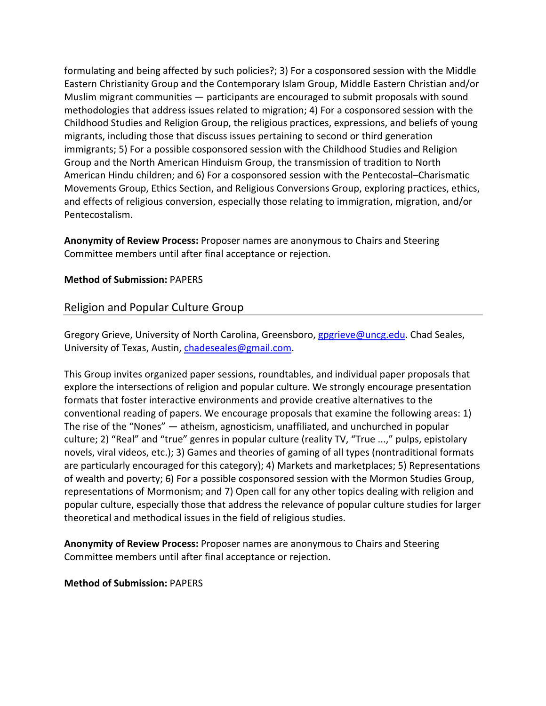formulating and being affected by such policies?; 3) For a cosponsored session with the Middle Eastern Christianity Group and the Contemporary Islam Group, Middle Eastern Christian and/or Muslim migrant communities — participants are encouraged to submit proposals with sound methodologies that address issues related to migration; 4) For a cosponsored session with the Childhood Studies and Religion Group, the religious practices, expressions, and beliefs of young migrants, including those that discuss issues pertaining to second or third generation immigrants; 5) For a possible cosponsored session with the Childhood Studies and Religion Group and the North American Hinduism Group, the transmission of tradition to North American Hindu children; and 6) For a cosponsored session with the Pentecostal–Charismatic Movements Group, Ethics Section, and Religious Conversions Group, exploring practices, ethics, and effects of religious conversion, especially those relating to immigration, migration, and/or Pentecostalism.

**Anonymity of Review Process:** Proposer names are anonymous to Chairs and Steering Committee members until after final acceptance or rejection.

## **Method of Submission:** PAPERS

## Religion and Popular Culture Group

Gregory Grieve, University of North Carolina, Greensboro, gpgrieve@uncg.edu. Chad Seales, University of Texas, Austin, chadeseales@gmail.com.

This Group invites organized paper sessions, roundtables, and individual paper proposals that explore the intersections of religion and popular culture. We strongly encourage presentation formats that foster interactive environments and provide creative alternatives to the conventional reading of papers. We encourage proposals that examine the following areas: 1) The rise of the "Nones" — atheism, agnosticism, unaffiliated, and unchurched in popular culture; 2) "Real" and "true" genres in popular culture (reality TV, "True ...," pulps, epistolary novels, viral videos, etc.); 3) Games and theories of gaming of all types (nontraditional formats are particularly encouraged for this category); 4) Markets and marketplaces; 5) Representations of wealth and poverty; 6) For a possible cosponsored session with the Mormon Studies Group, representations of Mormonism; and 7) Open call for any other topics dealing with religion and popular culture, especially those that address the relevance of popular culture studies for larger theoretical and methodical issues in the field of religious studies.

**Anonymity of Review Process:** Proposer names are anonymous to Chairs and Steering Committee members until after final acceptance or rejection.

**Method of Submission:** PAPERS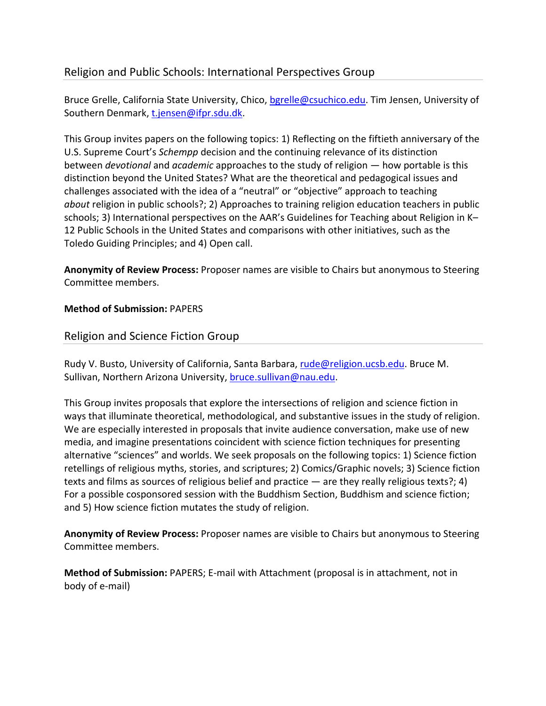## Religion and Public Schools: International Perspectives Group

Bruce Grelle, California State University, Chico, bgrelle@csuchico.edu. Tim Jensen, University of Southern Denmark, t.jensen@ifpr.sdu.dk.

This Group invites papers on the following topics: 1) Reflecting on the fiftieth anniversary of the U.S. Supreme Court's *Schempp* decision and the continuing relevance of its distinction between *devotional* and *academic* approaches to the study of religion — how portable is this distinction beyond the United States? What are the theoretical and pedagogical issues and challenges associated with the idea of a "neutral" or "objective" approach to teaching *about* religion in public schools?; 2) Approaches to training religion education teachers in public schools; 3) International perspectives on the AAR's Guidelines for Teaching about Religion in K– 12 Public Schools in the United States and comparisons with other initiatives, such as the Toledo Guiding Principles; and 4) Open call.

**Anonymity of Review Process:** Proposer names are visible to Chairs but anonymous to Steering Committee members.

## **Method of Submission:** PAPERS

## Religion and Science Fiction Group

Rudy V. Busto, University of California, Santa Barbara, rude@religion.ucsb.edu. Bruce M. Sullivan, Northern Arizona University, bruce.sullivan@nau.edu.

This Group invites proposals that explore the intersections of religion and science fiction in ways that illuminate theoretical, methodological, and substantive issues in the study of religion. We are especially interested in proposals that invite audience conversation, make use of new media, and imagine presentations coincident with science fiction techniques for presenting alternative "sciences" and worlds. We seek proposals on the following topics: 1) Science fiction retellings of religious myths, stories, and scriptures; 2) Comics/Graphic novels; 3) Science fiction texts and films as sources of religious belief and practice — are they really religious texts?; 4) For a possible cosponsored session with the Buddhism Section, Buddhism and science fiction; and 5) How science fiction mutates the study of religion.

**Anonymity of Review Process:** Proposer names are visible to Chairs but anonymous to Steering Committee members.

**Method of Submission:** PAPERS; E‐mail with Attachment (proposal is in attachment, not in body of e‐mail)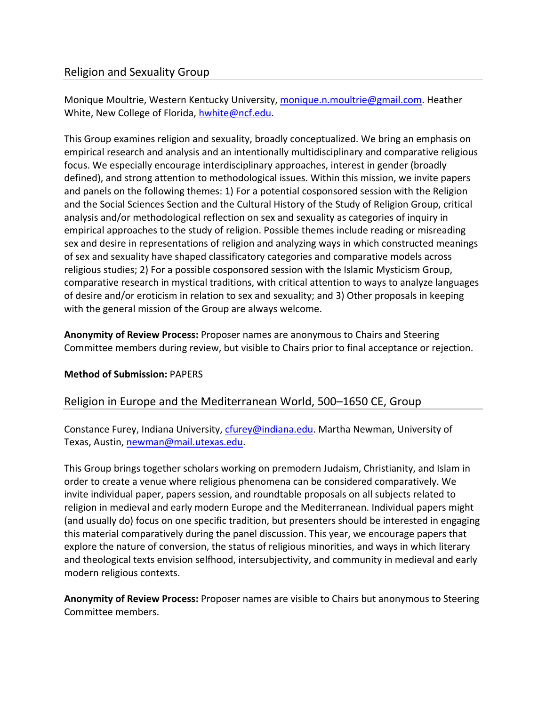## Religion and Sexuality Group

Monique Moultrie, Western Kentucky University, monique.n.moultrie@gmail.com. Heather White, New College of Florida, hwhite@ncf.edu.

This Group examines religion and sexuality, broadly conceptualized. We bring an emphasis on empirical research and analysis and an intentionally multidisciplinary and comparative religious focus. We especially encourage interdisciplinary approaches, interest in gender (broadly defined), and strong attention to methodological issues. Within this mission, we invite papers and panels on the following themes: 1) For a potential cosponsored session with the Religion and the Social Sciences Section and the Cultural History of the Study of Religion Group, critical analysis and/or methodological reflection on sex and sexuality as categories of inquiry in empirical approaches to the study of religion. Possible themes include reading or misreading sex and desire in representations of religion and analyzing ways in which constructed meanings of sex and sexuality have shaped classificatory categories and comparative models across religious studies; 2) For a possible cosponsored session with the Islamic Mysticism Group, comparative research in mystical traditions, with critical attention to ways to analyze languages of desire and/or eroticism in relation to sex and sexuality; and 3) Other proposals in keeping with the general mission of the Group are always welcome.

**Anonymity of Review Process:** Proposer names are anonymous to Chairs and Steering Committee members during review, but visible to Chairs prior to final acceptance or rejection.

## **Method of Submission:** PAPERS

## Religion in Europe and the Mediterranean World, 500–1650 CE, Group

Constance Furey, Indiana University, cfurey@indiana.edu. Martha Newman, University of Texas, Austin, newman@mail.utexas.edu.

This Group brings together scholars working on premodern Judaism, Christianity, and Islam in order to create a venue where religious phenomena can be considered comparatively. We invite individual paper, papers session, and roundtable proposals on all subjects related to religion in medieval and early modern Europe and the Mediterranean. Individual papers might (and usually do) focus on one specific tradition, but presenters should be interested in engaging this material comparatively during the panel discussion. This year, we encourage papers that explore the nature of conversion, the status of religious minorities, and ways in which literary and theological texts envision selfhood, intersubjectivity, and community in medieval and early modern religious contexts.

**Anonymity of Review Process:** Proposer names are visible to Chairs but anonymous to Steering Committee members.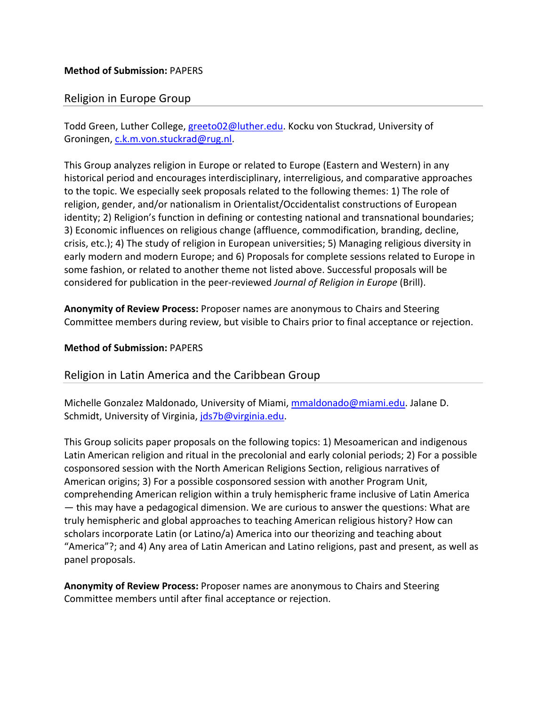## Religion in Europe Group

Todd Green, Luther College, greeto02@luther.edu. Kocku von Stuckrad, University of Groningen, c.k.m.von.stuckrad@rug.nl.

This Group analyzes religion in Europe or related to Europe (Eastern and Western) in any historical period and encourages interdisciplinary, interreligious, and comparative approaches to the topic. We especially seek proposals related to the following themes: 1) The role of religion, gender, and/or nationalism in Orientalist/Occidentalist constructions of European identity; 2) Religion's function in defining or contesting national and transnational boundaries; 3) Economic influences on religious change (affluence, commodification, branding, decline, crisis, etc.); 4) The study of religion in European universities; 5) Managing religious diversity in early modern and modern Europe; and 6) Proposals for complete sessions related to Europe in some fashion, or related to another theme not listed above. Successful proposals will be considered for publication in the peer‐reviewed *Journal of Religion in Europe* (Brill).

**Anonymity of Review Process:** Proposer names are anonymous to Chairs and Steering Committee members during review, but visible to Chairs prior to final acceptance or rejection.

#### **Method of Submission:** PAPERS

## Religion in Latin America and the Caribbean Group

Michelle Gonzalez Maldonado, University of Miami, mmaldonado@miami.edu. Jalane D. Schmidt, University of Virginia, jds7b@virginia.edu.

This Group solicits paper proposals on the following topics: 1) Mesoamerican and indigenous Latin American religion and ritual in the precolonial and early colonial periods; 2) For a possible cosponsored session with the North American Religions Section, religious narratives of American origins; 3) For a possible cosponsored session with another Program Unit, comprehending American religion within a truly hemispheric frame inclusive of Latin America — this may have a pedagogical dimension. We are curious to answer the questions: What are truly hemispheric and global approaches to teaching American religious history? How can scholars incorporate Latin (or Latino/a) America into our theorizing and teaching about "America"?; and 4) Any area of Latin American and Latino religions, past and present, as well as panel proposals.

**Anonymity of Review Process:** Proposer names are anonymous to Chairs and Steering Committee members until after final acceptance or rejection.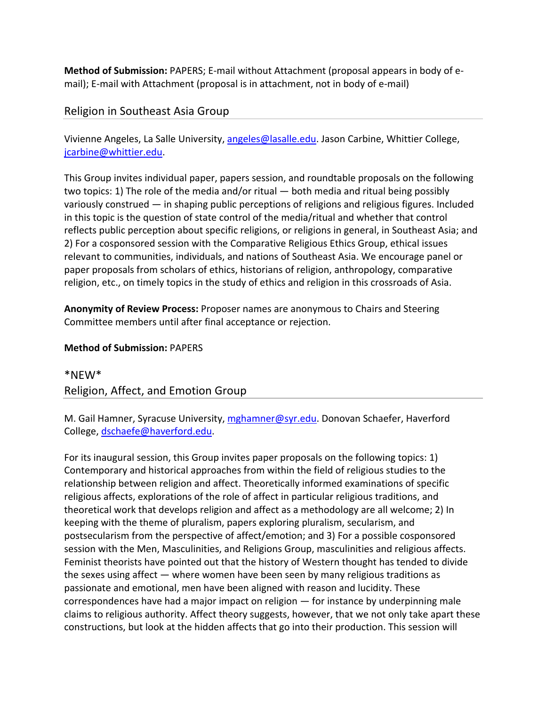**Method of Submission:** PAPERS; E‐mail without Attachment (proposal appears in body of e‐ mail); E-mail with Attachment (proposal is in attachment, not in body of e-mail)

## Religion in Southeast Asia Group

Vivienne Angeles, La Salle University, angeles@lasalle.edu. Jason Carbine, Whittier College, jcarbine@whittier.edu.

This Group invites individual paper, papers session, and roundtable proposals on the following two topics: 1) The role of the media and/or ritual — both media and ritual being possibly variously construed — in shaping public perceptions of religions and religious figures. Included in this topic is the question of state control of the media/ritual and whether that control reflects public perception about specific religions, or religions in general, in Southeast Asia; and 2) For a cosponsored session with the Comparative Religious Ethics Group, ethical issues relevant to communities, individuals, and nations of Southeast Asia. We encourage panel or paper proposals from scholars of ethics, historians of religion, anthropology, comparative religion, etc., on timely topics in the study of ethics and religion in this crossroads of Asia.

**Anonymity of Review Process:** Proposer names are anonymous to Chairs and Steering Committee members until after final acceptance or rejection.

## **Method of Submission:** PAPERS

\*NEW\* Religion, Affect, and Emotion Group

M. Gail Hamner, Syracuse University, mghamner@syr.edu. Donovan Schaefer, Haverford College, dschaefe@haverford.edu.

For its inaugural session, this Group invites paper proposals on the following topics: 1) Contemporary and historical approaches from within the field of religious studies to the relationship between religion and affect. Theoretically informed examinations of specific religious affects, explorations of the role of affect in particular religious traditions, and theoretical work that develops religion and affect as a methodology are all welcome; 2) In keeping with the theme of pluralism, papers exploring pluralism, secularism, and postsecularism from the perspective of affect/emotion; and 3) For a possible cosponsored session with the Men, Masculinities, and Religions Group, masculinities and religious affects. Feminist theorists have pointed out that the history of Western thought has tended to divide the sexes using affect — where women have been seen by many religious traditions as passionate and emotional, men have been aligned with reason and lucidity. These correspondences have had a major impact on religion — for instance by underpinning male claims to religious authority. Affect theory suggests, however, that we not only take apart these constructions, but look at the hidden affects that go into their production. This session will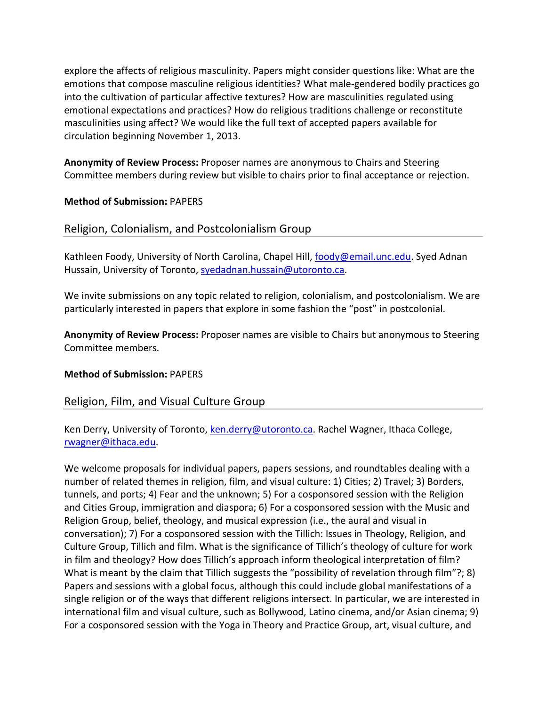explore the affects of religious masculinity. Papers might consider questions like: What are the emotions that compose masculine religious identities? What male‐gendered bodily practices go into the cultivation of particular affective textures? How are masculinities regulated using emotional expectations and practices? How do religious traditions challenge or reconstitute masculinities using affect? We would like the full text of accepted papers available for circulation beginning November 1, 2013.

**Anonymity of Review Process:** Proposer names are anonymous to Chairs and Steering Committee members during review but visible to chairs prior to final acceptance or rejection.

#### **Method of Submission:** PAPERS

## Religion, Colonialism, and Postcolonialism Group

Kathleen Foody, University of North Carolina, Chapel Hill, foody@email.unc.edu. Syed Adnan Hussain, University of Toronto, syedadnan.hussain@utoronto.ca.

We invite submissions on any topic related to religion, colonialism, and postcolonialism. We are particularly interested in papers that explore in some fashion the "post" in postcolonial.

**Anonymity of Review Process:** Proposer names are visible to Chairs but anonymous to Steering Committee members.

#### **Method of Submission:** PAPERS

## Religion, Film, and Visual Culture Group

Ken Derry, University of Toronto, ken.derry@utoronto.ca. Rachel Wagner, Ithaca College, rwagner@ithaca.edu.

We welcome proposals for individual papers, papers sessions, and roundtables dealing with a number of related themes in religion, film, and visual culture: 1) Cities; 2) Travel; 3) Borders, tunnels, and ports; 4) Fear and the unknown; 5) For a cosponsored session with the Religion and Cities Group, immigration and diaspora; 6) For a cosponsored session with the Music and Religion Group, belief, theology, and musical expression (i.e., the aural and visual in conversation); 7) For a cosponsored session with the Tillich: Issues in Theology, Religion, and Culture Group, Tillich and film. What is the significance of Tillich's theology of culture for work in film and theology? How does Tillich's approach inform theological interpretation of film? What is meant by the claim that Tillich suggests the "possibility of revelation through film"?; 8) Papers and sessions with a global focus, although this could include global manifestations of a single religion or of the ways that different religions intersect. In particular, we are interested in international film and visual culture, such as Bollywood, Latino cinema, and/or Asian cinema; 9) For a cosponsored session with the Yoga in Theory and Practice Group, art, visual culture, and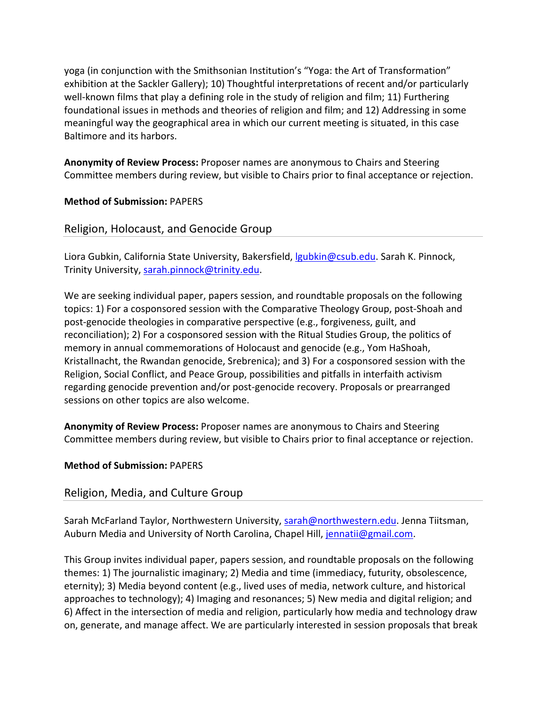yoga (in conjunction with the Smithsonian Institution's "Yoga: the Art of Transformation" exhibition at the Sackler Gallery); 10) Thoughtful interpretations of recent and/or particularly well-known films that play a defining role in the study of religion and film; 11) Furthering foundational issues in methods and theories of religion and film; and 12) Addressing in some meaningful way the geographical area in which our current meeting is situated, in this case Baltimore and its harbors.

**Anonymity of Review Process:** Proposer names are anonymous to Chairs and Steering Committee members during review, but visible to Chairs prior to final acceptance or rejection.

#### **Method of Submission:** PAPERS

## Religion, Holocaust, and Genocide Group

Liora Gubkin, California State University, Bakersfield, *gubkin@csub.edu*. Sarah K. Pinnock, Trinity University, sarah.pinnock@trinity.edu.

We are seeking individual paper, papers session, and roundtable proposals on the following topics: 1) For a cosponsored session with the Comparative Theology Group, post‐Shoah and post‐genocide theologies in comparative perspective (e.g., forgiveness, guilt, and reconciliation); 2) For a cosponsored session with the Ritual Studies Group, the politics of memory in annual commemorations of Holocaust and genocide (e.g., Yom HaShoah, Kristallnacht, the Rwandan genocide, Srebrenica); and 3) For a cosponsored session with the Religion, Social Conflict, and Peace Group, possibilities and pitfalls in interfaith activism regarding genocide prevention and/or post‐genocide recovery. Proposals or prearranged sessions on other topics are also welcome.

**Anonymity of Review Process:** Proposer names are anonymous to Chairs and Steering Committee members during review, but visible to Chairs prior to final acceptance or rejection.

#### **Method of Submission:** PAPERS

## Religion, Media, and Culture Group

Sarah McFarland Taylor, Northwestern University, sarah@northwestern.edu. Jenna Tiitsman, Auburn Media and University of North Carolina, Chapel Hill, jennatii@gmail.com.

This Group invites individual paper, papers session, and roundtable proposals on the following themes: 1) The journalistic imaginary; 2) Media and time (immediacy, futurity, obsolescence, eternity); 3) Media beyond content (e.g., lived uses of media, network culture, and historical approaches to technology); 4) Imaging and resonances; 5) New media and digital religion; and 6) Affect in the intersection of media and religion, particularly how media and technology draw on, generate, and manage affect. We are particularly interested in session proposals that break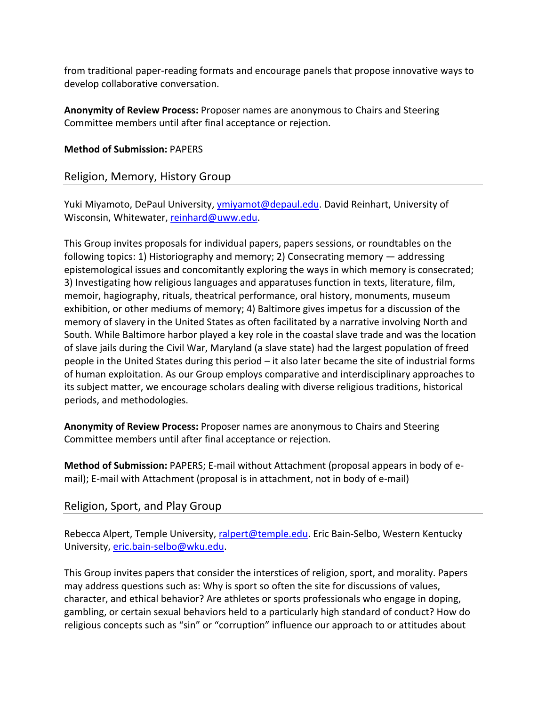from traditional paper‐reading formats and encourage panels that propose innovative ways to develop collaborative conversation.

**Anonymity of Review Process:** Proposer names are anonymous to Chairs and Steering Committee members until after final acceptance or rejection.

#### **Method of Submission:** PAPERS

## Religion, Memory, History Group

Yuki Miyamoto, DePaul University, ymiyamot@depaul.edu. David Reinhart, University of Wisconsin, Whitewater, reinhard@uww.edu.

This Group invites proposals for individual papers, papers sessions, or roundtables on the following topics: 1) Historiography and memory; 2) Consecrating memory — addressing epistemological issues and concomitantly exploring the ways in which memory is consecrated; 3) Investigating how religious languages and apparatuses function in texts, literature, film, memoir, hagiography, rituals, theatrical performance, oral history, monuments, museum exhibition, or other mediums of memory; 4) Baltimore gives impetus for a discussion of the memory of slavery in the United States as often facilitated by a narrative involving North and South. While Baltimore harbor played a key role in the coastal slave trade and was the location of slave jails during the Civil War, Maryland (a slave state) had the largest population of freed people in the United States during this period – it also later became the site of industrial forms of human exploitation. As our Group employs comparative and interdisciplinary approaches to its subject matter, we encourage scholars dealing with diverse religious traditions, historical periods, and methodologies.

**Anonymity of Review Process:** Proposer names are anonymous to Chairs and Steering Committee members until after final acceptance or rejection.

**Method of Submission:** PAPERS; E‐mail without Attachment (proposal appears in body of e‐ mail); E-mail with Attachment (proposal is in attachment, not in body of e-mail)

## Religion, Sport, and Play Group

Rebecca Alpert, Temple University, ralpert@temple.edu. Eric Bain‐Selbo, Western Kentucky University, eric.bain-selbo@wku.edu.

This Group invites papers that consider the interstices of religion, sport, and morality. Papers may address questions such as: Why is sport so often the site for discussions of values, character, and ethical behavior? Are athletes or sports professionals who engage in doping, gambling, or certain sexual behaviors held to a particularly high standard of conduct? How do religious concepts such as "sin" or "corruption" influence our approach to or attitudes about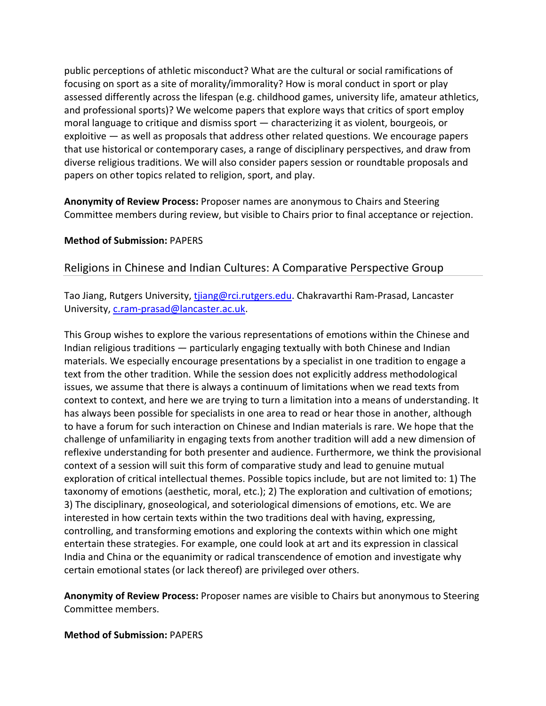public perceptions of athletic misconduct? What are the cultural or social ramifications of focusing on sport as a site of morality/immorality? How is moral conduct in sport or play assessed differently across the lifespan (e.g. childhood games, university life, amateur athletics, and professional sports)? We welcome papers that explore ways that critics of sport employ moral language to critique and dismiss sport — characterizing it as violent, bourgeois, or exploitive — as well as proposals that address other related questions. We encourage papers that use historical or contemporary cases, a range of disciplinary perspectives, and draw from diverse religious traditions. We will also consider papers session or roundtable proposals and papers on other topics related to religion, sport, and play.

**Anonymity of Review Process:** Proposer names are anonymous to Chairs and Steering Committee members during review, but visible to Chairs prior to final acceptance or rejection.

#### **Method of Submission:** PAPERS

## Religions in Chinese and Indian Cultures: A Comparative Perspective Group

Tao Jiang, Rutgers University, tijang@rci.rutgers.edu. Chakravarthi Ram-Prasad, Lancaster University, c.ram-prasad@lancaster.ac.uk.

This Group wishes to explore the various representations of emotions within the Chinese and Indian religious traditions — particularly engaging textually with both Chinese and Indian materials. We especially encourage presentations by a specialist in one tradition to engage a text from the other tradition. While the session does not explicitly address methodological issues, we assume that there is always a continuum of limitations when we read texts from context to context, and here we are trying to turn a limitation into a means of understanding. It has always been possible for specialists in one area to read or hear those in another, although to have a forum for such interaction on Chinese and Indian materials is rare. We hope that the challenge of unfamiliarity in engaging texts from another tradition will add a new dimension of reflexive understanding for both presenter and audience. Furthermore, we think the provisional context of a session will suit this form of comparative study and lead to genuine mutual exploration of critical intellectual themes. Possible topics include, but are not limited to: 1) The taxonomy of emotions (aesthetic, moral, etc.); 2) The exploration and cultivation of emotions; 3) The disciplinary, gnoseological, and soteriological dimensions of emotions, etc. We are interested in how certain texts within the two traditions deal with having, expressing, controlling, and transforming emotions and exploring the contexts within which one might entertain these strategies. For example, one could look at art and its expression in classical India and China or the equanimity or radical transcendence of emotion and investigate why certain emotional states (or lack thereof) are privileged over others.

**Anonymity of Review Process:** Proposer names are visible to Chairs but anonymous to Steering Committee members.

#### **Method of Submission:** PAPERS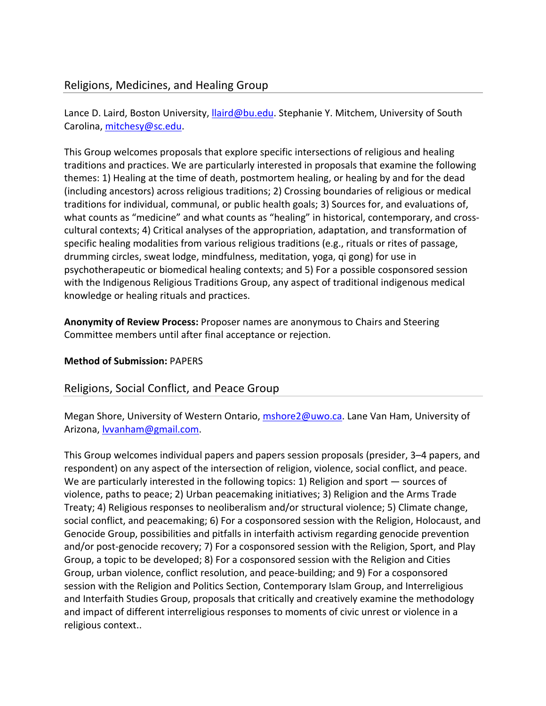## Religions, Medicines, and Healing Group

Lance D. Laird, Boston University, Ilaird@bu.edu. Stephanie Y. Mitchem, University of South Carolina, mitchesy@sc.edu.

This Group welcomes proposals that explore specific intersections of religious and healing traditions and practices. We are particularly interested in proposals that examine the following themes: 1) Healing at the time of death, postmortem healing, or healing by and for the dead (including ancestors) across religious traditions; 2) Crossing boundaries of religious or medical traditions for individual, communal, or public health goals; 3) Sources for, and evaluations of, what counts as "medicine" and what counts as "healing" in historical, contemporary, and crosscultural contexts; 4) Critical analyses of the appropriation, adaptation, and transformation of specific healing modalities from various religious traditions (e.g., rituals or rites of passage, drumming circles, sweat lodge, mindfulness, meditation, yoga, qi gong) for use in psychotherapeutic or biomedical healing contexts; and 5) For a possible cosponsored session with the Indigenous Religious Traditions Group, any aspect of traditional indigenous medical knowledge or healing rituals and practices.

**Anonymity of Review Process:** Proposer names are anonymous to Chairs and Steering Committee members until after final acceptance or rejection.

## **Method of Submission:** PAPERS

## Religions, Social Conflict, and Peace Group

Megan Shore, University of Western Ontario, mshore2@uwo.ca. Lane Van Ham, University of Arizona, **Ivvanham@gmail.com**.

This Group welcomes individual papers and papers session proposals (presider, 3–4 papers, and respondent) on any aspect of the intersection of religion, violence, social conflict, and peace. We are particularly interested in the following topics: 1) Religion and sport — sources of violence, paths to peace; 2) Urban peacemaking initiatives; 3) Religion and the Arms Trade Treaty; 4) Religious responses to neoliberalism and/or structural violence; 5) Climate change, social conflict, and peacemaking; 6) For a cosponsored session with the Religion, Holocaust, and Genocide Group, possibilities and pitfalls in interfaith activism regarding genocide prevention and/or post‐genocide recovery; 7) For a cosponsored session with the Religion, Sport, and Play Group, a topic to be developed; 8) For a cosponsored session with the Religion and Cities Group, urban violence, conflict resolution, and peace‐building; and 9) For a cosponsored session with the Religion and Politics Section, Contemporary Islam Group, and Interreligious and Interfaith Studies Group, proposals that critically and creatively examine the methodology and impact of different interreligious responses to moments of civic unrest or violence in a religious context..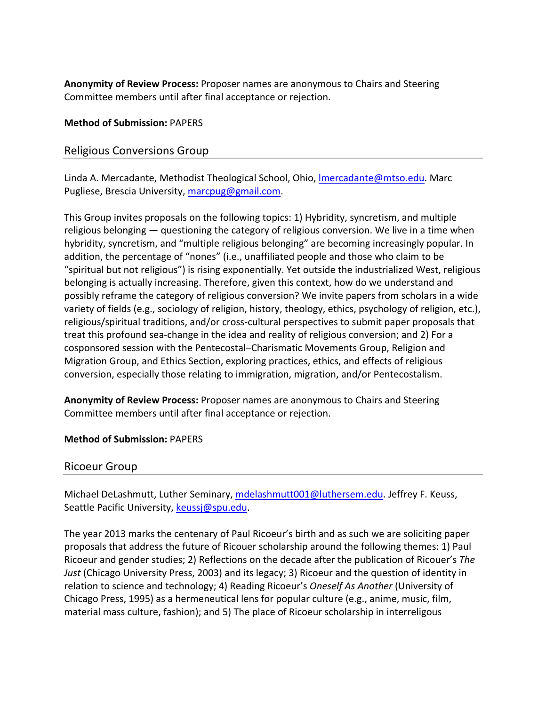**Anonymity of Review Process:** Proposer names are anonymous to Chairs and Steering Committee members until after final acceptance or rejection.

#### **Method of Submission:** PAPERS

## Religious Conversions Group

Linda A. Mercadante, Methodist Theological School, Ohio, lmercadante@mtso.edu. Marc Pugliese, Brescia University, marcpug@gmail.com.

This Group invites proposals on the following topics: 1) Hybridity, syncretism, and multiple religious belonging — questioning the category of religious conversion. We live in a time when hybridity, syncretism, and "multiple religious belonging" are becoming increasingly popular. In addition, the percentage of "nones" (i.e., unaffiliated people and those who claim to be "spiritual but not religious") is rising exponentially. Yet outside the industrialized West, religious belonging is actually increasing. Therefore, given this context, how do we understand and possibly reframe the category of religious conversion? We invite papers from scholars in a wide variety of fields (e.g., sociology of religion, history, theology, ethics, psychology of religion, etc.), religious/spiritual traditions, and/or cross‐cultural perspectives to submit paper proposals that treat this profound sea‐change in the idea and reality of religious conversion; and 2) For a cosponsored session with the Pentecostal–Charismatic Movements Group, Religion and Migration Group, and Ethics Section, exploring practices, ethics, and effects of religious conversion, especially those relating to immigration, migration, and/or Pentecostalism.

**Anonymity of Review Process:** Proposer names are anonymous to Chairs and Steering Committee members until after final acceptance or rejection.

**Method of Submission:** PAPERS

## Ricoeur Group

Michael DeLashmutt, Luther Seminary, mdelashmutt001@luthersem.edu. Jeffrey F. Keuss, Seattle Pacific University, keussj@spu.edu.

The year 2013 marks the centenary of Paul Ricoeur's birth and as such we are soliciting paper proposals that address the future of Ricouer scholarship around the following themes: 1) Paul Ricoeur and gender studies; 2) Reflections on the decade after the publication of Ricouer's *The Just* (Chicago University Press, 2003) and its legacy; 3) Ricoeur and the question of identity in relation to science and technology; 4) Reading Ricoeur's *Oneself As Another* (University of Chicago Press, 1995) as a hermeneutical lens for popular culture (e.g., anime, music, film, material mass culture, fashion); and 5) The place of Ricoeur scholarship in interreligous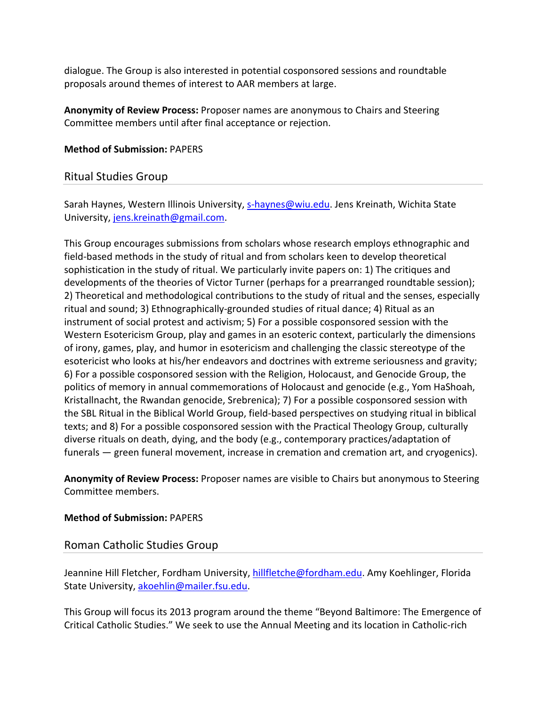dialogue. The Group is also interested in potential cosponsored sessions and roundtable proposals around themes of interest to AAR members at large.

**Anonymity of Review Process:** Proposer names are anonymous to Chairs and Steering Committee members until after final acceptance or rejection.

#### **Method of Submission:** PAPERS

## Ritual Studies Group

Sarah Haynes, Western Illinois University, s-haynes@wiu.edu. Jens Kreinath, Wichita State University, jens.kreinath@gmail.com.

This Group encourages submissions from scholars whose research employs ethnographic and field‐based methods in the study of ritual and from scholars keen to develop theoretical sophistication in the study of ritual. We particularly invite papers on: 1) The critiques and developments of the theories of Victor Turner (perhaps for a prearranged roundtable session); 2) Theoretical and methodological contributions to the study of ritual and the senses, especially ritual and sound; 3) Ethnographically‐grounded studies of ritual dance; 4) Ritual as an instrument of social protest and activism; 5) For a possible cosponsored session with the Western Esotericism Group, play and games in an esoteric context, particularly the dimensions of irony, games, play, and humor in esotericism and challenging the classic stereotype of the esotericist who looks at his/her endeavors and doctrines with extreme seriousness and gravity; 6) For a possible cosponsored session with the Religion, Holocaust, and Genocide Group, the politics of memory in annual commemorations of Holocaust and genocide (e.g., Yom HaShoah, Kristallnacht, the Rwandan genocide, Srebrenica); 7) For a possible cosponsored session with the SBL Ritual in the Biblical World Group, field‐based perspectives on studying ritual in biblical texts; and 8) For a possible cosponsored session with the Practical Theology Group, culturally diverse rituals on death, dying, and the body (e.g., contemporary practices/adaptation of funerals — green funeral movement, increase in cremation and cremation art, and cryogenics).

**Anonymity of Review Process:** Proposer names are visible to Chairs but anonymous to Steering Committee members.

## **Method of Submission:** PAPERS

## Roman Catholic Studies Group

Jeannine Hill Fletcher, Fordham University, hillfletche@fordham.edu. Amy Koehlinger, Florida State University, akoehlin@mailer.fsu.edu.

This Group will focus its 2013 program around the theme "Beyond Baltimore: The Emergence of Critical Catholic Studies." We seek to use the Annual Meeting and its location in Catholic‐rich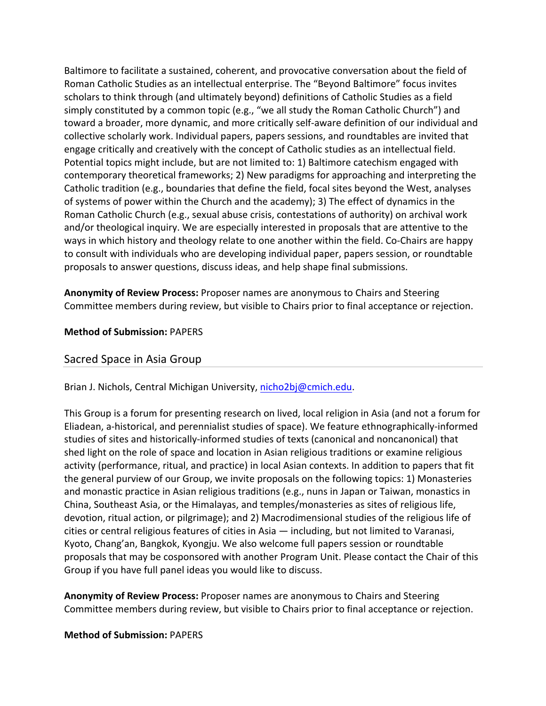Baltimore to facilitate a sustained, coherent, and provocative conversation about the field of Roman Catholic Studies as an intellectual enterprise. The "Beyond Baltimore" focus invites scholars to think through (and ultimately beyond) definitions of Catholic Studies as a field simply constituted by a common topic (e.g., "we all study the Roman Catholic Church") and toward a broader, more dynamic, and more critically self‐aware definition of our individual and collective scholarly work. Individual papers, papers sessions, and roundtables are invited that engage critically and creatively with the concept of Catholic studies as an intellectual field. Potential topics might include, but are not limited to: 1) Baltimore catechism engaged with contemporary theoretical frameworks; 2) New paradigms for approaching and interpreting the Catholic tradition (e.g., boundaries that define the field, focal sites beyond the West, analyses of systems of power within the Church and the academy); 3) The effect of dynamics in the Roman Catholic Church (e.g., sexual abuse crisis, contestations of authority) on archival work and/or theological inquiry. We are especially interested in proposals that are attentive to the ways in which history and theology relate to one another within the field. Co‐Chairs are happy to consult with individuals who are developing individual paper, papers session, or roundtable proposals to answer questions, discuss ideas, and help shape final submissions.

**Anonymity of Review Process:** Proposer names are anonymous to Chairs and Steering Committee members during review, but visible to Chairs prior to final acceptance or rejection.

**Method of Submission:** PAPERS

## Sacred Space in Asia Group

Brian J. Nichols, Central Michigan University, nicho2bj@cmich.edu.

This Group is a forum for presenting research on lived, local religion in Asia (and not a forum for Eliadean, a‐historical, and perennialist studies of space). We feature ethnographically‐informed studies of sites and historically‐informed studies of texts (canonical and noncanonical) that shed light on the role of space and location in Asian religious traditions or examine religious activity (performance, ritual, and practice) in local Asian contexts. In addition to papers that fit the general purview of our Group, we invite proposals on the following topics: 1) Monasteries and monastic practice in Asian religious traditions (e.g., nuns in Japan or Taiwan, monastics in China, Southeast Asia, or the Himalayas, and temples/monasteries as sites of religious life, devotion, ritual action, or pilgrimage); and 2) Macrodimensional studies of the religious life of cities or central religious features of cities in Asia — including, but not limited to Varanasi, Kyoto, Chang'an, Bangkok, Kyongju. We also welcome full papers session or roundtable proposals that may be cosponsored with another Program Unit. Please contact the Chair of this Group if you have full panel ideas you would like to discuss.

**Anonymity of Review Process:** Proposer names are anonymous to Chairs and Steering Committee members during review, but visible to Chairs prior to final acceptance or rejection.

#### **Method of Submission:** PAPERS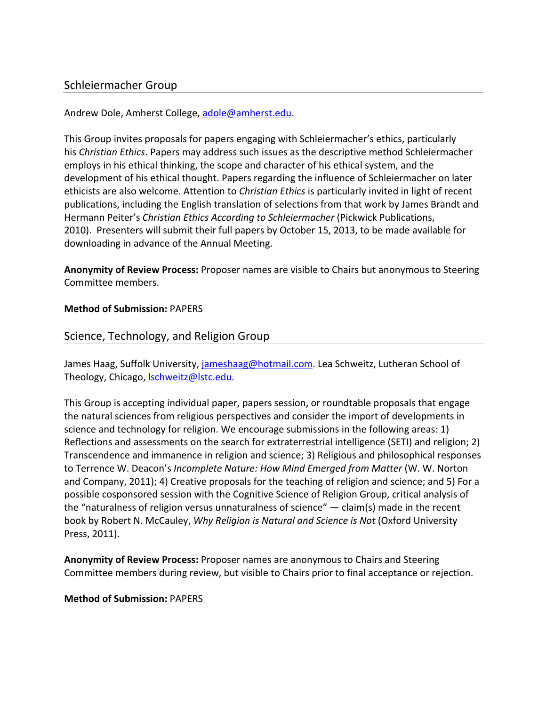## Schleiermacher Group

Andrew Dole, Amherst College, adole@amherst.edu.

This Group invites proposals for papers engaging with Schleiermacher's ethics, particularly his *Christian Ethics*. Papers may address such issues as the descriptive method Schleiermacher employs in his ethical thinking, the scope and character of his ethical system, and the development of his ethical thought. Papers regarding the influence of Schleiermacher on later ethicists are also welcome. Attention to *Christian Ethics* is particularly invited in light of recent publications, including the English translation of selections from that work by James Brandt and Hermann Peiter's *Christian Ethics According to Schleiermacher* (Pickwick Publications, 2010). Presenters will submit their full papers by October 15, 2013, to be made available for downloading in advance of the Annual Meeting.

**Anonymity of Review Process:** Proposer names are visible to Chairs but anonymous to Steering Committee members.

#### **Method of Submission:** PAPERS

## Science, Technology, and Religion Group

James Haag, Suffolk University, jameshaag@hotmail.com. Lea Schweitz, Lutheran School of Theology, Chicago, **Ischweitz@lstc.edu**.

This Group is accepting individual paper, papers session, or roundtable proposals that engage the natural sciences from religious perspectives and consider the import of developments in science and technology for religion. We encourage submissions in the following areas: 1) Reflections and assessments on the search for extraterrestrial intelligence (SETI) and religion; 2) Transcendence and immanence in religion and science; 3) Religious and philosophical responses to Terrence W. Deacon's *Incomplete Nature: How Mind Emerged from Matter* (W. W. Norton and Company, 2011); 4) Creative proposals for the teaching of religion and science; and 5) For a possible cosponsored session with the Cognitive Science of Religion Group, critical analysis of the "naturalness of religion versus unnaturalness of science" — claim(s) made in the recent book by Robert N. McCauley, *Why Religion is Natural and Science is Not* (Oxford University Press, 2011).

**Anonymity of Review Process:** Proposer names are anonymous to Chairs and Steering Committee members during review, but visible to Chairs prior to final acceptance or rejection.

#### **Method of Submission:** PAPERS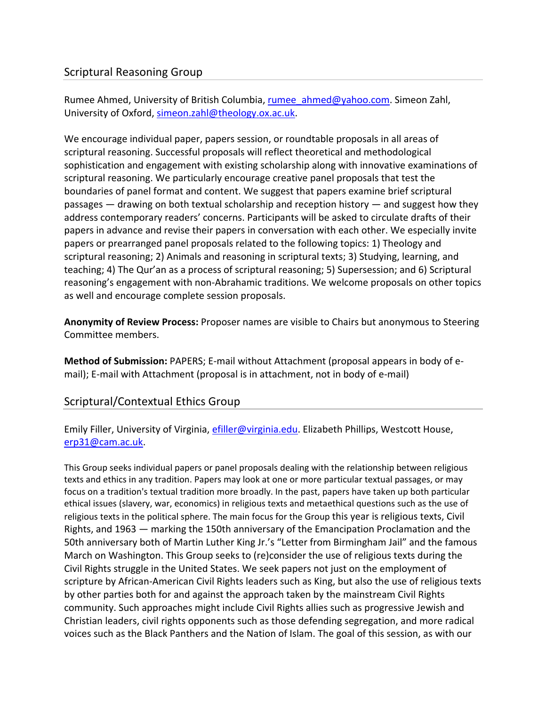## Scriptural Reasoning Group

Rumee Ahmed, University of British Columbia, rumee\_ahmed@yahoo.com. Simeon Zahl, University of Oxford, simeon.zahl@theology.ox.ac.uk.

We encourage individual paper, papers session, or roundtable proposals in all areas of scriptural reasoning. Successful proposals will reflect theoretical and methodological sophistication and engagement with existing scholarship along with innovative examinations of scriptural reasoning. We particularly encourage creative panel proposals that test the boundaries of panel format and content. We suggest that papers examine brief scriptural passages — drawing on both textual scholarship and reception history — and suggest how they address contemporary readers' concerns. Participants will be asked to circulate drafts of their papers in advance and revise their papers in conversation with each other. We especially invite papers or prearranged panel proposals related to the following topics: 1) Theology and scriptural reasoning; 2) Animals and reasoning in scriptural texts; 3) Studying, learning, and teaching; 4) The Qur'an as a process of scriptural reasoning; 5) Supersession; and 6) Scriptural reasoning's engagement with non‐Abrahamic traditions. We welcome proposals on other topics as well and encourage complete session proposals.

**Anonymity of Review Process:** Proposer names are visible to Chairs but anonymous to Steering Committee members.

**Method of Submission:** PAPERS; E‐mail without Attachment (proposal appears in body of e‐ mail); E-mail with Attachment (proposal is in attachment, not in body of e-mail)

## Scriptural/Contextual Ethics Group

Emily Filler, University of Virginia, efiller@virginia.edu. Elizabeth Phillips, Westcott House, erp31@cam.ac.uk.

This Group seeks individual papers or panel proposals dealing with the relationship between religious texts and ethics in any tradition. Papers may look at one or more particular textual passages, or may focus on a tradition's textual tradition more broadly. In the past, papers have taken up both particular ethical issues (slavery, war, economics) in religious texts and metaethical questions such as the use of religious texts in the political sphere. The main focus for the Group this year is religious texts, Civil Rights, and 1963 — marking the 150th anniversary of the Emancipation Proclamation and the 50th anniversary both of Martin Luther King Jr.'s "Letter from Birmingham Jail" and the famous March on Washington. This Group seeks to (re)consider the use of religious texts during the Civil Rights struggle in the United States. We seek papers not just on the employment of scripture by African‐American Civil Rights leaders such as King, but also the use of religious texts by other parties both for and against the approach taken by the mainstream Civil Rights community. Such approaches might include Civil Rights allies such as progressive Jewish and Christian leaders, civil rights opponents such as those defending segregation, and more radical voices such as the Black Panthers and the Nation of Islam. The goal of this session, as with our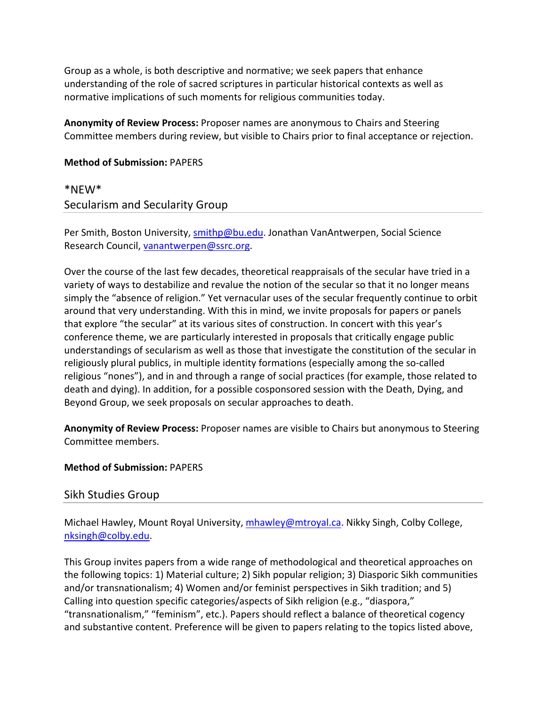Group as a whole, is both descriptive and normative; we seek papers that enhance understanding of the role of sacred scriptures in particular historical contexts as well as normative implications of such moments for religious communities today.

**Anonymity of Review Process:** Proposer names are anonymous to Chairs and Steering Committee members during review, but visible to Chairs prior to final acceptance or rejection.

#### **Method of Submission:** PAPERS

# \*NEW\* Secularism and Secularity Group

Per Smith, Boston University, smithp@bu.edu. Jonathan VanAntwerpen, Social Science Research Council, vanantwerpen@ssrc.org.

Over the course of the last few decades, theoretical reappraisals of the secular have tried in a variety of ways to destabilize and revalue the notion of the secular so that it no longer means simply the "absence of religion." Yet vernacular uses of the secular frequently continue to orbit around that very understanding. With this in mind, we invite proposals for papers or panels that explore "the secular" at its various sites of construction. In concert with this year's conference theme, we are particularly interested in proposals that critically engage public understandings of secularism as well as those that investigate the constitution of the secular in religiously plural publics, in multiple identity formations (especially among the so-called religious "nones"), and in and through a range of social practices (for example, those related to death and dying). In addition, for a possible cosponsored session with the Death, Dying, and Beyond Group, we seek proposals on secular approaches to death.

**Anonymity of Review Process:** Proposer names are visible to Chairs but anonymous to Steering Committee members.

## **Method of Submission:** PAPERS

## Sikh Studies Group

Michael Hawley, Mount Royal University, mhawley@mtroyal.ca. Nikky Singh, Colby College, nksingh@colby.edu.

This Group invites papers from a wide range of methodological and theoretical approaches on the following topics: 1) Material culture; 2) Sikh popular religion; 3) Diasporic Sikh communities and/or transnationalism; 4) Women and/or feminist perspectives in Sikh tradition; and 5) Calling into question specific categories/aspects of Sikh religion (e.g., "diaspora," "transnationalism," "feminism", etc.). Papers should reflect a balance of theoretical cogency and substantive content. Preference will be given to papers relating to the topics listed above,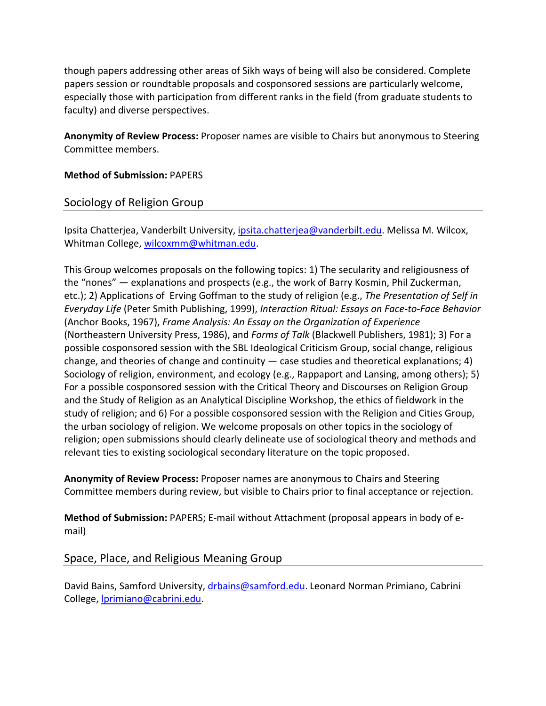though papers addressing other areas of Sikh ways of being will also be considered. Complete papers session or roundtable proposals and cosponsored sessions are particularly welcome, especially those with participation from different ranks in the field (from graduate students to faculty) and diverse perspectives.

**Anonymity of Review Process:** Proposer names are visible to Chairs but anonymous to Steering Committee members.

**Method of Submission:** PAPERS

# Sociology of Religion Group

Ipsita Chatterjea, Vanderbilt University, ipsita.chatterjea@vanderbilt.edu. Melissa M. Wilcox, Whitman College, wilcoxmm@whitman.edu.

This Group welcomes proposals on the following topics: 1) The secularity and religiousness of the "nones" — explanations and prospects (e.g., the work of Barry Kosmin, Phil Zuckerman, etc.); 2) Applications of Erving Goffman to the study of religion (e.g., *The Presentation of Self in Everyday Life* (Peter Smith Publishing, 1999), *Interaction Ritual: Essays on Face‐to‐Face Behavior* (Anchor Books, 1967), *Frame Analysis: An Essay on the Organization of Experience* (Northeastern University Press, 1986), and *Forms of Talk* (Blackwell Publishers, 1981); 3) For a possible cosponsored session with the SBL Ideological Criticism Group, social change, religious change, and theories of change and continuity — case studies and theoretical explanations; 4) Sociology of religion, environment, and ecology (e.g., Rappaport and Lansing, among others); 5) For a possible cosponsored session with the Critical Theory and Discourses on Religion Group and the Study of Religion as an Analytical Discipline Workshop, the ethics of fieldwork in the study of religion; and 6) For a possible cosponsored session with the Religion and Cities Group, the urban sociology of religion. We welcome proposals on other topics in the sociology of religion; open submissions should clearly delineate use of sociological theory and methods and relevant ties to existing sociological secondary literature on the topic proposed.

**Anonymity of Review Process:** Proposer names are anonymous to Chairs and Steering Committee members during review, but visible to Chairs prior to final acceptance or rejection.

**Method of Submission:** PAPERS; E‐mail without Attachment (proposal appears in body of e‐ mail)

Space, Place, and Religious Meaning Group

David Bains, Samford University, drbains@samford.edu. Leonard Norman Primiano, Cabrini College, lprimiano@cabrini.edu.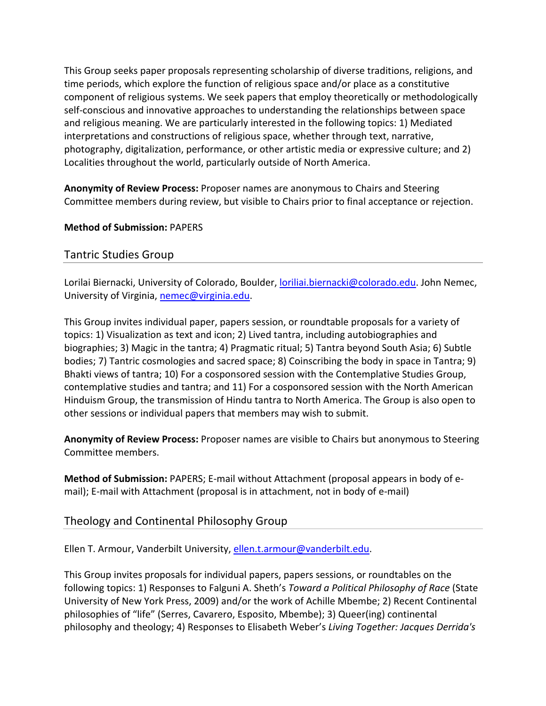This Group seeks paper proposals representing scholarship of diverse traditions, religions, and time periods, which explore the function of religious space and/or place as a constitutive component of religious systems. We seek papers that employ theoretically or methodologically self‐conscious and innovative approaches to understanding the relationships between space and religious meaning. We are particularly interested in the following topics: 1) Mediated interpretations and constructions of religious space, whether through text, narrative, photography, digitalization, performance, or other artistic media or expressive culture; and 2) Localities throughout the world, particularly outside of North America.

**Anonymity of Review Process:** Proposer names are anonymous to Chairs and Steering Committee members during review, but visible to Chairs prior to final acceptance or rejection.

## **Method of Submission:** PAPERS

## Tantric Studies Group

Lorilai Biernacki, University of Colorado, Boulder, *Ioriliai.biernacki@colorado.edu*. John Nemec, University of Virginia, nemec@virginia.edu.

This Group invites individual paper, papers session, or roundtable proposals for a variety of topics: 1) Visualization as text and icon; 2) Lived tantra, including autobiographies and biographies; 3) Magic in the tantra; 4) Pragmatic ritual; 5) Tantra beyond South Asia; 6) Subtle bodies; 7) Tantric cosmologies and sacred space; 8) Coinscribing the body in space in Tantra; 9) Bhakti views of tantra; 10) For a cosponsored session with the Contemplative Studies Group, contemplative studies and tantra; and 11) For a cosponsored session with the North American Hinduism Group, the transmission of Hindu tantra to North America. The Group is also open to other sessions or individual papers that members may wish to submit.

**Anonymity of Review Process:** Proposer names are visible to Chairs but anonymous to Steering Committee members.

**Method of Submission:** PAPERS; E‐mail without Attachment (proposal appears in body of e‐ mail); E-mail with Attachment (proposal is in attachment, not in body of e-mail)

# Theology and Continental Philosophy Group

Ellen T. Armour, Vanderbilt University, ellen.t.armour@vanderbilt.edu.

This Group invites proposals for individual papers, papers sessions, or roundtables on the following topics: 1) Responses to Falguni A. Sheth's *Toward a Political Philosophy of Race* (State University of New York Press, 2009) and/or the work of Achille Mbembe; 2) Recent Continental philosophies of "life" (Serres, Cavarero, Esposito, Mbembe); 3) Queer(ing) continental philosophy and theology; 4) Responses to Elisabeth Weber's *Living Together: Jacques Derrida's*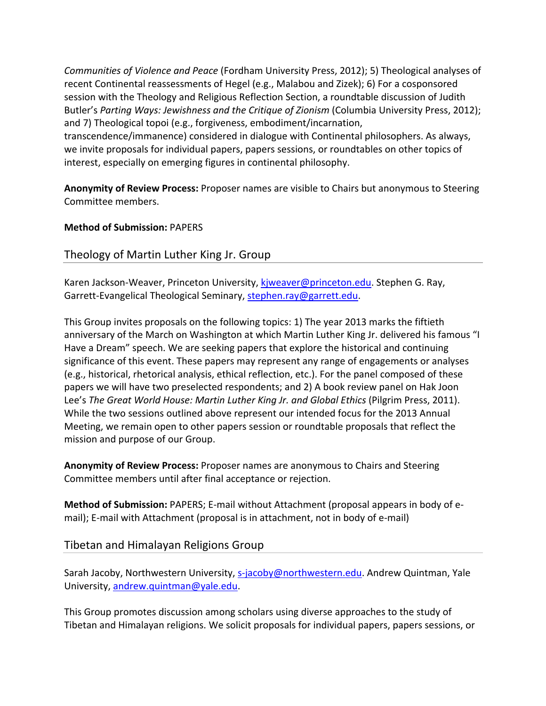*Communities of Violence and Peace* (Fordham University Press, 2012); 5) Theological analyses of recent Continental reassessments of Hegel (e.g., Malabou and Zizek); 6) For a cosponsored session with the Theology and Religious Reflection Section, a roundtable discussion of Judith Butler's *Parting Ways: Jewishness and the Critique of Zionism* (Columbia University Press, 2012); and 7) Theological topoi (e.g., forgiveness, embodiment/incarnation, transcendence/immanence) considered in dialogue with Continental philosophers. As always, we invite proposals for individual papers, papers sessions, or roundtables on other topics of interest, especially on emerging figures in continental philosophy.

**Anonymity of Review Process:** Proposer names are visible to Chairs but anonymous to Steering Committee members.

# **Method of Submission:** PAPERS

# Theology of Martin Luther King Jr. Group

Karen Jackson-Weaver, Princeton University, kjweaver@princeton.edu. Stephen G. Ray, Garrett-Evangelical Theological Seminary, stephen.ray@garrett.edu.

This Group invites proposals on the following topics: 1) The year 2013 marks the fiftieth anniversary of the March on Washington at which Martin Luther King Jr. delivered his famous "I Have a Dream" speech. We are seeking papers that explore the historical and continuing significance of this event. These papers may represent any range of engagements or analyses (e.g., historical, rhetorical analysis, ethical reflection, etc.). For the panel composed of these papers we will have two preselected respondents; and 2) A book review panel on Hak Joon Lee's *The Great World House: Martin Luther King Jr. and Global Ethics* (Pilgrim Press, 2011). While the two sessions outlined above represent our intended focus for the 2013 Annual Meeting, we remain open to other papers session or roundtable proposals that reflect the mission and purpose of our Group.

**Anonymity of Review Process:** Proposer names are anonymous to Chairs and Steering Committee members until after final acceptance or rejection.

**Method of Submission:** PAPERS; E‐mail without Attachment (proposal appears in body of e‐ mail); E-mail with Attachment (proposal is in attachment, not in body of e-mail)

# Tibetan and Himalayan Religions Group

Sarah Jacoby, Northwestern University, s-jacoby@northwestern.edu. Andrew Quintman, Yale University, andrew.quintman@yale.edu.

This Group promotes discussion among scholars using diverse approaches to the study of Tibetan and Himalayan religions. We solicit proposals for individual papers, papers sessions, or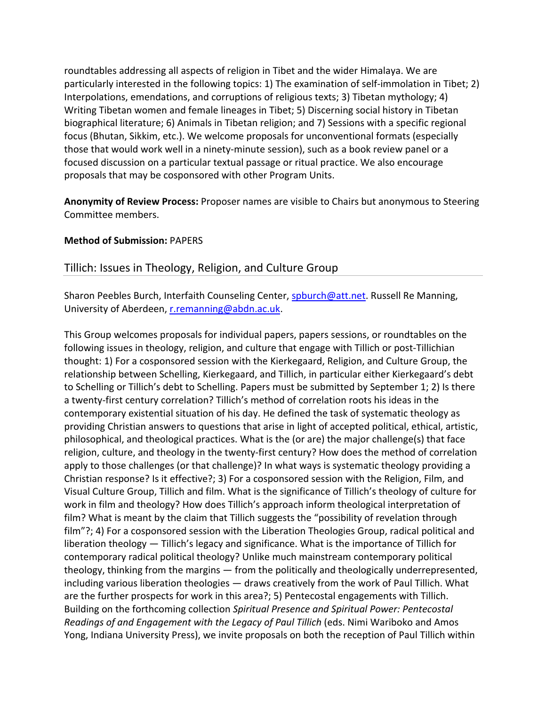roundtables addressing all aspects of religion in Tibet and the wider Himalaya. We are particularly interested in the following topics: 1) The examination of self-immolation in Tibet; 2) Interpolations, emendations, and corruptions of religious texts; 3) Tibetan mythology; 4) Writing Tibetan women and female lineages in Tibet; 5) Discerning social history in Tibetan biographical literature; 6) Animals in Tibetan religion; and 7) Sessions with a specific regional focus (Bhutan, Sikkim, etc.). We welcome proposals for unconventional formats (especially those that would work well in a ninety‐minute session), such as a book review panel or a focused discussion on a particular textual passage or ritual practice. We also encourage proposals that may be cosponsored with other Program Units.

**Anonymity of Review Process:** Proposer names are visible to Chairs but anonymous to Steering Committee members.

#### **Method of Submission:** PAPERS

# Tillich: Issues in Theology, Religion, and Culture Group

Sharon Peebles Burch, Interfaith Counseling Center, **spburch@att.net**. Russell Re Manning, University of Aberdeen, r.remanning@abdn.ac.uk.

This Group welcomes proposals for individual papers, papers sessions, or roundtables on the following issues in theology, religion, and culture that engage with Tillich or post‐Tillichian thought: 1) For a cosponsored session with the Kierkegaard, Religion, and Culture Group, the relationship between Schelling, Kierkegaard, and Tillich, in particular either Kierkegaard's debt to Schelling or Tillich's debt to Schelling. Papers must be submitted by September 1; 2) Is there a twenty‐first century correlation? Tillich's method of correlation roots his ideas in the contemporary existential situation of his day. He defined the task of systematic theology as providing Christian answers to questions that arise in light of accepted political, ethical, artistic, philosophical, and theological practices. What is the (or are) the major challenge(s) that face religion, culture, and theology in the twenty‐first century? How does the method of correlation apply to those challenges (or that challenge)? In what ways is systematic theology providing a Christian response? Is it effective?; 3) For a cosponsored session with the Religion, Film, and Visual Culture Group, Tillich and film. What is the significance of Tillich's theology of culture for work in film and theology? How does Tillich's approach inform theological interpretation of film? What is meant by the claim that Tillich suggests the "possibility of revelation through film"?; 4) For a cosponsored session with the Liberation Theologies Group, radical political and liberation theology — Tillich's legacy and significance. What is the importance of Tillich for contemporary radical political theology? Unlike much mainstream contemporary political theology, thinking from the margins — from the politically and theologically underrepresented, including various liberation theologies — draws creatively from the work of Paul Tillich. What are the further prospects for work in this area?; 5) Pentecostal engagements with Tillich. Building on the forthcoming collection *Spiritual Presence and Spiritual Power: Pentecostal Readings of and Engagement with the Legacy of Paul Tillich* (eds. Nimi Wariboko and Amos Yong, Indiana University Press), we invite proposals on both the reception of Paul Tillich within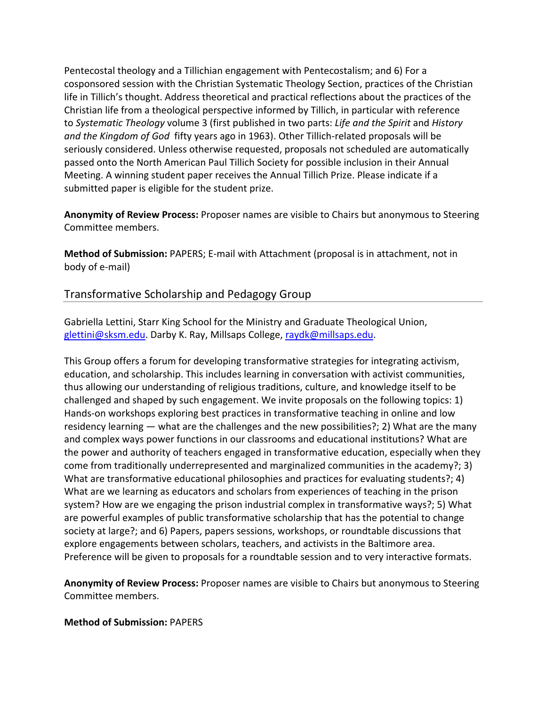Pentecostal theology and a Tillichian engagement with Pentecostalism; and 6) For a cosponsored session with the Christian Systematic Theology Section, practices of the Christian life in Tillich's thought. Address theoretical and practical reflections about the practices of the Christian life from a theological perspective informed by Tillich, in particular with reference to *Systematic Theology* volume 3 (first published in two parts: *Life and the Spirit* and *History and the Kingdom of God* fifty years ago in 1963). Other Tillich‐related proposals will be seriously considered. Unless otherwise requested, proposals not scheduled are automatically passed onto the North American Paul Tillich Society for possible inclusion in their Annual Meeting. A winning student paper receives the Annual Tillich Prize. Please indicate if a submitted paper is eligible for the student prize.

**Anonymity of Review Process:** Proposer names are visible to Chairs but anonymous to Steering Committee members.

**Method of Submission:** PAPERS; E‐mail with Attachment (proposal is in attachment, not in body of e‐mail)

# Transformative Scholarship and Pedagogy Group

Gabriella Lettini, Starr King School for the Ministry and Graduate Theological Union, glettini@sksm.edu. Darby K. Ray, Millsaps College, raydk@millsaps.edu.

This Group offers a forum for developing transformative strategies for integrating activism, education, and scholarship. This includes learning in conversation with activist communities, thus allowing our understanding of religious traditions, culture, and knowledge itself to be challenged and shaped by such engagement. We invite proposals on the following topics: 1) Hands-on workshops exploring best practices in transformative teaching in online and low residency learning — what are the challenges and the new possibilities?; 2) What are the many and complex ways power functions in our classrooms and educational institutions? What are the power and authority of teachers engaged in transformative education, especially when they come from traditionally underrepresented and marginalized communities in the academy?; 3) What are transformative educational philosophies and practices for evaluating students?; 4) What are we learning as educators and scholars from experiences of teaching in the prison system? How are we engaging the prison industrial complex in transformative ways?; 5) What are powerful examples of public transformative scholarship that has the potential to change society at large?; and 6) Papers, papers sessions, workshops, or roundtable discussions that explore engagements between scholars, teachers, and activists in the Baltimore area. Preference will be given to proposals for a roundtable session and to very interactive formats.

**Anonymity of Review Process:** Proposer names are visible to Chairs but anonymous to Steering Committee members.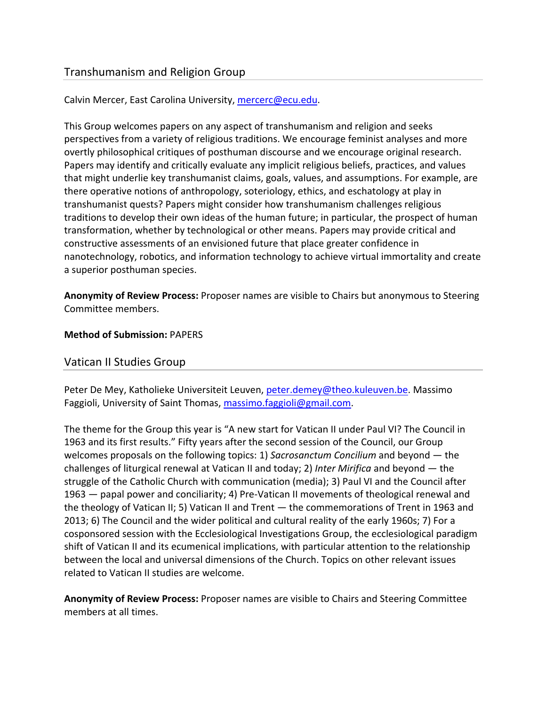# Transhumanism and Religion Group

## Calvin Mercer, East Carolina University, mercerc@ecu.edu.

This Group welcomes papers on any aspect of transhumanism and religion and seeks perspectives from a variety of religious traditions. We encourage feminist analyses and more overtly philosophical critiques of posthuman discourse and we encourage original research. Papers may identify and critically evaluate any implicit religious beliefs, practices, and values that might underlie key transhumanist claims, goals, values, and assumptions. For example, are there operative notions of anthropology, soteriology, ethics, and eschatology at play in transhumanist quests? Papers might consider how transhumanism challenges religious traditions to develop their own ideas of the human future; in particular, the prospect of human transformation, whether by technological or other means. Papers may provide critical and constructive assessments of an envisioned future that place greater confidence in nanotechnology, robotics, and information technology to achieve virtual immortality and create a superior posthuman species.

**Anonymity of Review Process:** Proposer names are visible to Chairs but anonymous to Steering Committee members.

#### **Method of Submission:** PAPERS

#### Vatican II Studies Group

Peter De Mey, Katholieke Universiteit Leuven, peter.demey@theo.kuleuven.be. Massimo Faggioli, University of Saint Thomas, massimo.faggioli@gmail.com.

The theme for the Group this year is "A new start for Vatican II under Paul VI? The Council in 1963 and its first results." Fifty years after the second session of the Council, our Group welcomes proposals on the following topics: 1) *Sacrosanctum Concilium* and beyond — the challenges of liturgical renewal at Vatican II and today; 2) *Inter Mirifica* and beyond — the struggle of the Catholic Church with communication (media); 3) Paul VI and the Council after 1963 — papal power and conciliarity; 4) Pre-Vatican II movements of theological renewal and the theology of Vatican II; 5) Vatican II and Trent — the commemorations of Trent in 1963 and 2013; 6) The Council and the wider political and cultural reality of the early 1960s; 7) For a cosponsored session with the Ecclesiological Investigations Group, the ecclesiological paradigm shift of Vatican II and its ecumenical implications, with particular attention to the relationship between the local and universal dimensions of the Church. Topics on other relevant issues related to Vatican II studies are welcome.

**Anonymity of Review Process:** Proposer names are visible to Chairs and Steering Committee members at all times.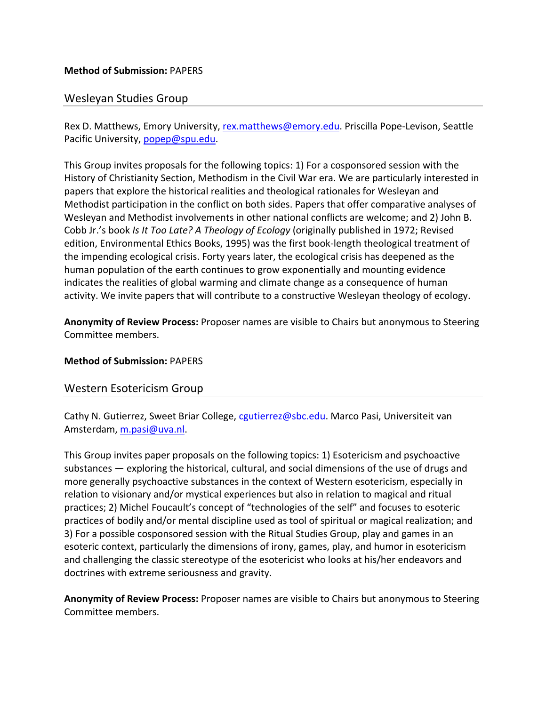# Wesleyan Studies Group

Rex D. Matthews, Emory University, rex.matthews@emory.edu. Priscilla Pope-Levison, Seattle Pacific University, popep@spu.edu.

This Group invites proposals for the following topics: 1) For a cosponsored session with the History of Christianity Section, Methodism in the Civil War era. We are particularly interested in papers that explore the historical realities and theological rationales for Wesleyan and Methodist participation in the conflict on both sides. Papers that offer comparative analyses of Wesleyan and Methodist involvements in other national conflicts are welcome; and 2) John B. Cobb Jr.'s book *Is It Too Late? A Theology of Ecology* (originally published in 1972; Revised edition, Environmental Ethics Books, 1995) was the first book‐length theological treatment of the impending ecological crisis. Forty years later, the ecological crisis has deepened as the human population of the earth continues to grow exponentially and mounting evidence indicates the realities of global warming and climate change as a consequence of human activity. We invite papers that will contribute to a constructive Wesleyan theology of ecology.

**Anonymity of Review Process:** Proposer names are visible to Chairs but anonymous to Steering Committee members.

#### **Method of Submission:** PAPERS

#### Western Esotericism Group

Cathy N. Gutierrez, Sweet Briar College, cautierrez@sbc.edu. Marco Pasi, Universiteit van Amsterdam, m.pasi@uva.nl.

This Group invites paper proposals on the following topics: 1) Esotericism and psychoactive substances — exploring the historical, cultural, and social dimensions of the use of drugs and more generally psychoactive substances in the context of Western esotericism, especially in relation to visionary and/or mystical experiences but also in relation to magical and ritual practices; 2) Michel Foucault's concept of "technologies of the self" and focuses to esoteric practices of bodily and/or mental discipline used as tool of spiritual or magical realization; and 3) For a possible cosponsored session with the Ritual Studies Group, play and games in an esoteric context, particularly the dimensions of irony, games, play, and humor in esotericism and challenging the classic stereotype of the esotericist who looks at his/her endeavors and doctrines with extreme seriousness and gravity.

**Anonymity of Review Process:** Proposer names are visible to Chairs but anonymous to Steering Committee members.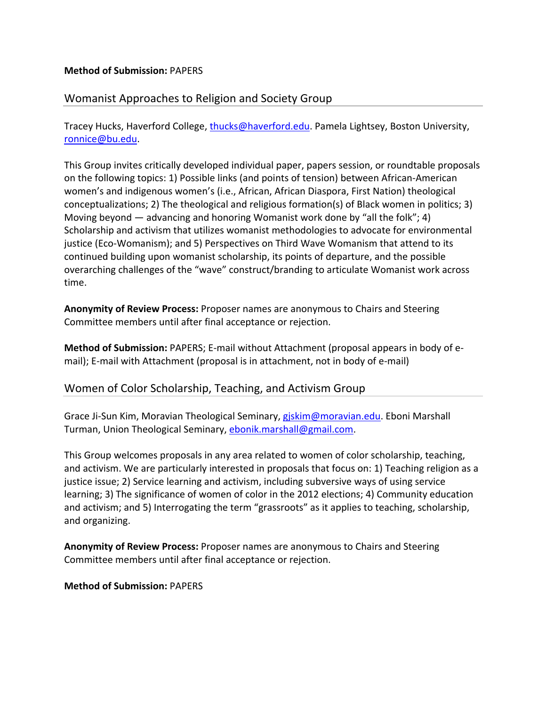## **Method of Submission:** PAPERS

# Womanist Approaches to Religion and Society Group

Tracey Hucks, Haverford College, thucks@haverford.edu. Pamela Lightsey, Boston University, ronnice@bu.edu.

This Group invites critically developed individual paper, papers session, or roundtable proposals on the following topics: 1) Possible links (and points of tension) between African‐American women's and indigenous women's (i.e., African, African Diaspora, First Nation) theological conceptualizations; 2) The theological and religious formation(s) of Black women in politics; 3) Moving beyond — advancing and honoring Womanist work done by "all the folk"; 4) Scholarship and activism that utilizes womanist methodologies to advocate for environmental justice (Eco‐Womanism); and 5) Perspectives on Third Wave Womanism that attend to its continued building upon womanist scholarship, its points of departure, and the possible overarching challenges of the "wave" construct/branding to articulate Womanist work across time.

**Anonymity of Review Process:** Proposer names are anonymous to Chairs and Steering Committee members until after final acceptance or rejection.

**Method of Submission:** PAPERS; E‐mail without Attachment (proposal appears in body of e‐ mail); E-mail with Attachment (proposal is in attachment, not in body of e-mail)

# Women of Color Scholarship, Teaching, and Activism Group

Grace Ji-Sun Kim, Moravian Theological Seminary, giskim@moravian.edu. Eboni Marshall Turman, Union Theological Seminary, ebonik.marshall@gmail.com.

This Group welcomes proposals in any area related to women of color scholarship, teaching, and activism. We are particularly interested in proposals that focus on: 1) Teaching religion as a justice issue; 2) Service learning and activism, including subversive ways of using service learning; 3) The significance of women of color in the 2012 elections; 4) Community education and activism; and 5) Interrogating the term "grassroots" as it applies to teaching, scholarship, and organizing.

**Anonymity of Review Process:** Proposer names are anonymous to Chairs and Steering Committee members until after final acceptance or rejection.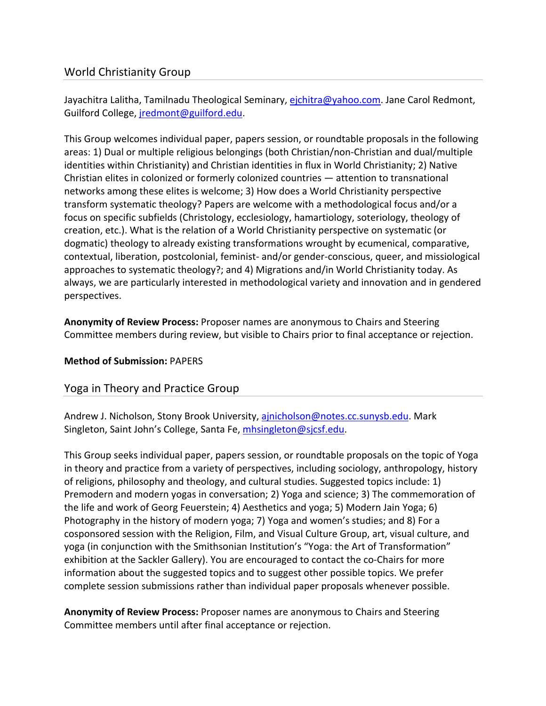# World Christianity Group

Jayachitra Lalitha, Tamilnadu Theological Seminary, ejchitra@yahoo.com. Jane Carol Redmont, Guilford College, jredmont@guilford.edu.

This Group welcomes individual paper, papers session, or roundtable proposals in the following areas: 1) Dual or multiple religious belongings (both Christian/non‐Christian and dual/multiple identities within Christianity) and Christian identities in flux in World Christianity; 2) Native Christian elites in colonized or formerly colonized countries — attention to transnational networks among these elites is welcome; 3) How does a World Christianity perspective transform systematic theology? Papers are welcome with a methodological focus and/or a focus on specific subfields (Christology, ecclesiology, hamartiology, soteriology, theology of creation, etc.). What is the relation of a World Christianity perspective on systematic (or dogmatic) theology to already existing transformations wrought by ecumenical, comparative, contextual, liberation, postcolonial, feminist‐ and/or gender‐conscious, queer, and missiological approaches to systematic theology?; and 4) Migrations and/in World Christianity today. As always, we are particularly interested in methodological variety and innovation and in gendered perspectives.

**Anonymity of Review Process:** Proposer names are anonymous to Chairs and Steering Committee members during review, but visible to Chairs prior to final acceptance or rejection.

# **Method of Submission:** PAPERS

# Yoga in Theory and Practice Group

Andrew J. Nicholson, Stony Brook University, ainicholson@notes.cc.sunysb.edu</u>. Mark Singleton, Saint John's College, Santa Fe, mhsingleton@sjcsf.edu.

This Group seeks individual paper, papers session, or roundtable proposals on the topic of Yoga in theory and practice from a variety of perspectives, including sociology, anthropology, history of religions, philosophy and theology, and cultural studies. Suggested topics include: 1) Premodern and modern yogas in conversation; 2) Yoga and science; 3) The commemoration of the life and work of Georg Feuerstein; 4) Aesthetics and yoga; 5) Modern Jain Yoga; 6) Photography in the history of modern yoga; 7) Yoga and women's studies; and 8) For a cosponsored session with the Religion, Film, and Visual Culture Group, art, visual culture, and yoga (in conjunction with the Smithsonian Institution's "Yoga: the Art of Transformation" exhibition at the Sackler Gallery). You are encouraged to contact the co-Chairs for more information about the suggested topics and to suggest other possible topics. We prefer complete session submissions rather than individual paper proposals whenever possible.

**Anonymity of Review Process:** Proposer names are anonymous to Chairs and Steering Committee members until after final acceptance or rejection.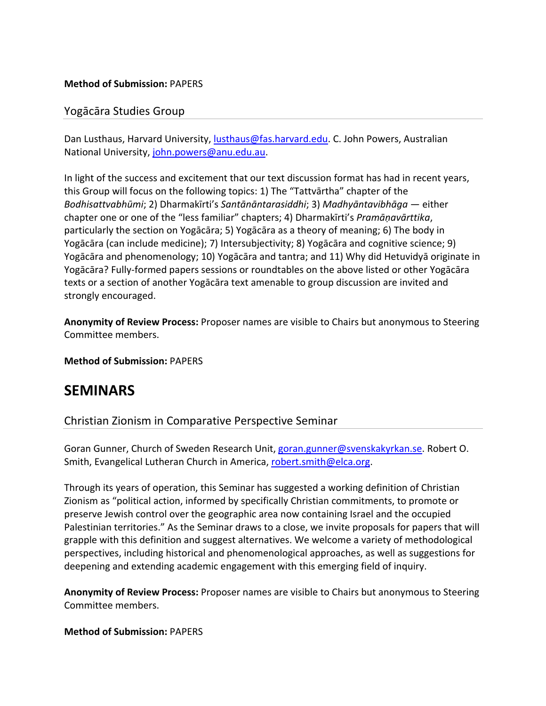## **Method of Submission:** PAPERS

# Yogācāra Studies Group

Dan Lusthaus, Harvard University, lusthaus@fas.harvard.edu. C. John Powers, Australian National University, john.powers@anu.edu.au.

In light of the success and excitement that our text discussion format has had in recent years, this Group will focus on the following topics: 1) The "Tattvārtha" chapter of the *Bodhisattvabhūmi*; 2) Dharmakīrti's *Santānāntarasiddhi*; 3) *Madhyāntavibhāga* — either chapter one or one of the "less familiar" chapters; 4) Dharmakīrti's *Pramāṇavārttika*, particularly the section on Yogācāra; 5) Yogācāra as a theory of meaning; 6) The body in Yogācāra (can include medicine); 7) Intersubjectivity; 8) Yogācāra and cognitive science; 9) Yogācāra and phenomenology; 10) Yogācāra and tantra; and 11) Why did Hetuvidyā originate in Yogācāra? Fully‐formed papers sessions or roundtables on the above listed or other Yogācāra texts or a section of another Yogācāra text amenable to group discussion are invited and strongly encouraged.

**Anonymity of Review Process:** Proposer names are visible to Chairs but anonymous to Steering Committee members.

**Method of Submission:** PAPERS

# **SEMINARS**

# Christian Zionism in Comparative Perspective Seminar

Goran Gunner, Church of Sweden Research Unit, goran.gunner@svenskakyrkan.se. Robert O. Smith, Evangelical Lutheran Church in America, robert.smith@elca.org.

Through its years of operation, this Seminar has suggested a working definition of Christian Zionism as "political action, informed by specifically Christian commitments, to promote or preserve Jewish control over the geographic area now containing Israel and the occupied Palestinian territories." As the Seminar draws to a close, we invite proposals for papers that will grapple with this definition and suggest alternatives. We welcome a variety of methodological perspectives, including historical and phenomenological approaches, as well as suggestions for deepening and extending academic engagement with this emerging field of inquiry.

**Anonymity of Review Process:** Proposer names are visible to Chairs but anonymous to Steering Committee members.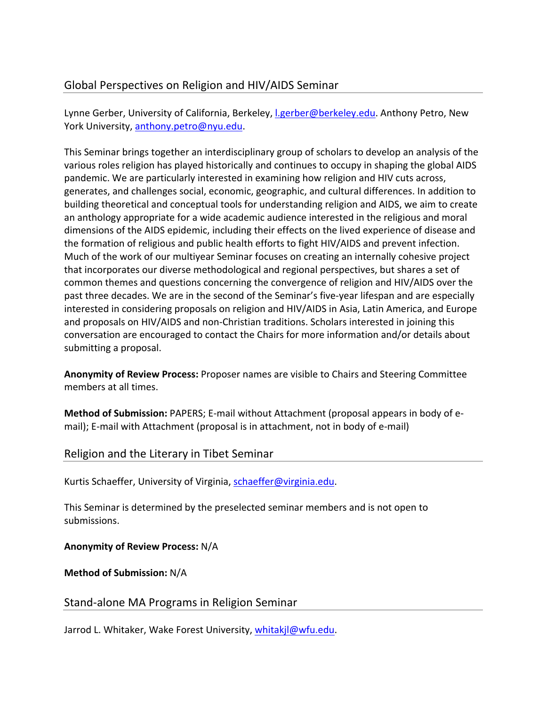# Global Perspectives on Religion and HIV/AIDS Seminar

Lynne Gerber, University of California, Berkeley, Lgerber@berkeley.edu. Anthony Petro, New York University, anthony.petro@nyu.edu.

This Seminar brings together an interdisciplinary group of scholars to develop an analysis of the various roles religion has played historically and continues to occupy in shaping the global AIDS pandemic. We are particularly interested in examining how religion and HIV cuts across, generates, and challenges social, economic, geographic, and cultural differences. In addition to building theoretical and conceptual tools for understanding religion and AIDS, we aim to create an anthology appropriate for a wide academic audience interested in the religious and moral dimensions of the AIDS epidemic, including their effects on the lived experience of disease and the formation of religious and public health efforts to fight HIV/AIDS and prevent infection. Much of the work of our multiyear Seminar focuses on creating an internally cohesive project that incorporates our diverse methodological and regional perspectives, but shares a set of common themes and questions concerning the convergence of religion and HIV/AIDS over the past three decades. We are in the second of the Seminar's five‐year lifespan and are especially interested in considering proposals on religion and HIV/AIDS in Asia, Latin America, and Europe and proposals on HIV/AIDS and non‐Christian traditions. Scholars interested in joining this conversation are encouraged to contact the Chairs for more information and/or details about submitting a proposal.

**Anonymity of Review Process:** Proposer names are visible to Chairs and Steering Committee members at all times.

**Method of Submission:** PAPERS; E‐mail without Attachment (proposal appears in body of e‐ mail); E-mail with Attachment (proposal is in attachment, not in body of e-mail)

# Religion and the Literary in Tibet Seminar

Kurtis Schaeffer, University of Virginia, schaeffer@virginia.edu.

This Seminar is determined by the preselected seminar members and is not open to submissions.

**Anonymity of Review Process:** N/A

**Method of Submission:** N/A

Stand‐alone MA Programs in Religion Seminar

Jarrod L. Whitaker, Wake Forest University, whitakjl@wfu.edu.